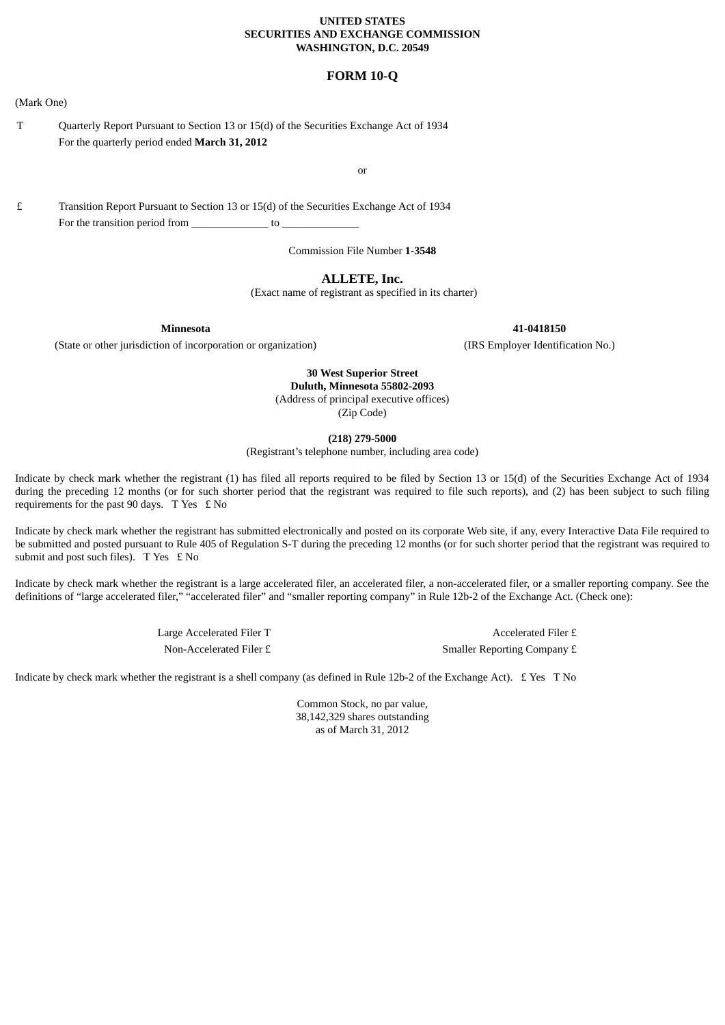## **UNITED STATES SECURITIES AND EXCHANGE COMMISSION WASHINGTON, D.C. 20549**

## **FORM 10-Q**

#### (Mark One)

T Quarterly Report Pursuant to Section 13 or 15(d) of the Securities Exchange Act of 1934 For the quarterly period ended **March 31, 2012**

or

£ Transition Report Pursuant to Section 13 or 15(d) of the Securities Exchange Act of 1934 For the transition period from  $\qquad \qquad$  to  $\qquad \qquad$ 

Commission File Number **1-3548**

**ALLETE, Inc.**

(Exact name of registrant as specified in its charter)

(State or other jurisdiction of incorporation or organization) (IRS Employer Identification No.)

**30 West Superior Street Duluth, Minnesota 55802-2093** (Address of principal executive offices) (Zip Code)

**(218) 279-5000**

(Registrant's telephone number, including area code)

Indicate by check mark whether the registrant (1) has filed all reports required to be filed by Section 13 or 15(d) of the Securities Exchange Act of 1934 during the preceding 12 months (or for such shorter period that the registrant was required to file such reports), and (2) has been subject to such filing requirements for the past 90 days. T Yes £ No

Indicate by check mark whether the registrant has submitted electronically and posted on its corporate Web site, if any, every Interactive Data File required to be submitted and posted pursuant to Rule 405 of Regulation S-T during the preceding 12 months (or for such shorter period that the registrant was required to submit and post such files). T Yes £ No

Indicate by check mark whether the registrant is a large accelerated filer, an accelerated filer, a non-accelerated filer, or a smaller reporting company. See the definitions of "large accelerated filer," "accelerated filer" and "smaller reporting company" in Rule 12b-2 of the Exchange Act. (Check one):

Large Accelerated Filer T<br>
Accelerated Filer T Non-Accelerated Filer £ Smaller Reporting Company £

Indicate by check mark whether the registrant is a shell company (as defined in Rule 12b-2 of the Exchange Act). £ Yes T No

Common Stock, no par value, 38,142,329 shares outstanding as of March 31, 2012

**Minnesota 41-0418150**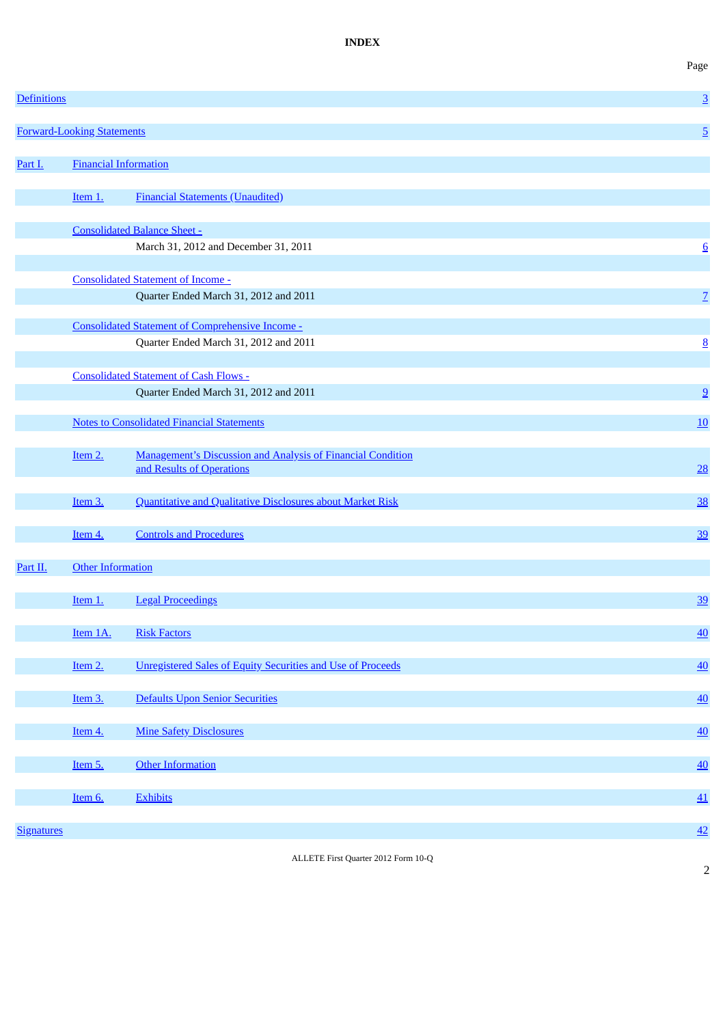**INDEX**

<span id="page-1-0"></span>

| <b>Definitions</b> |                                   |                                                                                                 | $\underline{\mathbf{3}}$ |
|--------------------|-----------------------------------|-------------------------------------------------------------------------------------------------|--------------------------|
|                    | <b>Forward-Looking Statements</b> |                                                                                                 | $\overline{5}$           |
|                    |                                   | <b>Financial Information</b>                                                                    |                          |
| Part I.            |                                   |                                                                                                 |                          |
|                    | Item 1.                           | <b>Financial Statements (Unaudited)</b>                                                         |                          |
|                    |                                   | <b>Consolidated Balance Sheet -</b>                                                             |                          |
|                    |                                   | March 31, 2012 and December 31, 2011                                                            | $6\overline{6}$          |
|                    |                                   | <b>Consolidated Statement of Income -</b>                                                       |                          |
|                    |                                   | Quarter Ended March 31, 2012 and 2011                                                           | $\underline{7}$          |
|                    |                                   | <b>Consolidated Statement of Comprehensive Income -</b>                                         |                          |
|                    |                                   | Quarter Ended March 31, 2012 and 2011                                                           | $\underline{8}$          |
|                    |                                   | <b>Consolidated Statement of Cash Flows -</b>                                                   |                          |
|                    |                                   | Quarter Ended March 31, 2012 and 2011                                                           | 9                        |
|                    |                                   | <b>Notes to Consolidated Financial Statements</b>                                               | 10                       |
|                    |                                   |                                                                                                 |                          |
|                    | Item 2.                           | <b>Management's Discussion and Analysis of Financial Condition</b><br>and Results of Operations | 28                       |
|                    | Item 3.                           | Quantitative and Qualitative Disclosures about Market Risk                                      | 38                       |
|                    | Item 4.                           | <b>Controls and Procedures</b>                                                                  | 39                       |
| Part II.           | <b>Other Information</b>          |                                                                                                 |                          |
|                    |                                   |                                                                                                 |                          |
|                    | Item 1.                           | <b>Legal Proceedings</b>                                                                        | 39                       |
|                    | Item 1A.                          | <b>Risk Factors</b>                                                                             | 40                       |
|                    | Item 2.                           | <b>Unregistered Sales of Equity Securities and Use of Proceeds</b>                              | $\underline{40}$         |
|                    | Item 3.                           | <b>Defaults Upon Senior Securities</b>                                                          | 40                       |
|                    |                                   |                                                                                                 |                          |
|                    | Item 4.                           | <b>Mine Safety Disclosures</b>                                                                  | $\underline{40}$         |
|                    | Item 5.                           | <b>Other Information</b>                                                                        | $\frac{40}{5}$           |
|                    | Item 6.                           | <b>Exhibits</b>                                                                                 | 41                       |
| <b>Signatures</b>  |                                   |                                                                                                 | 42                       |
|                    |                                   | ALLETE First Quarter 2012 Form 10-Q                                                             | $\overline{c}$           |
|                    |                                   |                                                                                                 |                          |

Page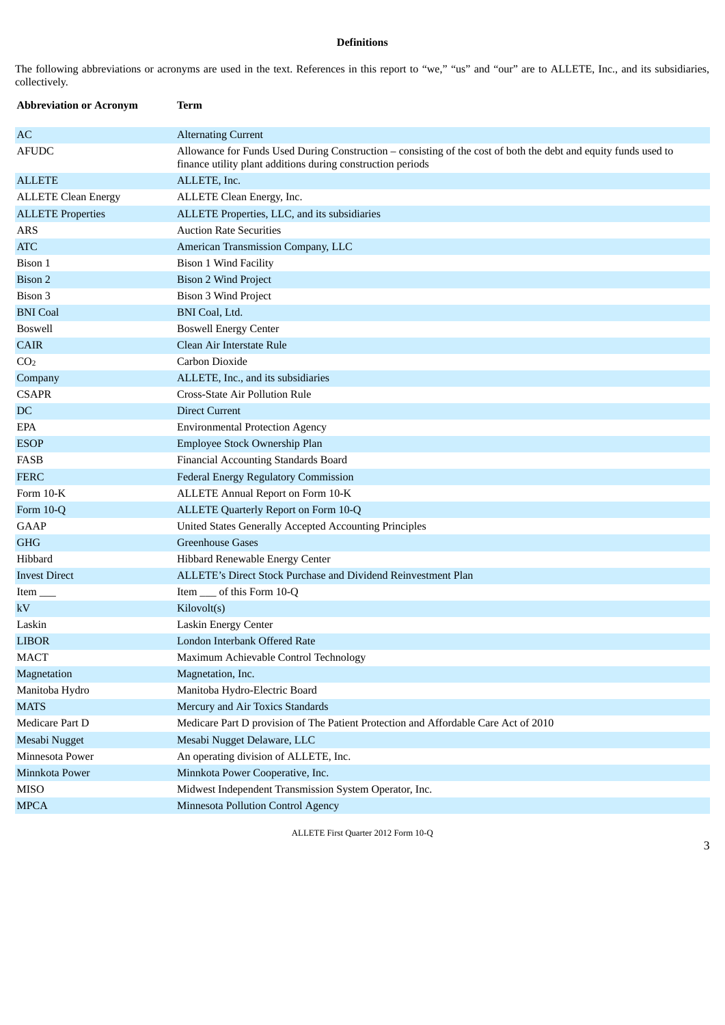## **Definitions**

The following abbreviations or acronyms are used in the text. References in this report to "we," "us" and "our" are to ALLETE, Inc., and its subsidiaries, collectively.

| <b>Abbreviation or Acronym</b> | Term                                                                                                                                                                           |
|--------------------------------|--------------------------------------------------------------------------------------------------------------------------------------------------------------------------------|
| AC                             | <b>Alternating Current</b>                                                                                                                                                     |
| <b>AFUDC</b>                   | Allowance for Funds Used During Construction - consisting of the cost of both the debt and equity funds used to<br>finance utility plant additions during construction periods |
| <b>ALLETE</b>                  | ALLETE, Inc.                                                                                                                                                                   |
| <b>ALLETE Clean Energy</b>     | ALLETE Clean Energy, Inc.                                                                                                                                                      |
| <b>ALLETE Properties</b>       | ALLETE Properties, LLC, and its subsidiaries                                                                                                                                   |
| ARS                            | <b>Auction Rate Securities</b>                                                                                                                                                 |
| <b>ATC</b>                     | American Transmission Company, LLC                                                                                                                                             |
| Bison 1                        | <b>Bison 1 Wind Facility</b>                                                                                                                                                   |
| Bison 2                        | <b>Bison 2 Wind Project</b>                                                                                                                                                    |
| Bison 3                        | <b>Bison 3 Wind Project</b>                                                                                                                                                    |
| <b>BNI</b> Coal                | BNI Coal, Ltd.                                                                                                                                                                 |
| Boswell                        | <b>Boswell Energy Center</b>                                                                                                                                                   |
| CAIR                           | Clean Air Interstate Rule                                                                                                                                                      |
| CO <sub>2</sub>                | <b>Carbon Dioxide</b>                                                                                                                                                          |
| Company                        | ALLETE, Inc., and its subsidiaries                                                                                                                                             |
| <b>CSAPR</b>                   | <b>Cross-State Air Pollution Rule</b>                                                                                                                                          |
| DC                             | <b>Direct Current</b>                                                                                                                                                          |
| <b>EPA</b>                     | <b>Environmental Protection Agency</b>                                                                                                                                         |
| <b>ESOP</b>                    | Employee Stock Ownership Plan                                                                                                                                                  |
| <b>FASB</b>                    | <b>Financial Accounting Standards Board</b>                                                                                                                                    |
| <b>FERC</b>                    | <b>Federal Energy Regulatory Commission</b>                                                                                                                                    |
| Form 10-K                      | ALLETE Annual Report on Form 10-K                                                                                                                                              |
| Form 10-Q                      | ALLETE Quarterly Report on Form 10-Q                                                                                                                                           |
| GAAP                           | United States Generally Accepted Accounting Principles                                                                                                                         |
| <b>GHG</b>                     | <b>Greenhouse Gases</b>                                                                                                                                                        |
| Hibbard                        | Hibbard Renewable Energy Center                                                                                                                                                |
| <b>Invest Direct</b>           | ALLETE's Direct Stock Purchase and Dividend Reinvestment Plan                                                                                                                  |
| $Item$ <sub>____</sub>         | Item ___ of this Form 10-Q                                                                                                                                                     |
| kV                             | Kilovolt(s)                                                                                                                                                                    |
| Laskin                         | <b>Laskin Energy Center</b>                                                                                                                                                    |
| <b>LIBOR</b>                   | London Interbank Offered Rate                                                                                                                                                  |
| MACT                           | Maximum Achievable Control Technology                                                                                                                                          |
| Magnetation                    | Magnetation, Inc.                                                                                                                                                              |
| Manitoba Hydro                 | Manitoba Hydro-Electric Board                                                                                                                                                  |
| <b>MATS</b>                    | Mercury and Air Toxics Standards                                                                                                                                               |
| Medicare Part D                | Medicare Part D provision of The Patient Protection and Affordable Care Act of 2010                                                                                            |
| Mesabi Nugget                  | Mesabi Nugget Delaware, LLC                                                                                                                                                    |
| Minnesota Power                | An operating division of ALLETE, Inc.                                                                                                                                          |
| Minnkota Power                 | Minnkota Power Cooperative, Inc.                                                                                                                                               |
| <b>MISO</b>                    | Midwest Independent Transmission System Operator, Inc.                                                                                                                         |
| <b>MPCA</b>                    | Minnesota Pollution Control Agency                                                                                                                                             |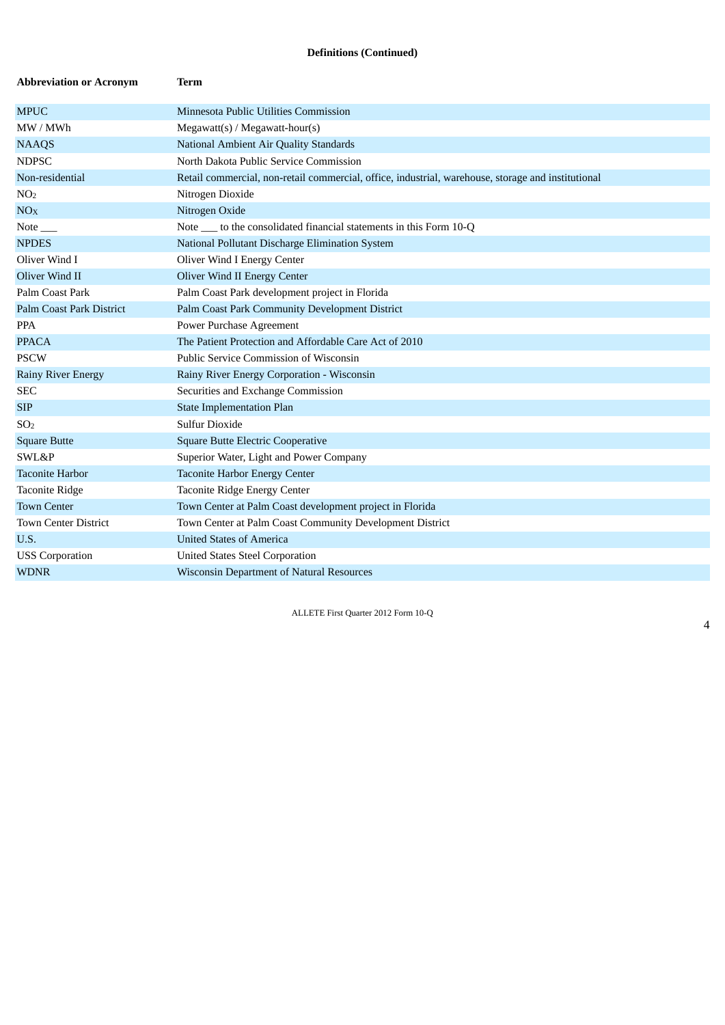## **Definitions (Continued)**

<span id="page-3-0"></span>

| <b>Abbreviation or Acronym</b> | Term                                                                                               |
|--------------------------------|----------------------------------------------------------------------------------------------------|
| <b>MPUC</b>                    | Minnesota Public Utilities Commission                                                              |
| MW / MWh                       | Megawatt(s) / Megawatt-hour(s)                                                                     |
| <b>NAAQS</b>                   | National Ambient Air Quality Standards                                                             |
| <b>NDPSC</b>                   | North Dakota Public Service Commission                                                             |
| Non-residential                | Retail commercial, non-retail commercial, office, industrial, warehouse, storage and institutional |
| NO <sub>2</sub>                | Nitrogen Dioxide                                                                                   |
| NO <sub>X</sub>                | Nitrogen Oxide                                                                                     |
| Note $\rule{1em}{0.15mm}$      | Note ____ to the consolidated financial statements in this Form 10-Q                               |
| <b>NPDES</b>                   | National Pollutant Discharge Elimination System                                                    |
| Oliver Wind I                  | Oliver Wind I Energy Center                                                                        |
| Oliver Wind II                 | Oliver Wind II Energy Center                                                                       |
| Palm Coast Park                | Palm Coast Park development project in Florida                                                     |
| Palm Coast Park District       | Palm Coast Park Community Development District                                                     |
| <b>PPA</b>                     | Power Purchase Agreement                                                                           |
| <b>PPACA</b>                   | The Patient Protection and Affordable Care Act of 2010                                             |
| <b>PSCW</b>                    | <b>Public Service Commission of Wisconsin</b>                                                      |
| Rainy River Energy             | Rainy River Energy Corporation - Wisconsin                                                         |
| <b>SEC</b>                     | Securities and Exchange Commission                                                                 |
| <b>SIP</b>                     | <b>State Implementation Plan</b>                                                                   |
| SO <sub>2</sub>                | <b>Sulfur Dioxide</b>                                                                              |
| <b>Square Butte</b>            | Square Butte Electric Cooperative                                                                  |
| SWL&P                          | Superior Water, Light and Power Company                                                            |
| <b>Taconite Harbor</b>         | <b>Taconite Harbor Energy Center</b>                                                               |
| <b>Taconite Ridge</b>          | Taconite Ridge Energy Center                                                                       |
| <b>Town Center</b>             | Town Center at Palm Coast development project in Florida                                           |
| <b>Town Center District</b>    | Town Center at Palm Coast Community Development District                                           |
| U.S.                           | <b>United States of America</b>                                                                    |
| <b>USS Corporation</b>         | <b>United States Steel Corporation</b>                                                             |
| <b>WDNR</b>                    | <b>Wisconsin Department of Natural Resources</b>                                                   |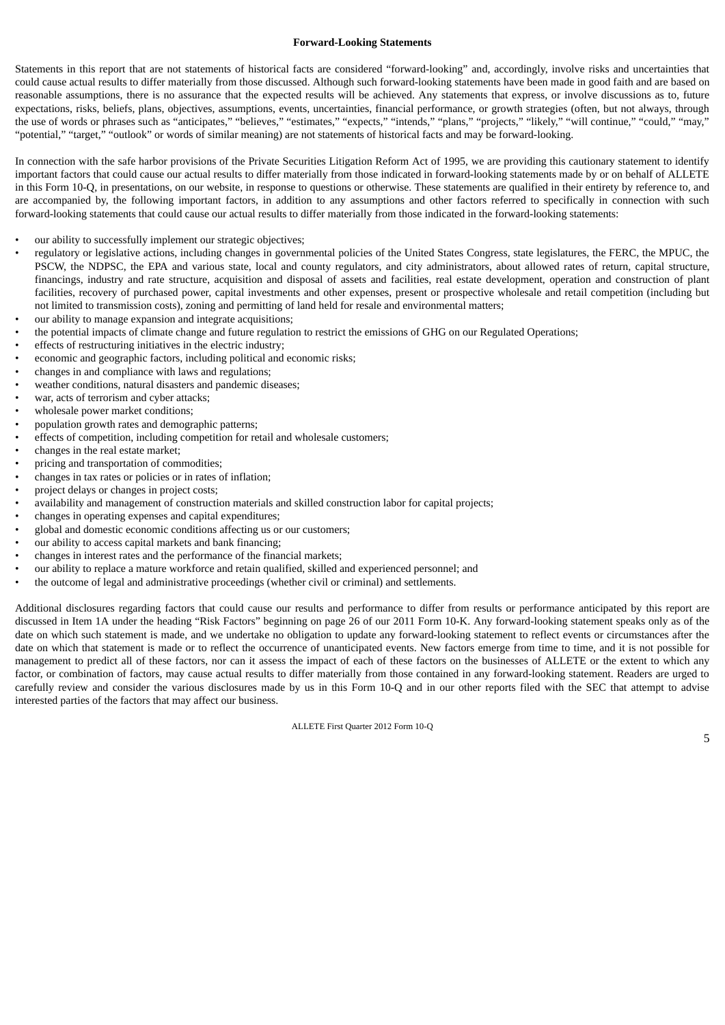## **Forward-Looking Statements**

Statements in this report that are not statements of historical facts are considered "forward-looking" and, accordingly, involve risks and uncertainties that could cause actual results to differ materially from those discussed. Although such forward-looking statements have been made in good faith and are based on reasonable assumptions, there is no assurance that the expected results will be achieved. Any statements that express, or involve discussions as to, future expectations, risks, beliefs, plans, objectives, assumptions, events, uncertainties, financial performance, or growth strategies (often, but not always, through the use of words or phrases such as "anticipates," "believes," "estimates," "expects," "intends," "plans," "projects," "likely," "will continue," "could," "may," "potential," "target," "outlook" or words of similar meaning) are not statements of historical facts and may be forward-looking.

In connection with the safe harbor provisions of the Private Securities Litigation Reform Act of 1995, we are providing this cautionary statement to identify important factors that could cause our actual results to differ materially from those indicated in forward-looking statements made by or on behalf of ALLETE in this Form 10-Q, in presentations, on our website, in response to questions or otherwise. These statements are qualified in their entirety by reference to, and are accompanied by, the following important factors, in addition to any assumptions and other factors referred to specifically in connection with such forward-looking statements that could cause our actual results to differ materially from those indicated in the forward-looking statements:

- our ability to successfully implement our strategic objectives;
- regulatory or legislative actions, including changes in governmental policies of the United States Congress, state legislatures, the FERC, the MPUC, the PSCW, the NDPSC, the EPA and various state, local and county regulators, and city administrators, about allowed rates of return, capital structure, financings, industry and rate structure, acquisition and disposal of assets and facilities, real estate development, operation and construction of plant facilities, recovery of purchased power, capital investments and other expenses, present or prospective wholesale and retail competition (including but not limited to transmission costs), zoning and permitting of land held for resale and environmental matters;
- our ability to manage expansion and integrate acquisitions;
- the potential impacts of climate change and future regulation to restrict the emissions of GHG on our Regulated Operations;
- effects of restructuring initiatives in the electric industry;
- economic and geographic factors, including political and economic risks;
- changes in and compliance with laws and regulations;
- weather conditions, natural disasters and pandemic diseases;
- war, acts of terrorism and cyber attacks;
- wholesale power market conditions:
- population growth rates and demographic patterns;
- effects of competition, including competition for retail and wholesale customers;
- changes in the real estate market;
- pricing and transportation of commodities;
- changes in tax rates or policies or in rates of inflation;
- project delays or changes in project costs;
- availability and management of construction materials and skilled construction labor for capital projects;
- changes in operating expenses and capital expenditures;
- global and domestic economic conditions affecting us or our customers;
- our ability to access capital markets and bank financing;
- changes in interest rates and the performance of the financial markets;
- our ability to replace a mature workforce and retain qualified, skilled and experienced personnel; and
- the outcome of legal and administrative proceedings (whether civil or criminal) and settlements.

<span id="page-4-0"></span>Additional disclosures regarding factors that could cause our results and performance to differ from results or performance anticipated by this report are discussed in Item 1A under the heading "Risk Factors" beginning on page 26 of our 2011 Form 10-K. Any forward-looking statement speaks only as of the date on which such statement is made, and we undertake no obligation to update any forward-looking statement to reflect events or circumstances after the date on which that statement is made or to reflect the occurrence of unanticipated events. New factors emerge from time to time, and it is not possible for management to predict all of these factors, nor can it assess the impact of each of these factors on the businesses of ALLETE or the extent to which any factor, or combination of factors, may cause actual results to differ materially from those contained in any forward-looking statement. Readers are urged to carefully review and consider the various disclosures made by us in this Form 10-Q and in our other reports filed with the SEC that attempt to advise interested parties of the factors that may affect our business.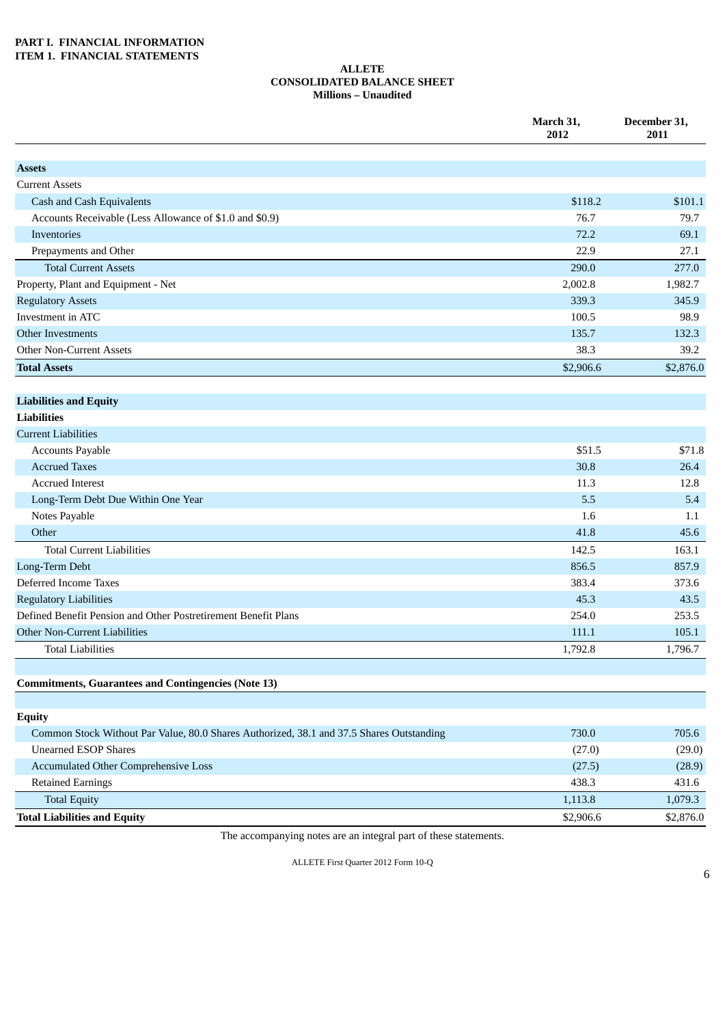#### **ALLETE CONSOLIDATED BALANCE SHEET Millions – Unaudited**

<span id="page-5-1"></span><span id="page-5-0"></span>

| <b>Assets</b><br><b>Current Assets</b><br><b>Cash and Cash Equivalents</b><br>\$118.2<br>\$101.1<br>Accounts Receivable (Less Allowance of \$1.0 and \$0.9)<br>76.7<br>79.7<br>69.1<br><b>Inventories</b><br>72.2 |
|-------------------------------------------------------------------------------------------------------------------------------------------------------------------------------------------------------------------|
|                                                                                                                                                                                                                   |
|                                                                                                                                                                                                                   |
|                                                                                                                                                                                                                   |
|                                                                                                                                                                                                                   |
|                                                                                                                                                                                                                   |
| 22.9<br>Prepayments and Other<br>27.1                                                                                                                                                                             |
| <b>Total Current Assets</b><br>290.0<br>277.0                                                                                                                                                                     |
| Property, Plant and Equipment - Net<br>2,002.8<br>1,982.7                                                                                                                                                         |
| 339.3<br><b>Regulatory Assets</b><br>345.9                                                                                                                                                                        |
| Investment in ATC<br>100.5<br>98.9                                                                                                                                                                                |
| 135.7<br>132.3<br><b>Other Investments</b>                                                                                                                                                                        |
| Other Non-Current Assets<br>38.3<br>39.2                                                                                                                                                                          |
| \$2,906.6<br><b>Total Assets</b><br>\$2,876.0                                                                                                                                                                     |
|                                                                                                                                                                                                                   |
| <b>Liabilities and Equity</b>                                                                                                                                                                                     |
| <b>Liabilities</b>                                                                                                                                                                                                |
| <b>Current Liabilities</b>                                                                                                                                                                                        |
| \$51.5<br>\$71.8<br><b>Accounts Payable</b>                                                                                                                                                                       |
| <b>Accrued Taxes</b><br>30.8<br>26.4                                                                                                                                                                              |
| <b>Accrued Interest</b><br>11.3<br>12.8                                                                                                                                                                           |
| 5.5<br>5.4<br>Long-Term Debt Due Within One Year                                                                                                                                                                  |
| 1.6<br>Notes Payable<br>1.1                                                                                                                                                                                       |
| Other<br>41.8<br>45.6                                                                                                                                                                                             |
| <b>Total Current Liabilities</b><br>142.5<br>163.1                                                                                                                                                                |
| Long-Term Debt<br>856.5<br>857.9                                                                                                                                                                                  |
| Deferred Income Taxes<br>383.4<br>373.6                                                                                                                                                                           |
| <b>Regulatory Liabilities</b><br>45.3<br>43.5                                                                                                                                                                     |
| Defined Benefit Pension and Other Postretirement Benefit Plans<br>254.0<br>253.5                                                                                                                                  |
| Other Non-Current Liabilities<br>111.1<br>105.1                                                                                                                                                                   |
| 1,792.8<br>1,796.7<br><b>Total Liabilities</b>                                                                                                                                                                    |
|                                                                                                                                                                                                                   |
| <b>Commitments, Guarantees and Contingencies (Note 13)</b>                                                                                                                                                        |
|                                                                                                                                                                                                                   |
| <b>Equity</b><br>730.0<br>705.6<br>Common Stock Without Par Value, 80.0 Shares Authorized, 38.1 and 37.5 Shares Outstanding                                                                                       |
| <b>Unearned ESOP Shares</b><br>(27.0)<br>(29.0)                                                                                                                                                                   |
| <b>Accumulated Other Comprehensive Loss</b><br>(27.5)<br>(28.9)                                                                                                                                                   |
| <b>Retained Earnings</b><br>438.3<br>431.6                                                                                                                                                                        |
| 1,113.8<br>1,079.3<br><b>Total Equity</b>                                                                                                                                                                         |
| <b>Total Liabilities and Equity</b><br>\$2,906.6<br>\$2,876.0                                                                                                                                                     |

<span id="page-5-2"></span>The accompanying notes are an integral part of these statements.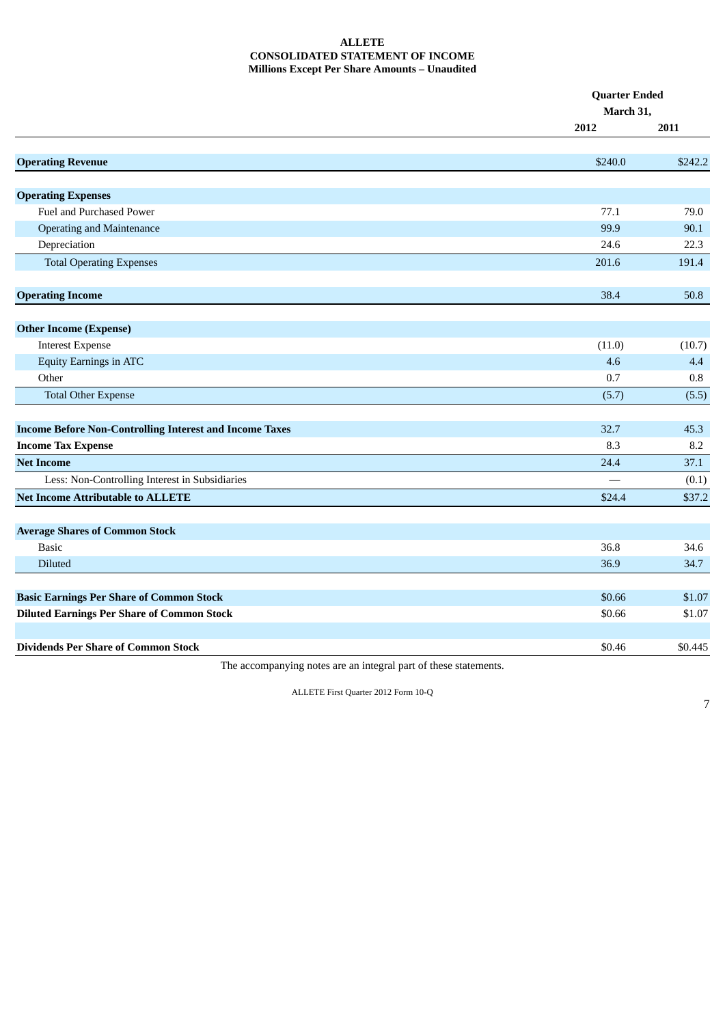## **ALLETE CONSOLIDATED STATEMENT OF INCOME Millions Except Per Share Amounts – Unaudited**

|                                                                | <b>Quarter Ended</b> |         |
|----------------------------------------------------------------|----------------------|---------|
|                                                                | March 31,            |         |
|                                                                | 2012                 | 2011    |
|                                                                |                      |         |
| <b>Operating Revenue</b>                                       | \$240.0              | \$242.2 |
| <b>Operating Expenses</b>                                      |                      |         |
| Fuel and Purchased Power                                       | 77.1                 | 79.0    |
| <b>Operating and Maintenance</b>                               | 99.9                 | 90.1    |
| Depreciation                                                   | 24.6                 | 22.3    |
| <b>Total Operating Expenses</b>                                | 201.6                | 191.4   |
|                                                                |                      |         |
| <b>Operating Income</b>                                        | 38.4                 | 50.8    |
|                                                                |                      |         |
| <b>Other Income (Expense)</b>                                  |                      |         |
| <b>Interest Expense</b>                                        | (11.0)               | (10.7)  |
| <b>Equity Earnings in ATC</b>                                  | 4.6                  | 4.4     |
| Other                                                          | 0.7                  | 0.8     |
| <b>Total Other Expense</b>                                     | (5.7)                | (5.5)   |
| <b>Income Before Non-Controlling Interest and Income Taxes</b> | 32.7                 | 45.3    |
| <b>Income Tax Expense</b>                                      | 8.3                  | 8.2     |
| <b>Net Income</b>                                              | 24.4                 | 37.1    |
| Less: Non-Controlling Interest in Subsidiaries                 |                      | (0.1)   |
| <b>Net Income Attributable to ALLETE</b>                       | \$24.4               | \$37.2  |
|                                                                |                      |         |
| <b>Average Shares of Common Stock</b>                          |                      |         |
| <b>Basic</b>                                                   | 36.8                 | 34.6    |
| Diluted                                                        | 36.9                 | 34.7    |
|                                                                |                      |         |
| <b>Basic Earnings Per Share of Common Stock</b>                | \$0.66               | \$1.07  |
| <b>Diluted Earnings Per Share of Common Stock</b>              | \$0.66               | \$1.07  |
| <b>Dividends Per Share of Common Stock</b>                     | \$0.46               | \$0.445 |
|                                                                |                      |         |

<span id="page-6-0"></span>The accompanying notes are an integral part of these statements.

ALLETE First Quarter 2012 Form 10-Q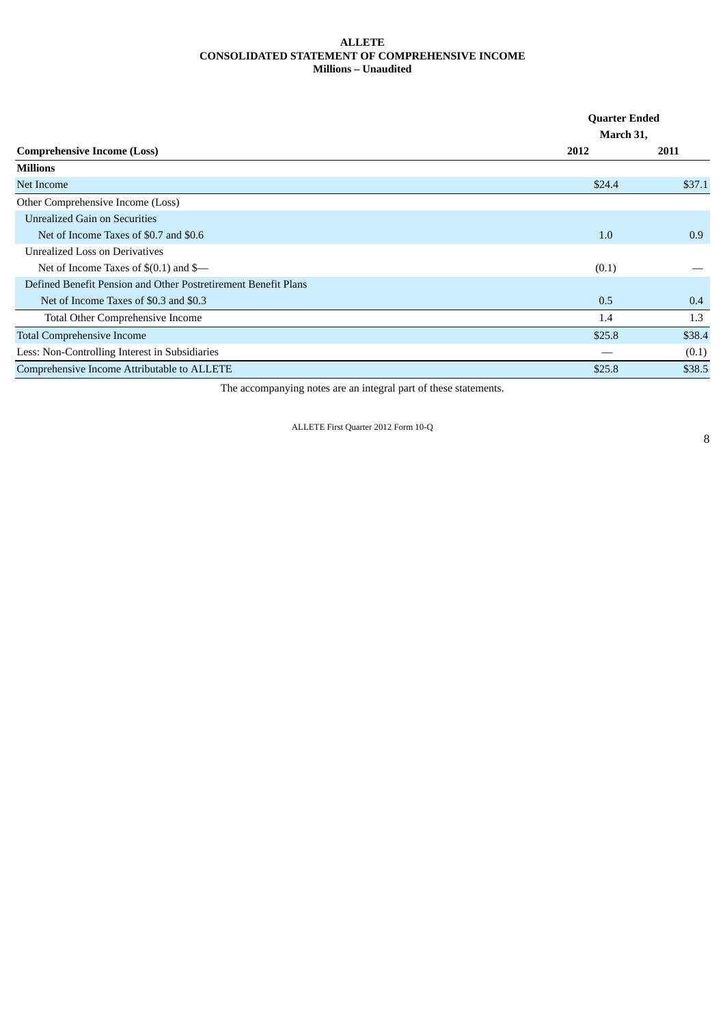## **ALLETE CONSOLIDATED STATEMENT OF COMPREHENSIVE INCOME Millions – Unaudited**

|                                                                |        | <b>Quarter Ended</b><br>March 31, |  |
|----------------------------------------------------------------|--------|-----------------------------------|--|
| <b>Comprehensive Income (Loss)</b>                             | 2012   | 2011                              |  |
| <b>Millions</b>                                                |        |                                   |  |
| Net Income                                                     | \$24.4 | \$37.1                            |  |
| Other Comprehensive Income (Loss)                              |        |                                   |  |
| <b>Unrealized Gain on Securities</b>                           |        |                                   |  |
| Net of Income Taxes of \$0.7 and \$0.6                         | 1.0    | 0.9                               |  |
| <b>Unrealized Loss on Derivatives</b>                          |        |                                   |  |
| Net of Income Taxes of $$(0.1)$ and \$—                        | (0.1)  |                                   |  |
| Defined Benefit Pension and Other Postretirement Benefit Plans |        |                                   |  |
| Net of Income Taxes of \$0.3 and \$0.3                         | 0.5    | 0.4                               |  |
| Total Other Comprehensive Income                               | 1.4    | 1.3                               |  |
| Total Comprehensive Income                                     | \$25.8 | \$38.4                            |  |
| Less: Non-Controlling Interest in Subsidiaries                 |        | (0.1)                             |  |
| Comprehensive Income Attributable to ALLETE                    | \$25.8 | \$38.5                            |  |

<span id="page-7-0"></span>The accompanying notes are an integral part of these statements.

ALLETE First Quarter 2012 Form 10-Q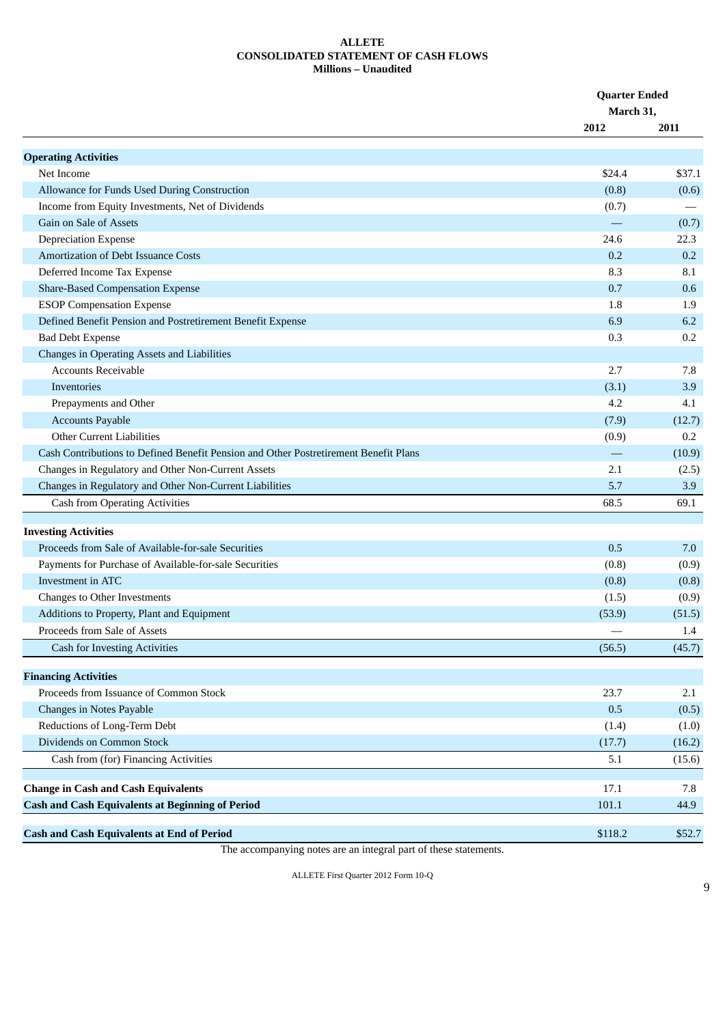## **ALLETE CONSOLIDATED STATEMENT OF CASH FLOWS Millions – Unaudited**

|                                                                                      | <b>Quarter Ended</b> |        |
|--------------------------------------------------------------------------------------|----------------------|--------|
|                                                                                      | March 31,            |        |
|                                                                                      | 2012                 | 2011   |
|                                                                                      |                      |        |
| <b>Operating Activities</b><br>Net Income                                            | \$24.4               | \$37.1 |
|                                                                                      |                      |        |
| Allowance for Funds Used During Construction                                         | (0.8)                | (0.6)  |
| Income from Equity Investments, Net of Dividends<br>Gain on Sale of Assets           | (0.7)                |        |
|                                                                                      |                      | (0.7)  |
| <b>Depreciation Expense</b>                                                          | 24.6                 | 22.3   |
| <b>Amortization of Debt Issuance Costs</b>                                           | 0.2                  | 0.2    |
| Deferred Income Tax Expense                                                          | 8.3                  | 8.1    |
| <b>Share-Based Compensation Expense</b>                                              | 0.7                  | 0.6    |
| <b>ESOP Compensation Expense</b>                                                     | 1.8                  | 1.9    |
| Defined Benefit Pension and Postretirement Benefit Expense                           | 6.9                  | 6.2    |
| <b>Bad Debt Expense</b>                                                              | 0.3                  | 0.2    |
| Changes in Operating Assets and Liabilities                                          |                      |        |
| <b>Accounts Receivable</b>                                                           | 2.7                  | 7.8    |
| Inventories                                                                          | (3.1)                | 3.9    |
| Prepayments and Other                                                                | 4.2                  | 4.1    |
| <b>Accounts Payable</b>                                                              | (7.9)                | (12.7) |
| <b>Other Current Liabilities</b>                                                     | (0.9)                | 0.2    |
| Cash Contributions to Defined Benefit Pension and Other Postretirement Benefit Plans |                      | (10.9) |
| Changes in Regulatory and Other Non-Current Assets                                   | 2.1                  | (2.5)  |
| Changes in Regulatory and Other Non-Current Liabilities                              | 5.7                  | 3.9    |
| <b>Cash from Operating Activities</b>                                                | 68.5                 | 69.1   |
| <b>Investing Activities</b>                                                          |                      |        |
| Proceeds from Sale of Available-for-sale Securities                                  | 0.5                  | 7.0    |
| Payments for Purchase of Available-for-sale Securities                               | (0.8)                | (0.9)  |
| Investment in ATC                                                                    | (0.8)                | (0.8)  |
| Changes to Other Investments                                                         | (1.5)                | (0.9)  |
| Additions to Property, Plant and Equipment                                           | (53.9)               | (51.5) |
| Proceeds from Sale of Assets                                                         |                      | 1.4    |
| <b>Cash for Investing Activities</b>                                                 | (56.5)               | (45.7) |
|                                                                                      |                      |        |
| <b>Financing Activities</b>                                                          |                      |        |
| Proceeds from Issuance of Common Stock                                               | 23.7                 | 2.1    |
| <b>Changes in Notes Payable</b>                                                      | 0.5                  | (0.5)  |
| Reductions of Long-Term Debt                                                         | (1.4)                | (1.0)  |
| Dividends on Common Stock                                                            | (17.7)               | (16.2) |
| Cash from (for) Financing Activities                                                 | 5.1                  | (15.6) |
|                                                                                      |                      |        |
| <b>Change in Cash and Cash Equivalents</b>                                           | 17.1                 | 7.8    |
| <b>Cash and Cash Equivalents at Beginning of Period</b>                              | 101.1                | 44.9   |
| <b>Cash and Cash Equivalents at End of Period</b>                                    | \$118.2              | \$52.7 |
|                                                                                      |                      |        |

<span id="page-8-0"></span>The accompanying notes are an integral part of these statements.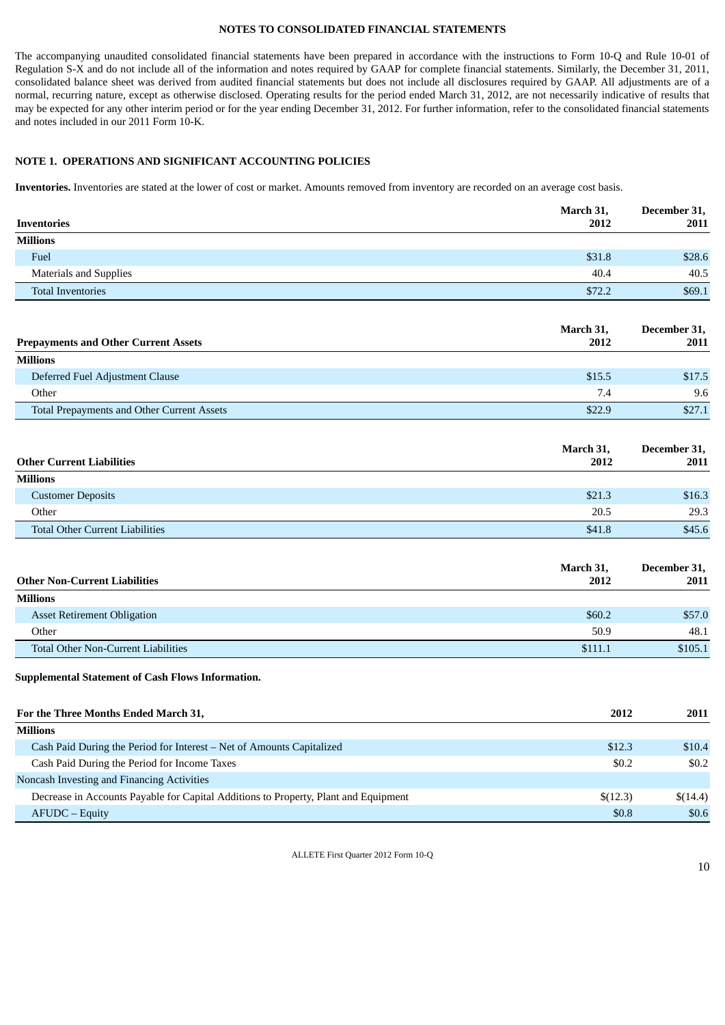## **NOTES TO CONSOLIDATED FINANCIAL STATEMENTS**

The accompanying unaudited consolidated financial statements have been prepared in accordance with the instructions to Form 10-Q and Rule 10-01 of Regulation S-X and do not include all of the information and notes required by GAAP for complete financial statements. Similarly, the December 31, 2011, consolidated balance sheet was derived from audited financial statements but does not include all disclosures required by GAAP. All adjustments are of a normal, recurring nature, except as otherwise disclosed. Operating results for the period ended March 31, 2012, are not necessarily indicative of results that may be expected for any other interim period or for the year ending December 31, 2012. For further information, refer to the consolidated financial statements and notes included in our 2011 Form 10-K.

#### **NOTE 1. OPERATIONS AND SIGNIFICANT ACCOUNTING POLICIES**

**Inventories.** Inventories are stated at the lower of cost or market. Amounts removed from inventory are recorded on an average cost basis.

| <b>Inventories</b>                                                                  | March 31,<br>2012 | December 31,<br>2011 |
|-------------------------------------------------------------------------------------|-------------------|----------------------|
| <b>Millions</b>                                                                     |                   |                      |
| Fuel                                                                                | \$31.8            | \$28.6               |
| Materials and Supplies                                                              | 40.4              | 40.5                 |
| <b>Total Inventories</b>                                                            | \$72.2            | \$69.1               |
|                                                                                     | March 31,         | December 31,         |
| <b>Prepayments and Other Current Assets</b>                                         | 2012              | 2011                 |
| <b>Millions</b>                                                                     |                   |                      |
| Deferred Fuel Adjustment Clause                                                     | \$15.5            | \$17.5               |
| Other                                                                               | 7.4               | 9.6                  |
| <b>Total Prepayments and Other Current Assets</b>                                   | \$22.9            | \$27.1               |
| <b>Other Current Liabilities</b>                                                    | March 31,<br>2012 | December 31,<br>2011 |
| <b>Millions</b>                                                                     |                   |                      |
| <b>Customer Deposits</b>                                                            | \$21.3            | \$16.3               |
| Other                                                                               | 20.5              | 29.3                 |
| <b>Total Other Current Liabilities</b>                                              | \$41.8            | \$45.6               |
| <b>Other Non-Current Liabilities</b>                                                | March 31,<br>2012 | December 31,<br>2011 |
| <b>Millions</b>                                                                     |                   |                      |
| <b>Asset Retirement Obligation</b>                                                  | \$60.2            | \$57.0               |
| Other                                                                               | 50.9              | 48.1                 |
| <b>Total Other Non-Current Liabilities</b>                                          | \$111.1           | \$105.1              |
| Supplemental Statement of Cash Flows Information.                                   |                   |                      |
| For the Three Months Ended March 31,                                                | 2012              | 2011                 |
| <b>Millions</b>                                                                     |                   |                      |
| Cash Paid During the Period for Interest - Net of Amounts Capitalized               | \$12.3            | \$10.4               |
| Cash Paid During the Period for Income Taxes                                        | \$0.2             | \$0.2                |
| Noncash Investing and Financing Activities                                          |                   |                      |
| Decrease in Accounts Payable for Capital Additions to Property, Plant and Equipment | \$(12.3)          | \$(14.4)             |
| AFUDC - Equity                                                                      | \$0.8             | \$0.6                |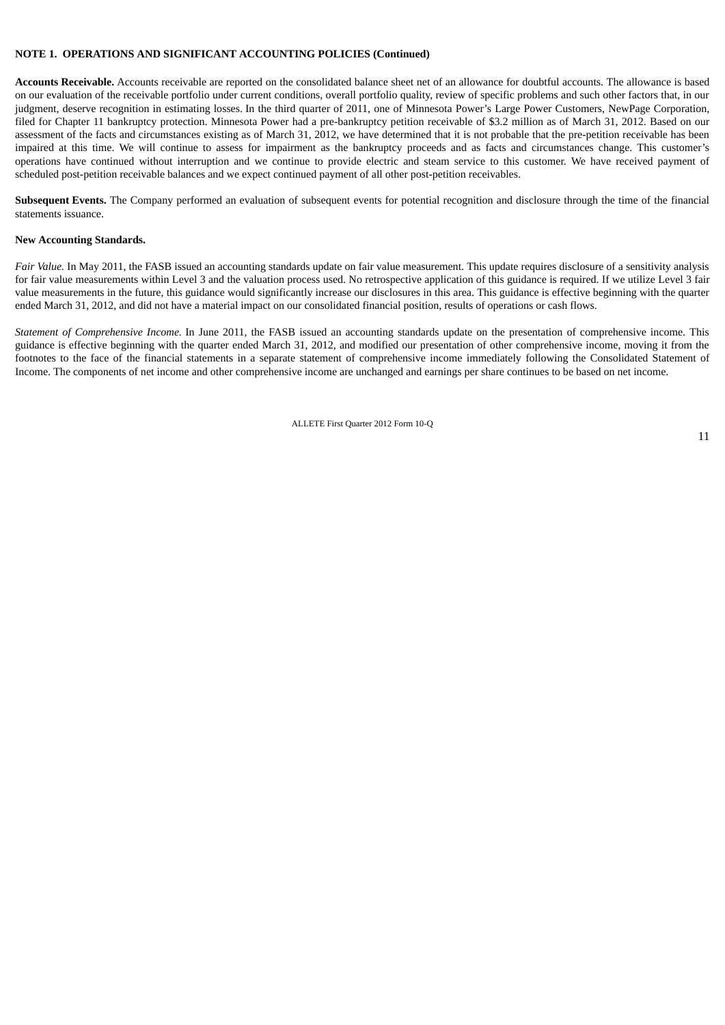#### **NOTE 1. OPERATIONS AND SIGNIFICANT ACCOUNTING POLICIES (Continued)**

**Accounts Receivable.** Accounts receivable are reported on the consolidated balance sheet net of an allowance for doubtful accounts. The allowance is based on our evaluation of the receivable portfolio under current conditions, overall portfolio quality, review of specific problems and such other factors that, in our judgment, deserve recognition in estimating losses. In the third quarter of 2011, one of Minnesota Power's Large Power Customers, NewPage Corporation, filed for Chapter 11 bankruptcy protection. Minnesota Power had a pre-bankruptcy petition receivable of \$3.2 million as of March 31, 2012. Based on our assessment of the facts and circumstances existing as of March 31, 2012, we have determined that it is not probable that the pre-petition receivable has been impaired at this time. We will continue to assess for impairment as the bankruptcy proceeds and as facts and circumstances change. This customer's operations have continued without interruption and we continue to provide electric and steam service to this customer. We have received payment of scheduled post-petition receivable balances and we expect continued payment of all other post-petition receivables.

**Subsequent Events.** The Company performed an evaluation of subsequent events for potential recognition and disclosure through the time of the financial statements issuance.

#### **New Accounting Standards.**

*Fair Value.* In May 2011, the FASB issued an accounting standards update on fair value measurement. This update requires disclosure of a sensitivity analysis for fair value measurements within Level 3 and the valuation process used. No retrospective application of this guidance is required. If we utilize Level 3 fair value measurements in the future, this guidance would significantly increase our disclosures in this area. This guidance is effective beginning with the quarter ended March 31, 2012, and did not have a material impact on our consolidated financial position, results of operations or cash flows.

*Statement of Comprehensive Income.* In June 2011, the FASB issued an accounting standards update on the presentation of comprehensive income. This guidance is effective beginning with the quarter ended March 31, 2012, and modified our presentation of other comprehensive income, moving it from the footnotes to the face of the financial statements in a separate statement of comprehensive income immediately following the Consolidated Statement of Income. The components of net income and other comprehensive income are unchanged and earnings per share continues to be based on net income.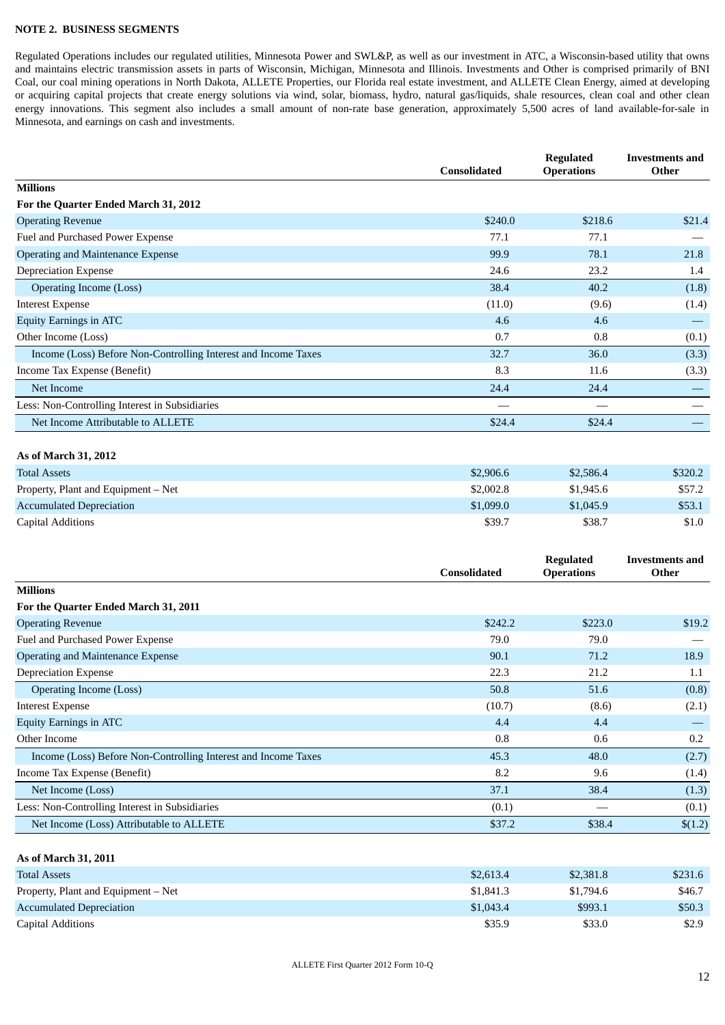## **NOTE 2. BUSINESS SEGMENTS**

Regulated Operations includes our regulated utilities, Minnesota Power and SWL&P, as well as our investment in ATC, a Wisconsin-based utility that owns and maintains electric transmission assets in parts of Wisconsin, Michigan, Minnesota and Illinois. Investments and Other is comprised primarily of BNI Coal, our coal mining operations in North Dakota, ALLETE Properties, our Florida real estate investment, and ALLETE Clean Energy, aimed at developing or acquiring capital projects that create energy solutions via wind, solar, biomass, hydro, natural gas/liquids, shale resources, clean coal and other clean energy innovations. This segment also includes a small amount of non-rate base generation, approximately 5,500 acres of land available-for-sale in Minnesota, and earnings on cash and investments.

|                                                                | Consolidated        | <b>Regulated</b><br><b>Operations</b> | <b>Investments and</b><br>Other |
|----------------------------------------------------------------|---------------------|---------------------------------------|---------------------------------|
| <b>Millions</b>                                                |                     |                                       |                                 |
| For the Quarter Ended March 31, 2012                           |                     |                                       |                                 |
| <b>Operating Revenue</b>                                       | \$240.0             | \$218.6                               | \$21.4                          |
| Fuel and Purchased Power Expense                               | 77.1                | 77.1                                  |                                 |
| <b>Operating and Maintenance Expense</b>                       | 99.9                | 78.1                                  | 21.8                            |
| <b>Depreciation Expense</b>                                    | 24.6                | 23.2                                  | 1.4                             |
| <b>Operating Income (Loss)</b>                                 | 38.4                | 40.2                                  | (1.8)                           |
| <b>Interest Expense</b>                                        | (11.0)              | (9.6)                                 | (1.4)                           |
| <b>Equity Earnings in ATC</b>                                  | 4.6                 | 4.6                                   |                                 |
| Other Income (Loss)                                            | 0.7                 | 0.8                                   | (0.1)                           |
| Income (Loss) Before Non-Controlling Interest and Income Taxes | 32.7                | 36.0                                  | (3.3)                           |
| Income Tax Expense (Benefit)                                   | 8.3                 | 11.6                                  | (3.3)                           |
| Net Income                                                     | 24.4                | 24.4                                  |                                 |
| Less: Non-Controlling Interest in Subsidiaries                 |                     |                                       |                                 |
| Net Income Attributable to ALLETE                              | \$24.4              | \$24.4                                |                                 |
| As of March 31, 2012                                           |                     |                                       |                                 |
| <b>Total Assets</b>                                            | \$2,906.6           | \$2,586.4                             | \$320.2                         |
| Property, Plant and Equipment - Net                            | \$2,002.8           | \$1,945.6                             | \$57.2                          |
| <b>Accumulated Depreciation</b>                                | \$1,099.0           | \$1,045.9                             | \$53.1                          |
| <b>Capital Additions</b>                                       | \$39.7              | \$38.7                                | \$1.0                           |
|                                                                | <b>Consolidated</b> | <b>Regulated</b><br><b>Operations</b> | <b>Investments</b> and<br>Other |
| <b>Millions</b>                                                |                     |                                       |                                 |
| For the Quarter Ended March 31, 2011                           |                     |                                       |                                 |
| <b>Operating Revenue</b>                                       | \$242.2             | \$223.0                               | \$19.2                          |
| Fuel and Purchased Power Expense                               | 79.0                | 79.0                                  |                                 |
| <b>Operating and Maintenance Expense</b>                       | 90.1                | 71.2                                  | 18.9                            |
| <b>Depreciation Expense</b>                                    | 22.3                | 21.2                                  | $1.1\,$                         |
| <b>Operating Income (Loss)</b>                                 | 50.8                | 51.6                                  | (0.8)                           |
| <b>Interest Expense</b>                                        | (10.7)              | (8.6)                                 | (2.1)                           |
| <b>Equity Earnings in ATC</b>                                  | 4.4                 | 4.4                                   |                                 |
| Other Income                                                   | 0.8                 | 0.6                                   | $0.2\,$                         |
| Income (Loss) Before Non-Controlling Interest and Income Taxes | 45.3                | 48.0                                  | (2.7)                           |
| Income Tax Expense (Benefit)                                   | 8.2                 | 9.6                                   | (1.4)                           |
| Net Income (Loss)                                              | 37.1                | 38.4                                  | (1.3)                           |
| Less: Non-Controlling Interest in Subsidiaries                 | (0.1)               |                                       | (0.1)                           |
| Net Income (Loss) Attributable to ALLETE                       | \$37.2              | \$38.4                                | \$(1.2)                         |

| As of March 31, 2011                |           |           |         |
|-------------------------------------|-----------|-----------|---------|
| <b>Total Assets</b>                 | \$2,613.4 | \$2,381.8 | \$231.6 |
| Property, Plant and Equipment – Net | \$1,841.3 | \$1,794.6 | \$46.7  |
| <b>Accumulated Depreciation</b>     | \$1,043.4 | \$993.1   | \$50.3  |
| <b>Capital Additions</b>            | \$35.9    | \$33.0    | \$2.9   |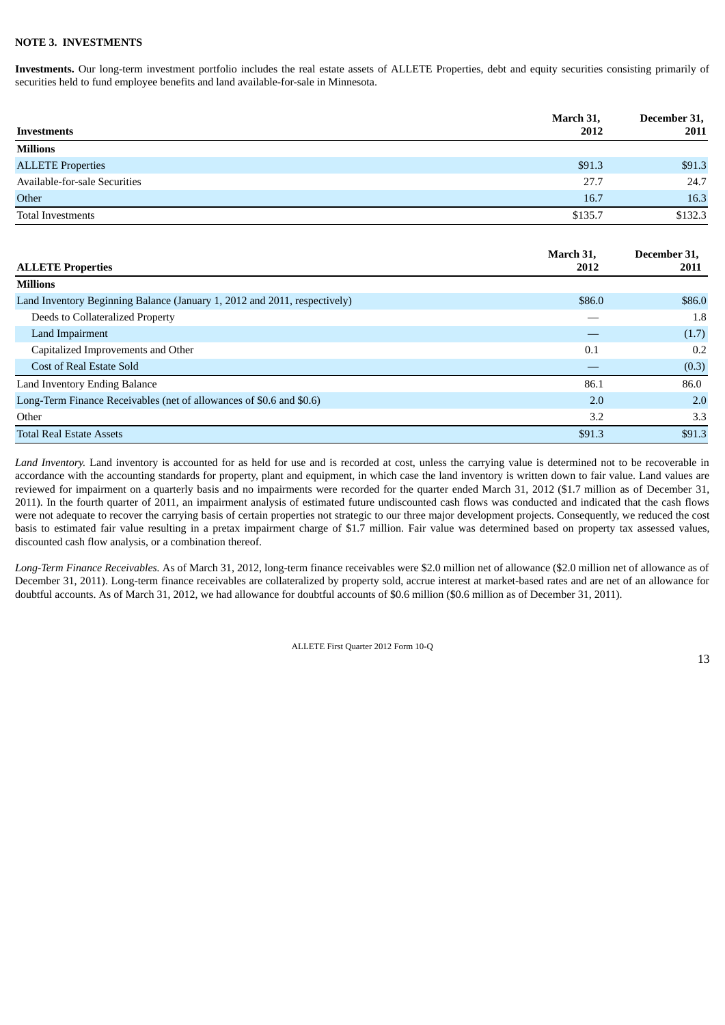## **NOTE 3. INVESTMENTS**

**Investments.** Our long-term investment portfolio includes the real estate assets of ALLETE Properties, debt and equity securities consisting primarily of securities held to fund employee benefits and land available-for-sale in Minnesota.

|                               | March 31, | December 31, |
|-------------------------------|-----------|--------------|
| <b>Investments</b>            | 2012      | 2011         |
| <b>Millions</b>               |           |              |
| <b>ALLETE Properties</b>      | \$91.3    | \$91.3       |
| Available-for-sale Securities | 27.7      | 24.7         |
| Other                         | 16.7      | 16.3         |
| <b>Total Investments</b>      | \$135.7   | \$132.3      |

| <b>ALLETE Properties</b>                                                  | March 31,<br>2012 | December 31.<br>2011 |
|---------------------------------------------------------------------------|-------------------|----------------------|
| <b>Millions</b>                                                           |                   |                      |
| Land Inventory Beginning Balance (January 1, 2012 and 2011, respectively) | \$86.0            | \$86.0               |
| Deeds to Collateralized Property                                          |                   | 1.8                  |
| Land Impairment                                                           |                   | (1.7)                |
| Capitalized Improvements and Other                                        | 0.1               | 0.2                  |
| Cost of Real Estate Sold                                                  |                   | (0.3)                |
| Land Inventory Ending Balance                                             | 86.1              | 86.0                 |
| Long-Term Finance Receivables (net of allowances of \$0.6 and \$0.6)      | 2.0               | 2.0                  |
| Other                                                                     | 3.2               | 3.3                  |
| <b>Total Real Estate Assets</b>                                           | \$91.3            | \$91.3               |

*Land Inventory.* Land inventory is accounted for as held for use and is recorded at cost, unless the carrying value is determined not to be recoverable in accordance with the accounting standards for property, plant and equipment, in which case the land inventory is written down to fair value. Land values are reviewed for impairment on a quarterly basis and no impairments were recorded for the quarter ended March 31, 2012 (\$1.7 million as of December 31, 2011). In the fourth quarter of 2011, an impairment analysis of estimated future undiscounted cash flows was conducted and indicated that the cash flows were not adequate to recover the carrying basis of certain properties not strategic to our three major development projects. Consequently, we reduced the cost basis to estimated fair value resulting in a pretax impairment charge of \$1.7 million. Fair value was determined based on property tax assessed values, discounted cash flow analysis, or a combination thereof.

*Long-Term Finance Receivables.* As of March 31, 2012, long-term finance receivables were \$2.0 million net of allowance (\$2.0 million net of allowance as of December 31, 2011). Long-term finance receivables are collateralized by property sold, accrue interest at market-based rates and are net of an allowance for doubtful accounts. As of March 31, 2012, we had allowance for doubtful accounts of \$0.6 million (\$0.6 million as of December 31, 2011).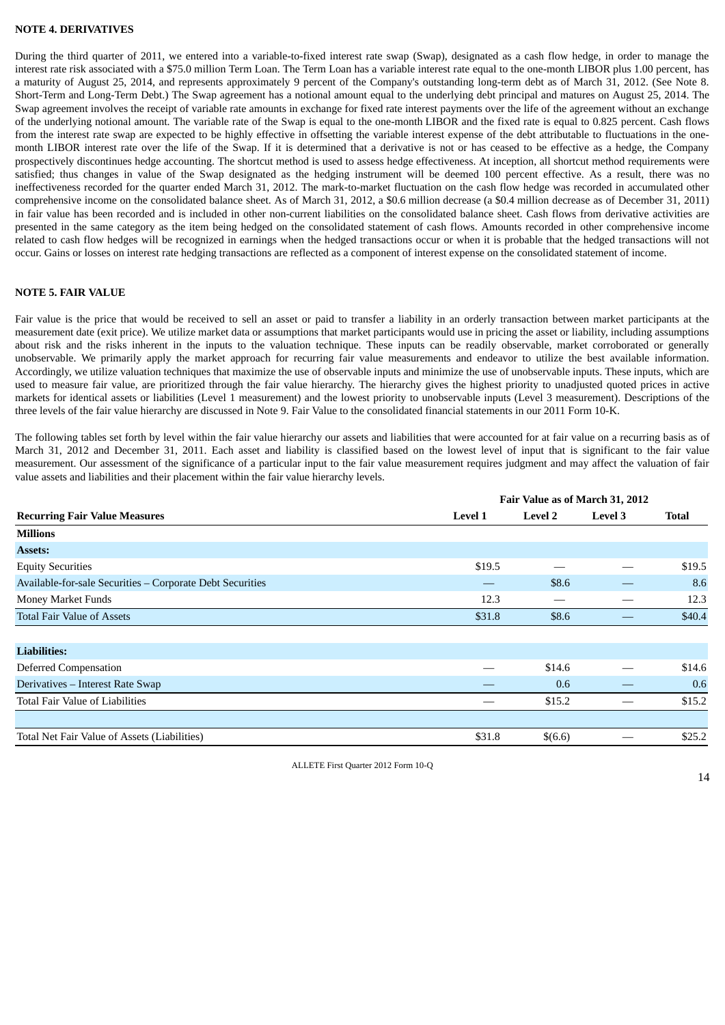## **NOTE 4. DERIVATIVES**

During the third quarter of 2011, we entered into a variable-to-fixed interest rate swap (Swap), designated as a cash flow hedge, in order to manage the interest rate risk associated with a \$75.0 million Term Loan. The Term Loan has a variable interest rate equal to the one-month LIBOR plus 1.00 percent, has a maturity of August 25, 2014, and represents approximately 9 percent of the Company's outstanding long-term debt as of March 31, 2012. (See Note 8. Short-Term and Long-Term Debt.) The Swap agreement has a notional amount equal to the underlying debt principal and matures on August 25, 2014. The Swap agreement involves the receipt of variable rate amounts in exchange for fixed rate interest payments over the life of the agreement without an exchange of the underlying notional amount. The variable rate of the Swap is equal to the one-month LIBOR and the fixed rate is equal to 0.825 percent. Cash flows from the interest rate swap are expected to be highly effective in offsetting the variable interest expense of the debt attributable to fluctuations in the onemonth LIBOR interest rate over the life of the Swap. If it is determined that a derivative is not or has ceased to be effective as a hedge, the Company prospectively discontinues hedge accounting. The shortcut method is used to assess hedge effectiveness. At inception, all shortcut method requirements were satisfied; thus changes in value of the Swap designated as the hedging instrument will be deemed 100 percent effective. As a result, there was no ineffectiveness recorded for the quarter ended March 31, 2012. The mark-to-market fluctuation on the cash flow hedge was recorded in accumulated other comprehensive income on the consolidated balance sheet. As of March 31, 2012, a \$0.6 million decrease (a \$0.4 million decrease as of December 31, 2011) in fair value has been recorded and is included in other non-current liabilities on the consolidated balance sheet. Cash flows from derivative activities are presented in the same category as the item being hedged on the consolidated statement of cash flows. Amounts recorded in other comprehensive income related to cash flow hedges will be recognized in earnings when the hedged transactions occur or when it is probable that the hedged transactions will not occur. Gains or losses on interest rate hedging transactions are reflected as a component of interest expense on the consolidated statement of income.

#### **NOTE 5. FAIR VALUE**

Fair value is the price that would be received to sell an asset or paid to transfer a liability in an orderly transaction between market participants at the measurement date (exit price). We utilize market data or assumptions that market participants would use in pricing the asset or liability, including assumptions about risk and the risks inherent in the inputs to the valuation technique. These inputs can be readily observable, market corroborated or generally unobservable. We primarily apply the market approach for recurring fair value measurements and endeavor to utilize the best available information. Accordingly, we utilize valuation techniques that maximize the use of observable inputs and minimize the use of unobservable inputs. These inputs, which are used to measure fair value, are prioritized through the fair value hierarchy. The hierarchy gives the highest priority to unadjusted quoted prices in active markets for identical assets or liabilities (Level 1 measurement) and the lowest priority to unobservable inputs (Level 3 measurement). Descriptions of the three levels of the fair value hierarchy are discussed in Note 9. Fair Value to the consolidated financial statements in our 2011 Form 10-K.

The following tables set forth by level within the fair value hierarchy our assets and liabilities that were accounted for at fair value on a recurring basis as of March 31, 2012 and December 31, 2011. Each asset and liability is classified based on the lowest level of input that is significant to the fair value measurement. Our assessment of the significance of a particular input to the fair value measurement requires judgment and may affect the valuation of fair value assets and liabilities and their placement within the fair value hierarchy levels.

|                                                           |                | Fair Value as of March 31, 2012 |                |              |  |
|-----------------------------------------------------------|----------------|---------------------------------|----------------|--------------|--|
| <b>Recurring Fair Value Measures</b>                      | <b>Level 1</b> | <b>Level 2</b>                  | <b>Level 3</b> | <b>Total</b> |  |
| <b>Millions</b>                                           |                |                                 |                |              |  |
| <b>Assets:</b>                                            |                |                                 |                |              |  |
| <b>Equity Securities</b>                                  | \$19.5         |                                 |                | \$19.5       |  |
| Available-for-sale Securities - Corporate Debt Securities |                | \$8.6                           |                | 8.6          |  |
| <b>Money Market Funds</b>                                 | 12.3           |                                 |                | 12.3         |  |
| <b>Total Fair Value of Assets</b>                         | \$31.8         | \$8.6                           |                | \$40.4       |  |
| <b>Liabilities:</b>                                       |                |                                 |                |              |  |
| <b>Deferred Compensation</b>                              |                | \$14.6                          |                | \$14.6       |  |
| Derivatives – Interest Rate Swap                          |                | 0.6                             |                | 0.6          |  |
| <b>Total Fair Value of Liabilities</b>                    |                | \$15.2                          |                | \$15.2       |  |
| Total Net Fair Value of Assets (Liabilities)              | \$31.8         | \$(6.6)                         |                | \$25.2       |  |

ALLETE First Quarter 2012 Form 10-Q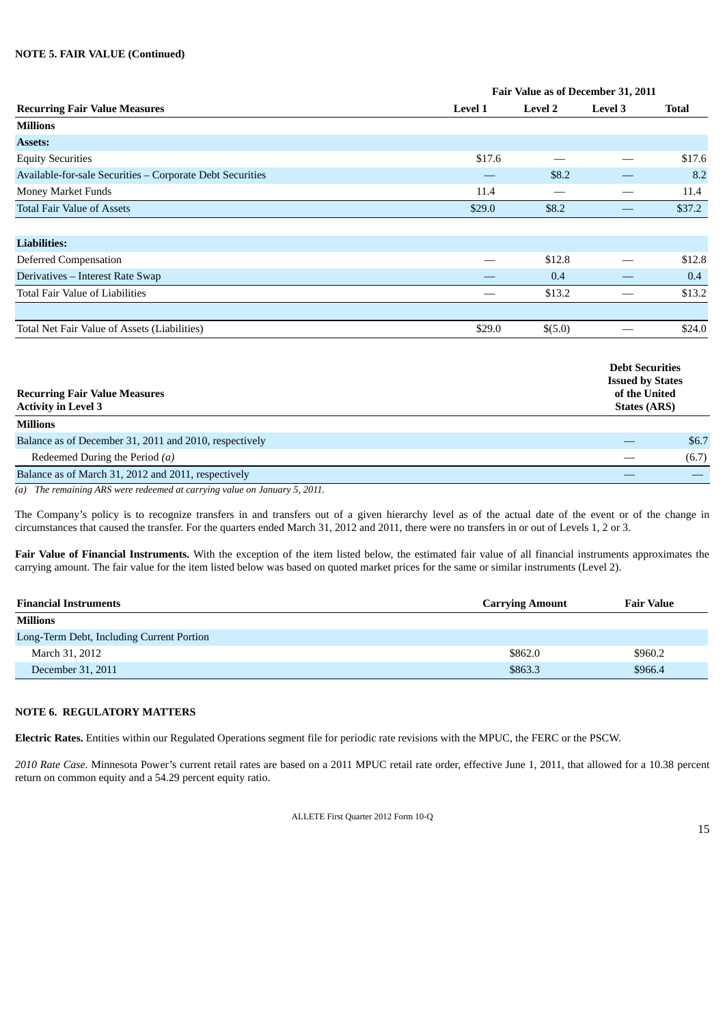#### **NOTE 5. FAIR VALUE (Continued)**

| <b>Level 1</b><br>\$17.6<br>11.4 | <b>Level 2</b><br>\$8.2 | Level 3                                                                                   | <b>Total</b><br>\$17.6 |
|----------------------------------|-------------------------|-------------------------------------------------------------------------------------------|------------------------|
|                                  |                         |                                                                                           |                        |
|                                  |                         |                                                                                           |                        |
|                                  |                         |                                                                                           |                        |
|                                  |                         |                                                                                           |                        |
|                                  |                         |                                                                                           | 8.2                    |
|                                  |                         |                                                                                           | 11.4                   |
| \$29.0                           | \$8.2                   |                                                                                           | \$37.2                 |
|                                  |                         |                                                                                           |                        |
|                                  |                         |                                                                                           |                        |
|                                  | \$12.8                  |                                                                                           | \$12.8                 |
|                                  | 0.4                     |                                                                                           | 0.4                    |
|                                  | \$13.2                  |                                                                                           | \$13.2                 |
|                                  |                         |                                                                                           |                        |
| \$29.0                           | \$(5.0)                 |                                                                                           | \$24.0                 |
|                                  |                         | <b>Debt Securities</b><br><b>Issued by States</b><br>of the United<br><b>States (ARS)</b> |                        |
|                                  |                         |                                                                                           |                        |

| Balance as of December 31, 2011 and 2010, respectively | \$6.7 |
|--------------------------------------------------------|-------|
| Redeemed During the Period $(a)$                       |       |
| Balance as of March 31, 2012 and 2011, respectively    |       |
| .<br>- ----                                            |       |

*(a) The remaining ARS were redeemed at carrying value on January 5, 2011.*

The Company's policy is to recognize transfers in and transfers out of a given hierarchy level as of the actual date of the event or of the change in circumstances that caused the transfer. For the quarters ended March 31, 2012 and 2011, there were no transfers in or out of Levels 1, 2 or 3.

**Fair Value of Financial Instruments.** With the exception of the item listed below, the estimated fair value of all financial instruments approximates the carrying amount. The fair value for the item listed below was based on quoted market prices for the same or similar instruments (Level 2).

| <b>Financial Instruments</b>              | <b>Carrying Amount</b> | <b>Fair Value</b> |
|-------------------------------------------|------------------------|-------------------|
| <b>Millions</b>                           |                        |                   |
| Long-Term Debt, Including Current Portion |                        |                   |
| March 31, 2012                            | \$862.0                | \$960.2           |
| December 31, 2011                         | \$863.3                | \$966.4           |

## **NOTE 6. REGULATORY MATTERS**

**Electric Rates.** Entities within our Regulated Operations segment file for periodic rate revisions with the MPUC, the FERC or the PSCW.

*2010 Rate Case.* Minnesota Power's current retail rates are based on a 2011 MPUC retail rate order, effective June 1, 2011, that allowed for a 10.38 percent return on common equity and a 54.29 percent equity ratio.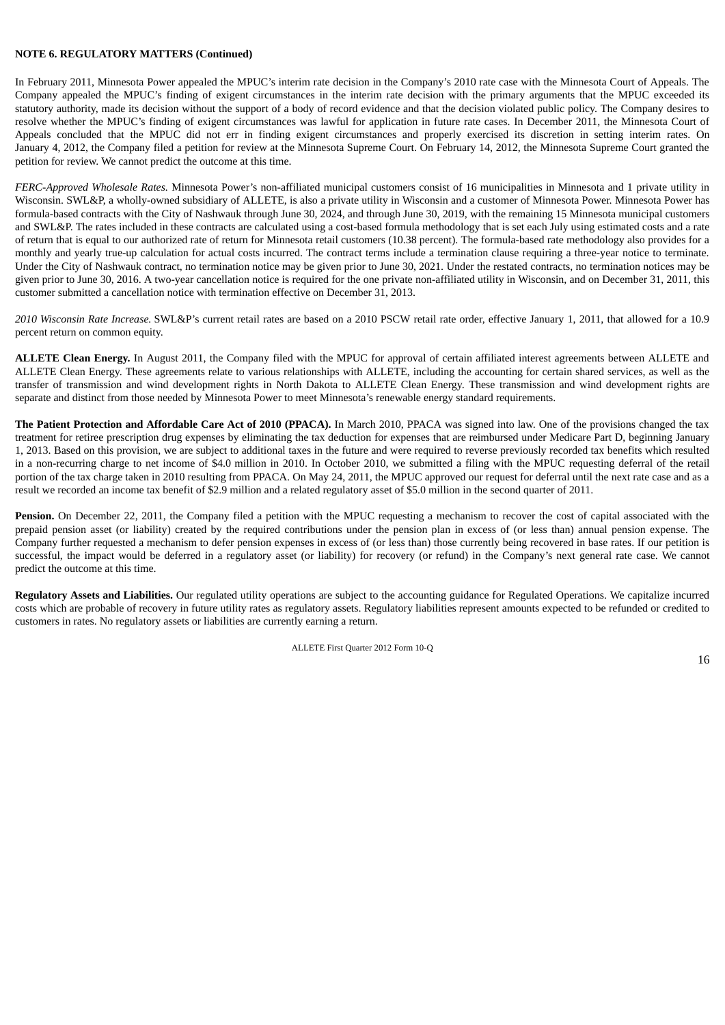#### **NOTE 6. REGULATORY MATTERS (Continued)**

In February 2011, Minnesota Power appealed the MPUC's interim rate decision in the Company's 2010 rate case with the Minnesota Court of Appeals. The Company appealed the MPUC's finding of exigent circumstances in the interim rate decision with the primary arguments that the MPUC exceeded its statutory authority, made its decision without the support of a body of record evidence and that the decision violated public policy. The Company desires to resolve whether the MPUC's finding of exigent circumstances was lawful for application in future rate cases. In December 2011, the Minnesota Court of Appeals concluded that the MPUC did not err in finding exigent circumstances and properly exercised its discretion in setting interim rates. On January 4, 2012, the Company filed a petition for review at the Minnesota Supreme Court. On February 14, 2012, the Minnesota Supreme Court granted the petition for review. We cannot predict the outcome at this time.

*FERC-Approved Wholesale Rates.* Minnesota Power's non-affiliated municipal customers consist of 16 municipalities in Minnesota and 1 private utility in Wisconsin. SWL&P, a wholly-owned subsidiary of ALLETE, is also a private utility in Wisconsin and a customer of Minnesota Power. Minnesota Power has formula-based contracts with the City of Nashwauk through June 30, 2024, and through June 30, 2019, with the remaining 15 Minnesota municipal customers and SWL&P. The rates included in these contracts are calculated using a cost-based formula methodology that is set each July using estimated costs and a rate of return that is equal to our authorized rate of return for Minnesota retail customers (10.38 percent). The formula-based rate methodology also provides for a monthly and yearly true-up calculation for actual costs incurred. The contract terms include a termination clause requiring a three-year notice to terminate. Under the City of Nashwauk contract, no termination notice may be given prior to June 30, 2021. Under the restated contracts, no termination notices may be given prior to June 30, 2016. A two-year cancellation notice is required for the one private non-affiliated utility in Wisconsin, and on December 31, 2011, this customer submitted a cancellation notice with termination effective on December 31, 2013.

*2010 Wisconsin Rate Increase.* SWL&P's current retail rates are based on a 2010 PSCW retail rate order, effective January 1, 2011, that allowed for a 10.9 percent return on common equity.

**ALLETE Clean Energy.** In August 2011, the Company filed with the MPUC for approval of certain affiliated interest agreements between ALLETE and ALLETE Clean Energy. These agreements relate to various relationships with ALLETE, including the accounting for certain shared services, as well as the transfer of transmission and wind development rights in North Dakota to ALLETE Clean Energy. These transmission and wind development rights are separate and distinct from those needed by Minnesota Power to meet Minnesota's renewable energy standard requirements.

**The Patient Protection and Affordable Care Act of 2010 (PPACA).** In March 2010, PPACA was signed into law. One of the provisions changed the tax treatment for retiree prescription drug expenses by eliminating the tax deduction for expenses that are reimbursed under Medicare Part D, beginning January 1, 2013. Based on this provision, we are subject to additional taxes in the future and were required to reverse previously recorded tax benefits which resulted in a non-recurring charge to net income of \$4.0 million in 2010. In October 2010, we submitted a filing with the MPUC requesting deferral of the retail portion of the tax charge taken in 2010 resulting from PPACA. On May 24, 2011, the MPUC approved our request for deferral until the next rate case and as a result we recorded an income tax benefit of \$2.9 million and a related regulatory asset of \$5.0 million in the second quarter of 2011.

Pension. On December 22, 2011, the Company filed a petition with the MPUC requesting a mechanism to recover the cost of capital associated with the prepaid pension asset (or liability) created by the required contributions under the pension plan in excess of (or less than) annual pension expense. The Company further requested a mechanism to defer pension expenses in excess of (or less than) those currently being recovered in base rates. If our petition is successful, the impact would be deferred in a regulatory asset (or liability) for recovery (or refund) in the Company's next general rate case. We cannot predict the outcome at this time.

**Regulatory Assets and Liabilities.** Our regulated utility operations are subject to the accounting guidance for Regulated Operations. We capitalize incurred costs which are probable of recovery in future utility rates as regulatory assets. Regulatory liabilities represent amounts expected to be refunded or credited to customers in rates. No regulatory assets or liabilities are currently earning a return.

ALLETE First Quarter 2012 Form 10-Q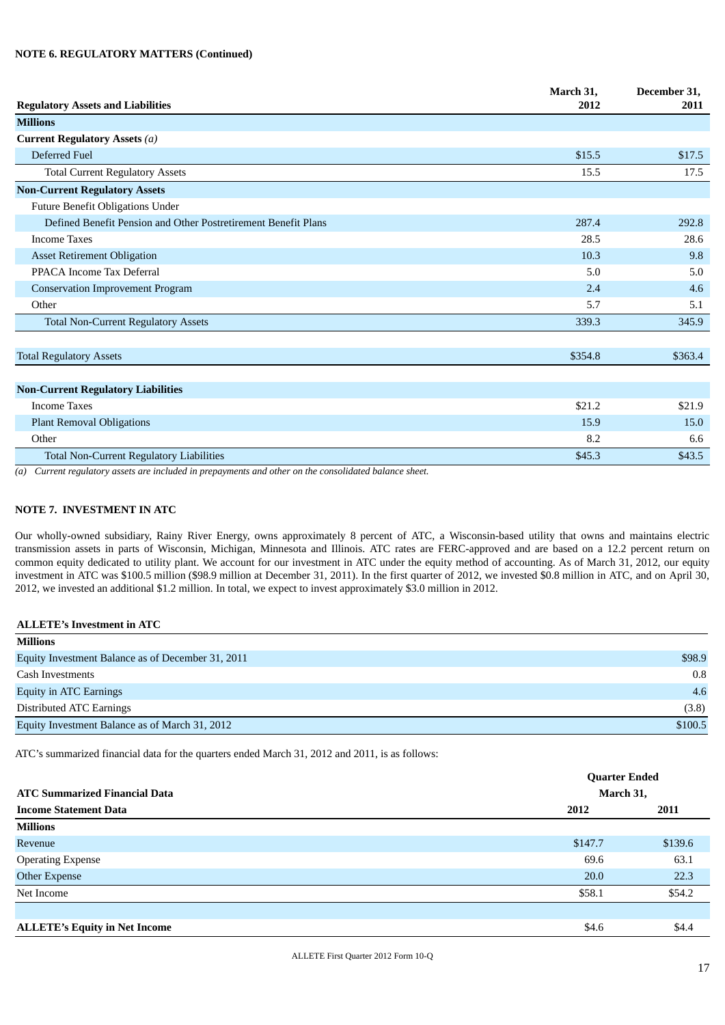#### **NOTE 6. REGULATORY MATTERS (Continued)**

| <b>Regulatory Assets and Liabilities</b>                       | March 31.<br>2012 | December 31,<br>2011 |
|----------------------------------------------------------------|-------------------|----------------------|
| <b>Millions</b>                                                |                   |                      |
| <b>Current Regulatory Assets (a)</b>                           |                   |                      |
| Deferred Fuel                                                  | \$15.5            | \$17.5               |
| <b>Total Current Regulatory Assets</b>                         | 15.5              | 17.5                 |
| <b>Non-Current Regulatory Assets</b>                           |                   |                      |
| Future Benefit Obligations Under                               |                   |                      |
| Defined Benefit Pension and Other Postretirement Benefit Plans | 287.4             | 292.8                |
| <b>Income Taxes</b>                                            | 28.5              | 28.6                 |
| <b>Asset Retirement Obligation</b>                             | 10.3              | 9.8                  |
| PPACA Income Tax Deferral                                      | 5.0               | 5.0                  |
| <b>Conservation Improvement Program</b>                        | 2.4               | 4.6                  |
| Other                                                          | 5.7               | 5.1                  |
| <b>Total Non-Current Regulatory Assets</b>                     | 339.3             | 345.9                |
|                                                                |                   |                      |
| <b>Total Regulatory Assets</b>                                 | \$354.8           | \$363.4              |
|                                                                |                   |                      |
| <b>Non-Current Regulatory Liabilities</b>                      |                   |                      |
| <b>Income Taxes</b>                                            | \$21.2            | \$21.9               |
| <b>Plant Removal Obligations</b>                               | 15.9              | 15.0                 |
| Other                                                          | 8.2               | 6.6                  |
| <b>Total Non-Current Regulatory Liabilities</b>                | \$45.3            | \$43.5               |

*(a) Current regulatory assets are included in prepayments and other on the consolidated balance sheet.*

## **NOTE 7. INVESTMENT IN ATC**

Our wholly-owned subsidiary, Rainy River Energy, owns approximately 8 percent of ATC, a Wisconsin-based utility that owns and maintains electric transmission assets in parts of Wisconsin, Michigan, Minnesota and Illinois. ATC rates are FERC-approved and are based on a 12.2 percent return on common equity dedicated to utility plant. We account for our investment in ATC under the equity method of accounting. As of March 31, 2012, our equity investment in ATC was \$100.5 million (\$98.9 million at December 31, 2011). In the first quarter of 2012, we invested \$0.8 million in ATC, and on April 30, 2012, we invested an additional \$1.2 million. In total, we expect to invest approximately \$3.0 million in 2012.

## **ALLETE's Investment in ATC**

| <b>Millions</b>                                   |         |
|---------------------------------------------------|---------|
| Equity Investment Balance as of December 31, 2011 | \$98.9  |
| Cash Investments                                  | 0.8     |
| Equity in ATC Earnings                            | 4.6     |
| Distributed ATC Earnings                          | (3.8)   |
| Equity Investment Balance as of March 31, 2012    | \$100.5 |

ATC's summarized financial data for the quarters ended March 31, 2012 and 2011, is as follows:

|                                      |         | <b>Quarter Ended</b> |
|--------------------------------------|---------|----------------------|
| <b>ATC Summarized Financial Data</b> |         | March 31,            |
| <b>Income Statement Data</b>         | 2012    | 2011                 |
| <b>Millions</b>                      |         |                      |
| Revenue                              | \$147.7 | \$139.6              |
| <b>Operating Expense</b>             | 69.6    | 63.1                 |
| Other Expense                        | 20.0    | 22.3                 |
| Net Income                           | \$58.1  | \$54.2               |
|                                      |         |                      |
| <b>ALLETE's Equity in Net Income</b> | \$4.6   | \$4.4                |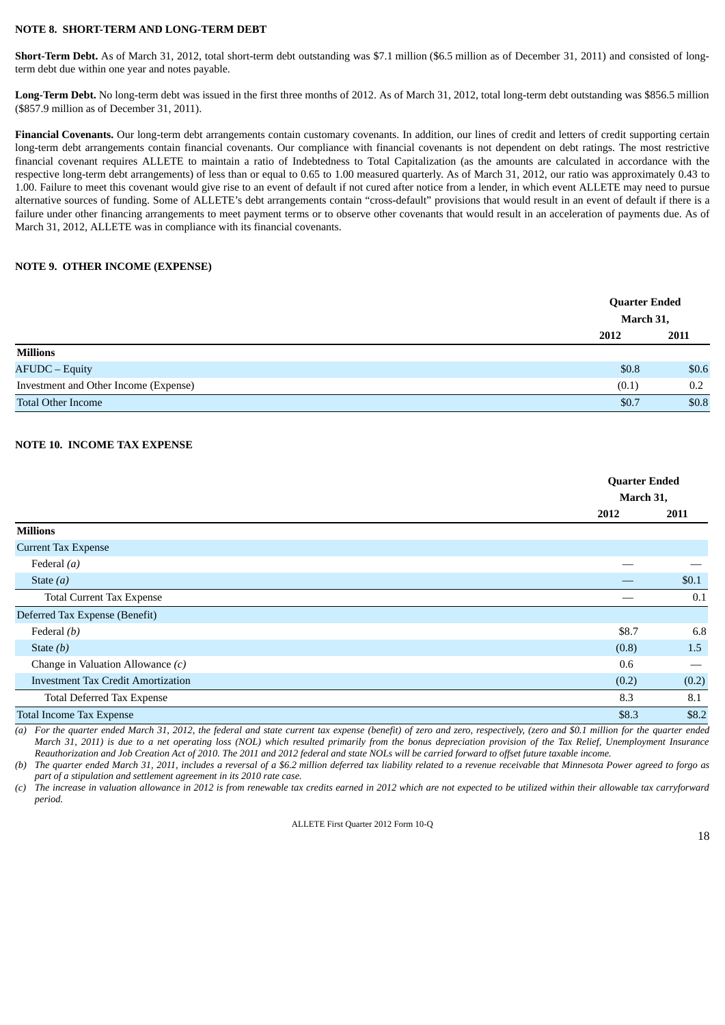## **NOTE 8. SHORT-TERM AND LONG-TERM DEBT**

**Short-Term Debt.** As of March 31, 2012, total short-term debt outstanding was \$7.1 million (\$6.5 million as of December 31, 2011) and consisted of longterm debt due within one year and notes payable.

**Long-Term Debt.** No long-term debt was issued in the first three months of 2012. As of March 31, 2012, total long-term debt outstanding was \$856.5 million (\$857.9 million as of December 31, 2011).

Financial Covenants. Our long-term debt arrangements contain customary covenants. In addition, our lines of credit and letters of credit supporting certain long-term debt arrangements contain financial covenants. Our compliance with financial covenants is not dependent on debt ratings. The most restrictive financial covenant requires ALLETE to maintain a ratio of Indebtedness to Total Capitalization (as the amounts are calculated in accordance with the respective long-term debt arrangements) of less than or equal to 0.65 to 1.00 measured quarterly. As of March 31, 2012, our ratio was approximately 0.43 to 1.00. Failure to meet this covenant would give rise to an event of default if not cured after notice from a lender, in which event ALLETE may need to pursue alternative sources of funding. Some of ALLETE's debt arrangements contain "cross-default" provisions that would result in an event of default if there is a failure under other financing arrangements to meet payment terms or to observe other covenants that would result in an acceleration of payments due. As of March 31, 2012, ALLETE was in compliance with its financial covenants.

#### **NOTE 9. OTHER INCOME (EXPENSE)**

|                                       | <b>Quarter Ended</b><br>March 31, |       |
|---------------------------------------|-----------------------------------|-------|
|                                       | 2012                              | 2011  |
| <b>Millions</b>                       |                                   |       |
| AFUDC - Equity                        | \$0.8                             | \$0.6 |
| Investment and Other Income (Expense) | (0.1)                             | 0.2   |
| <b>Total Other Income</b>             | \$0.7                             | \$0.8 |

## **NOTE 10. INCOME TAX EXPENSE**

|                                           | <b>Quarter Ended</b> |       |
|-------------------------------------------|----------------------|-------|
|                                           | March 31,            |       |
|                                           | 2012                 | 2011  |
| <b>Millions</b>                           |                      |       |
| <b>Current Tax Expense</b>                |                      |       |
| Federal $(a)$                             |                      |       |
| State $(a)$                               |                      | \$0.1 |
| <b>Total Current Tax Expense</b>          |                      | 0.1   |
| Deferred Tax Expense (Benefit)            |                      |       |
| Federal (b)                               | \$8.7                | 6.8   |
| State $(b)$                               | (0.8)                | 1.5   |
| Change in Valuation Allowance (c)         | 0.6                  |       |
| <b>Investment Tax Credit Amortization</b> | (0.2)                | (0.2) |
| <b>Total Deferred Tax Expense</b>         | 8.3                  | 8.1   |
| <b>Total Income Tax Expense</b>           | \$8.3                | \$8.2 |

*(a) For the quarter ended March 31, 2012, the federal and state current tax expense (benefit) of zero and zero, respectively, (zero and \$0.1 million for the quarter ended March 31, 2011) is due to a net operating loss (NOL) which resulted primarily from the bonus depreciation provision of the Tax Relief, Unemployment Insurance Reauthorization and Job Creation Act of 2010. The 2011 and 2012 federal and state NOLs will be carried forward to offset future taxable income.*

*(b) The quarter ended March 31, 2011, includes a reversal of a \$6.2 million deferred tax liability related to a revenue receivable that Minnesota Power agreed to forgo as part of a stipulation and settlement agreement in its 2010 rate case.*

*(c) The increase in valuation allowance in 2012 is from renewable tax credits earned in 2012 which are not expected to be utilized within their allowable tax carryforward period.*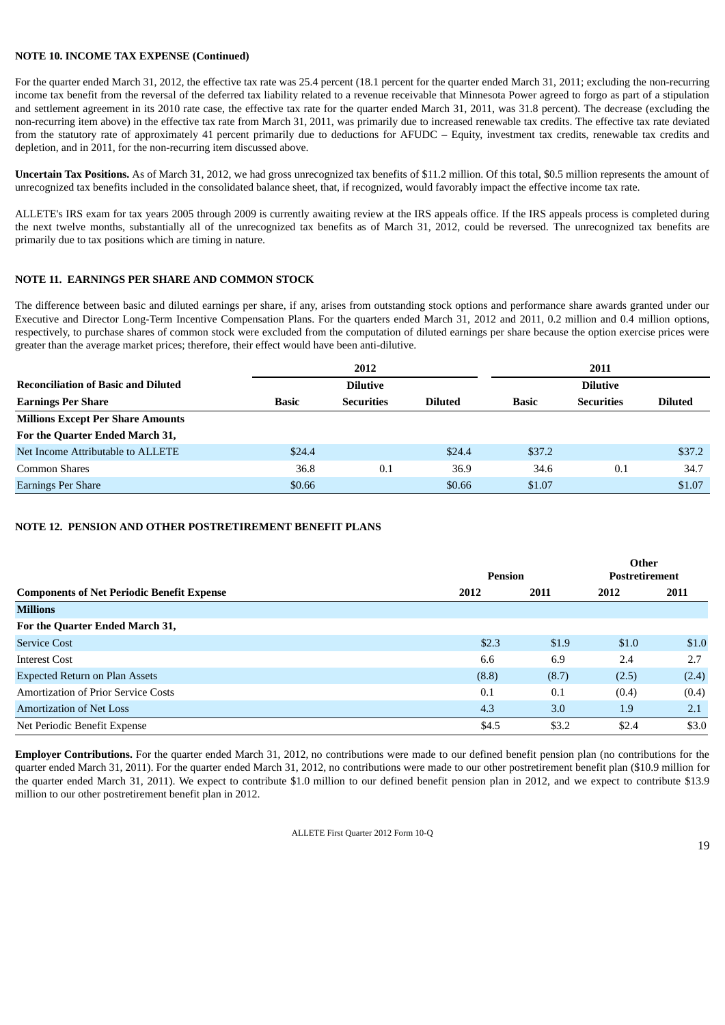## **NOTE 10. INCOME TAX EXPENSE (Continued)**

For the quarter ended March 31, 2012, the effective tax rate was 25.4 percent (18.1 percent for the quarter ended March 31, 2011; excluding the non-recurring income tax benefit from the reversal of the deferred tax liability related to a revenue receivable that Minnesota Power agreed to forgo as part of a stipulation and settlement agreement in its 2010 rate case, the effective tax rate for the quarter ended March 31, 2011, was 31.8 percent). The decrease (excluding the non-recurring item above) in the effective tax rate from March 31, 2011, was primarily due to increased renewable tax credits. The effective tax rate deviated from the statutory rate of approximately 41 percent primarily due to deductions for AFUDC – Equity, investment tax credits, renewable tax credits and depletion, and in 2011, for the non-recurring item discussed above.

**Uncertain Tax Positions.** As of March 31, 2012, we had gross unrecognized tax benefits of \$11.2 million. Of this total, \$0.5 million represents the amount of unrecognized tax benefits included in the consolidated balance sheet, that, if recognized, would favorably impact the effective income tax rate.

ALLETE's IRS exam for tax years 2005 through 2009 is currently awaiting review at the IRS appeals office. If the IRS appeals process is completed during the next twelve months, substantially all of the unrecognized tax benefits as of March 31, 2012, could be reversed. The unrecognized tax benefits are primarily due to tax positions which are timing in nature.

## **NOTE 11. EARNINGS PER SHARE AND COMMON STOCK**

The difference between basic and diluted earnings per share, if any, arises from outstanding stock options and performance share awards granted under our Executive and Director Long-Term Incentive Compensation Plans. For the quarters ended March 31, 2012 and 2011, 0.2 million and 0.4 million options, respectively, to purchase shares of common stock were excluded from the computation of diluted earnings per share because the option exercise prices were greater than the average market prices; therefore, their effect would have been anti-dilutive.

|                                            |              | 2012              |                |              | 2011              |                |
|--------------------------------------------|--------------|-------------------|----------------|--------------|-------------------|----------------|
| <b>Reconciliation of Basic and Diluted</b> |              | <b>Dilutive</b>   |                |              | <b>Dilutive</b>   |                |
| <b>Earnings Per Share</b>                  | <b>Basic</b> | <b>Securities</b> | <b>Diluted</b> | <b>Basic</b> | <b>Securities</b> | <b>Diluted</b> |
| <b>Millions Except Per Share Amounts</b>   |              |                   |                |              |                   |                |
| For the Quarter Ended March 31,            |              |                   |                |              |                   |                |
| Net Income Attributable to ALLETE          | \$24.4       |                   | \$24.4         | \$37.2       |                   | \$37.2         |
| Common Shares                              | 36.8         | 0.1               | 36.9           | 34.6         | 0.1               | 34.7           |
| <b>Earnings Per Share</b>                  | \$0.66       |                   | \$0.66         | \$1.07       |                   | \$1.07         |

## **NOTE 12. PENSION AND OTHER POSTRETIREMENT BENEFIT PLANS**

|                                                   |                |       | Other          |       |
|---------------------------------------------------|----------------|-------|----------------|-------|
|                                                   | <b>Pension</b> |       | Postretirement |       |
| <b>Components of Net Periodic Benefit Expense</b> | 2012           | 2011  | 2012           | 2011  |
| <b>Millions</b>                                   |                |       |                |       |
| For the Quarter Ended March 31,                   |                |       |                |       |
| <b>Service Cost</b>                               | \$2.3          | \$1.9 | \$1.0          | \$1.0 |
| Interest Cost                                     | 6.6            | 6.9   | 2.4            | 2.7   |
| <b>Expected Return on Plan Assets</b>             | (8.8)          | (8.7) | (2.5)          | (2.4) |
| <b>Amortization of Prior Service Costs</b>        | 0.1            | 0.1   | (0.4)          | (0.4) |
| <b>Amortization of Net Loss</b>                   | 4.3            | 3.0   | 1.9            | 2.1   |
| Net Periodic Benefit Expense                      | \$4.5          | \$3.2 | \$2.4          | \$3.0 |

**Employer Contributions.** For the quarter ended March 31, 2012, no contributions were made to our defined benefit pension plan (no contributions for the quarter ended March 31, 2011). For the quarter ended March 31, 2012, no contributions were made to our other postretirement benefit plan (\$10.9 million for the quarter ended March 31, 2011). We expect to contribute \$1.0 million to our defined benefit pension plan in 2012, and we expect to contribute \$13.9 million to our other postretirement benefit plan in 2012.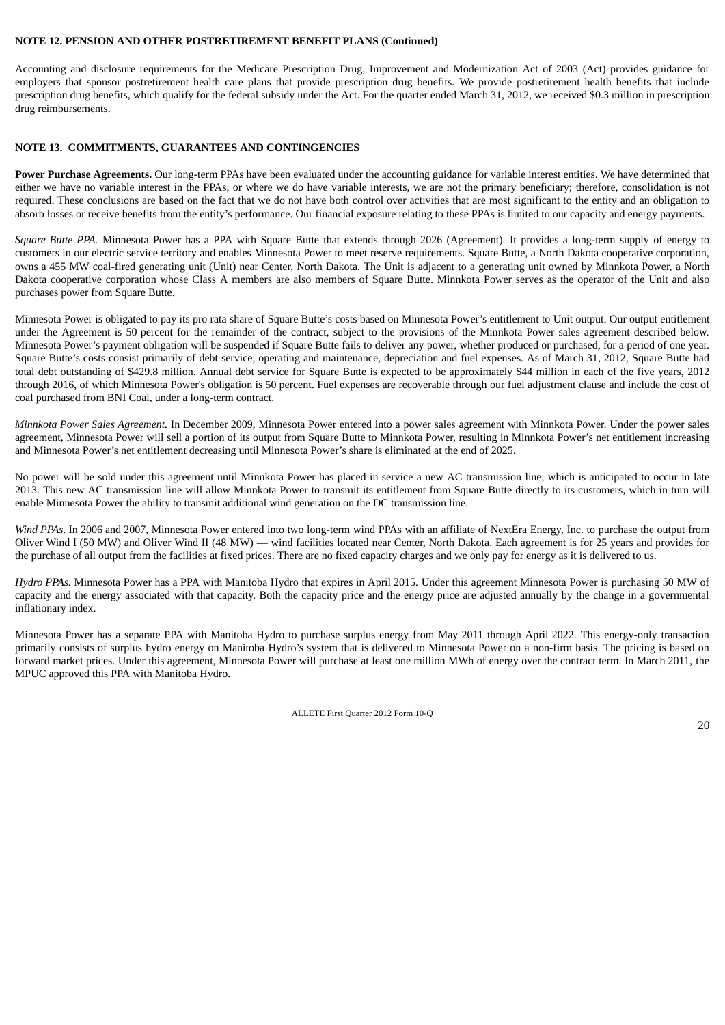#### **NOTE 12. PENSION AND OTHER POSTRETIREMENT BENEFIT PLANS (Continued)**

Accounting and disclosure requirements for the Medicare Prescription Drug, Improvement and Modernization Act of 2003 (Act) provides guidance for employers that sponsor postretirement health care plans that provide prescription drug benefits. We provide postretirement health benefits that include prescription drug benefits, which qualify for the federal subsidy under the Act. For the quarter ended March 31, 2012, we received \$0.3 million in prescription drug reimbursements.

#### **NOTE 13. COMMITMENTS, GUARANTEES AND CONTINGENCIES**

**Power Purchase Agreements.** Our long-term PPAs have been evaluated under the accounting guidance for variable interest entities. We have determined that either we have no variable interest in the PPAs, or where we do have variable interests, we are not the primary beneficiary; therefore, consolidation is not required. These conclusions are based on the fact that we do not have both control over activities that are most significant to the entity and an obligation to absorb losses or receive benefits from the entity's performance. Our financial exposure relating to these PPAs is limited to our capacity and energy payments.

*Square Butte PPA.* Minnesota Power has a PPA with Square Butte that extends through 2026 (Agreement). It provides a long-term supply of energy to customers in our electric service territory and enables Minnesota Power to meet reserve requirements. Square Butte, a North Dakota cooperative corporation, owns a 455 MW coal-fired generating unit (Unit) near Center, North Dakota. The Unit is adjacent to a generating unit owned by Minnkota Power, a North Dakota cooperative corporation whose Class A members are also members of Square Butte. Minnkota Power serves as the operator of the Unit and also purchases power from Square Butte.

Minnesota Power is obligated to pay its pro rata share of Square Butte's costs based on Minnesota Power's entitlement to Unit output. Our output entitlement under the Agreement is 50 percent for the remainder of the contract, subject to the provisions of the Minnkota Power sales agreement described below. Minnesota Power's payment obligation will be suspended if Square Butte fails to deliver any power, whether produced or purchased, for a period of one year. Square Butte's costs consist primarily of debt service, operating and maintenance, depreciation and fuel expenses. As of March 31, 2012, Square Butte had total debt outstanding of \$429.8 million. Annual debt service for Square Butte is expected to be approximately \$44 million in each of the five years, 2012 through 2016, of which Minnesota Power's obligation is 50 percent. Fuel expenses are recoverable through our fuel adjustment clause and include the cost of coal purchased from BNI Coal, under a long-term contract.

*Minnkota Power Sales Agreement.* In December 2009, Minnesota Power entered into a power sales agreement with Minnkota Power. Under the power sales agreement, Minnesota Power will sell a portion of its output from Square Butte to Minnkota Power, resulting in Minnkota Power's net entitlement increasing and Minnesota Power's net entitlement decreasing until Minnesota Power's share is eliminated at the end of 2025.

No power will be sold under this agreement until Minnkota Power has placed in service a new AC transmission line, which is anticipated to occur in late 2013. This new AC transmission line will allow Minnkota Power to transmit its entitlement from Square Butte directly to its customers, which in turn will enable Minnesota Power the ability to transmit additional wind generation on the DC transmission line.

*Wind PPAs.* In 2006 and 2007, Minnesota Power entered into two long-term wind PPAs with an affiliate of NextEra Energy, Inc. to purchase the output from Oliver Wind I (50 MW) and Oliver Wind II (48 MW) — wind facilities located near Center, North Dakota. Each agreement is for 25 years and provides for the purchase of all output from the facilities at fixed prices. There are no fixed capacity charges and we only pay for energy as it is delivered to us.

*Hydro PPAs.* Minnesota Power has a PPA with Manitoba Hydro that expires in April 2015. Under this agreement Minnesota Power is purchasing 50 MW of capacity and the energy associated with that capacity. Both the capacity price and the energy price are adjusted annually by the change in a governmental inflationary index.

Minnesota Power has a separate PPA with Manitoba Hydro to purchase surplus energy from May 2011 through April 2022. This energy-only transaction primarily consists of surplus hydro energy on Manitoba Hydro's system that is delivered to Minnesota Power on a non-firm basis. The pricing is based on forward market prices. Under this agreement, Minnesota Power will purchase at least one million MWh of energy over the contract term. In March 2011, the MPUC approved this PPA with Manitoba Hydro.

ALLETE First Quarter 2012 Form 10-Q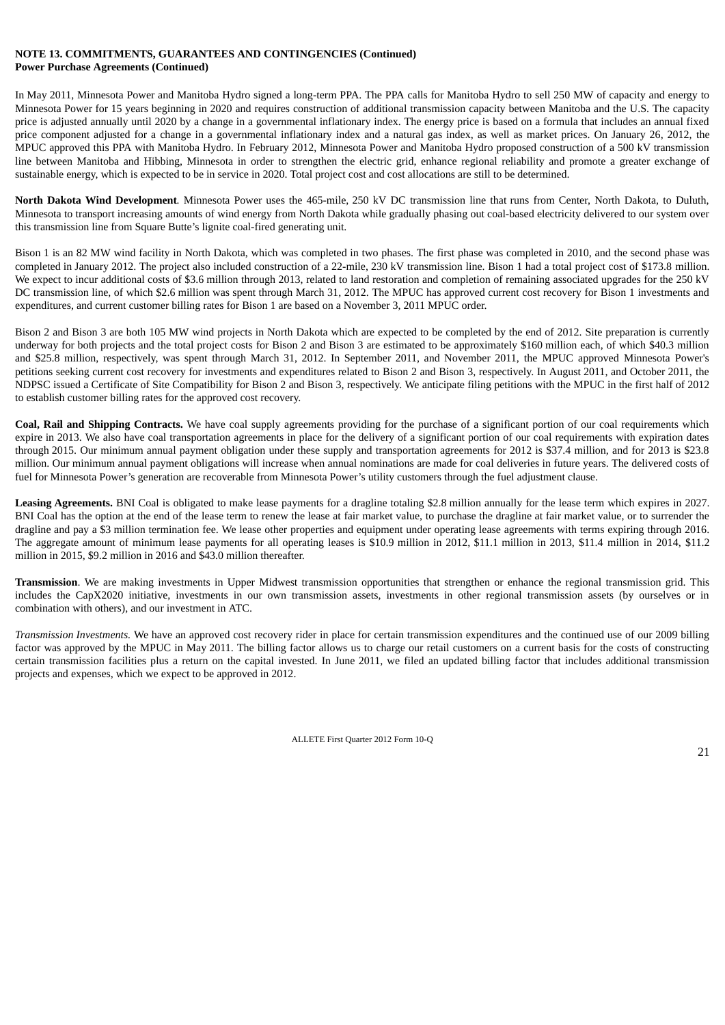## **NOTE 13. COMMITMENTS, GUARANTEES AND CONTINGENCIES (Continued) Power Purchase Agreements (Continued)**

In May 2011, Minnesota Power and Manitoba Hydro signed a long-term PPA. The PPA calls for Manitoba Hydro to sell 250 MW of capacity and energy to Minnesota Power for 15 years beginning in 2020 and requires construction of additional transmission capacity between Manitoba and the U.S. The capacity price is adjusted annually until 2020 by a change in a governmental inflationary index. The energy price is based on a formula that includes an annual fixed price component adjusted for a change in a governmental inflationary index and a natural gas index, as well as market prices. On January 26, 2012, the MPUC approved this PPA with Manitoba Hydro. In February 2012, Minnesota Power and Manitoba Hydro proposed construction of a 500 kV transmission line between Manitoba and Hibbing, Minnesota in order to strengthen the electric grid, enhance regional reliability and promote a greater exchange of sustainable energy, which is expected to be in service in 2020. Total project cost and cost allocations are still to be determined.

**North Dakota Wind Development***.* Minnesota Power uses the 465-mile, 250 kV DC transmission line that runs from Center, North Dakota, to Duluth, Minnesota to transport increasing amounts of wind energy from North Dakota while gradually phasing out coal-based electricity delivered to our system over this transmission line from Square Butte's lignite coal-fired generating unit.

Bison 1 is an 82 MW wind facility in North Dakota, which was completed in two phases. The first phase was completed in 2010, and the second phase was completed in January 2012. The project also included construction of a 22-mile, 230 kV transmission line. Bison 1 had a total project cost of \$173.8 million. We expect to incur additional costs of \$3.6 million through 2013, related to land restoration and completion of remaining associated upgrades for the 250 kV DC transmission line, of which \$2.6 million was spent through March 31, 2012. The MPUC has approved current cost recovery for Bison 1 investments and expenditures, and current customer billing rates for Bison 1 are based on a November 3, 2011 MPUC order.

Bison 2 and Bison 3 are both 105 MW wind projects in North Dakota which are expected to be completed by the end of 2012. Site preparation is currently underway for both projects and the total project costs for Bison 2 and Bison 3 are estimated to be approximately \$160 million each, of which \$40.3 million and \$25.8 million, respectively, was spent through March 31, 2012. In September 2011, and November 2011, the MPUC approved Minnesota Power's petitions seeking current cost recovery for investments and expenditures related to Bison 2 and Bison 3, respectively. In August 2011, and October 2011, the NDPSC issued a Certificate of Site Compatibility for Bison 2 and Bison 3, respectively. We anticipate filing petitions with the MPUC in the first half of 2012 to establish customer billing rates for the approved cost recovery.

**Coal, Rail and Shipping Contracts.** We have coal supply agreements providing for the purchase of a significant portion of our coal requirements which expire in 2013. We also have coal transportation agreements in place for the delivery of a significant portion of our coal requirements with expiration dates through 2015. Our minimum annual payment obligation under these supply and transportation agreements for 2012 is \$37.4 million, and for 2013 is \$23.8 million. Our minimum annual payment obligations will increase when annual nominations are made for coal deliveries in future years. The delivered costs of fuel for Minnesota Power's generation are recoverable from Minnesota Power's utility customers through the fuel adjustment clause.

**Leasing Agreements.** BNI Coal is obligated to make lease payments for a dragline totaling \$2.8 million annually for the lease term which expires in 2027. BNI Coal has the option at the end of the lease term to renew the lease at fair market value, to purchase the dragline at fair market value, or to surrender the dragline and pay a \$3 million termination fee. We lease other properties and equipment under operating lease agreements with terms expiring through 2016. The aggregate amount of minimum lease payments for all operating leases is \$10.9 million in 2012, \$11.1 million in 2013, \$11.4 million in 2014, \$11.2 million in 2015, \$9.2 million in 2016 and \$43.0 million thereafter.

**Transmission**. We are making investments in Upper Midwest transmission opportunities that strengthen or enhance the regional transmission grid. This includes the CapX2020 initiative, investments in our own transmission assets, investments in other regional transmission assets (by ourselves or in combination with others), and our investment in ATC.

*Transmission Investments.* We have an approved cost recovery rider in place for certain transmission expenditures and the continued use of our 2009 billing factor was approved by the MPUC in May 2011. The billing factor allows us to charge our retail customers on a current basis for the costs of constructing certain transmission facilities plus a return on the capital invested. In June 2011, we filed an updated billing factor that includes additional transmission projects and expenses, which we expect to be approved in 2012.

ALLETE First Quarter 2012 Form 10-Q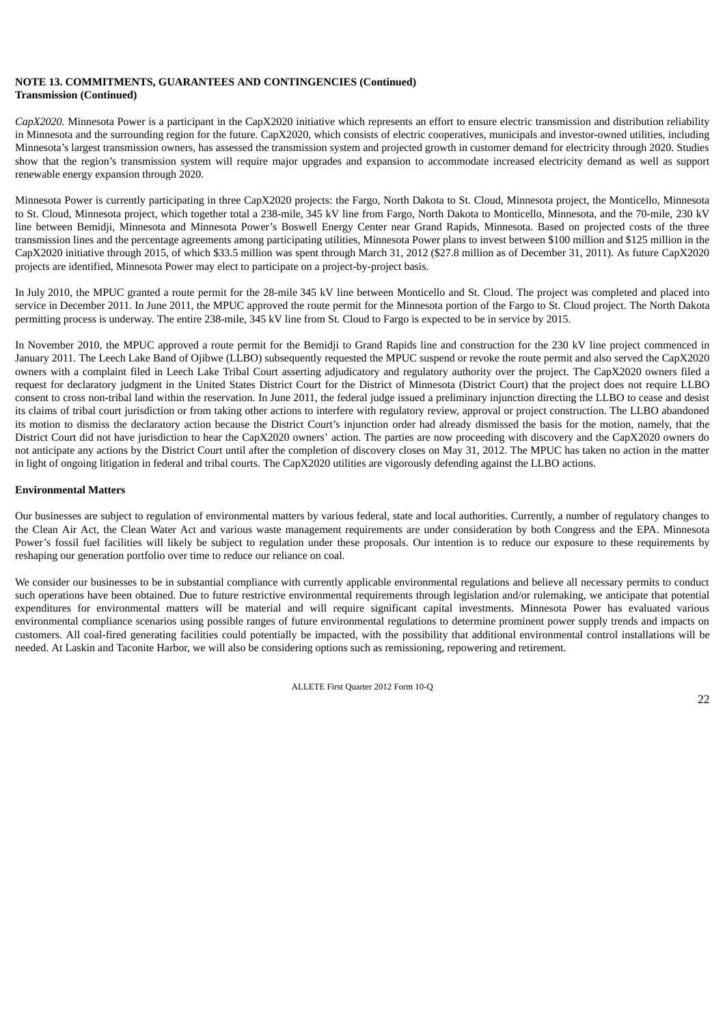## **NOTE 13. COMMITMENTS, GUARANTEES AND CONTINGENCIES (Continued) Transmission (Continued)**

*CapX2020.* Minnesota Power is a participant in the CapX2020 initiative which represents an effort to ensure electric transmission and distribution reliability in Minnesota and the surrounding region for the future. CapX2020, which consists of electric cooperatives, municipals and investor-owned utilities, including Minnesota's largest transmission owners, has assessed the transmission system and projected growth in customer demand for electricity through 2020. Studies show that the region's transmission system will require major upgrades and expansion to accommodate increased electricity demand as well as support renewable energy expansion through 2020.

Minnesota Power is currently participating in three CapX2020 projects: the Fargo, North Dakota to St. Cloud, Minnesota project, the Monticello, Minnesota to St. Cloud, Minnesota project, which together total a 238-mile, 345 kV line from Fargo, North Dakota to Monticello, Minnesota, and the 70-mile, 230 kV line between Bemidji, Minnesota and Minnesota Power's Boswell Energy Center near Grand Rapids, Minnesota. Based on projected costs of the three transmission lines and the percentage agreements among participating utilities, Minnesota Power plans to invest between \$100 million and \$125 million in the CapX2020 initiative through 2015, of which \$33.5 million was spent through March 31, 2012 (\$27.8 million as of December 31, 2011). As future CapX2020 projects are identified, Minnesota Power may elect to participate on a project-by-project basis.

In July 2010, the MPUC granted a route permit for the 28-mile 345 kV line between Monticello and St. Cloud. The project was completed and placed into service in December 2011. In June 2011, the MPUC approved the route permit for the Minnesota portion of the Fargo to St. Cloud project. The North Dakota permitting process is underway. The entire 238-mile, 345 kV line from St. Cloud to Fargo is expected to be in service by 2015.

In November 2010, the MPUC approved a route permit for the Bemidji to Grand Rapids line and construction for the 230 kV line project commenced in January 2011. The Leech Lake Band of Ojibwe (LLBO) subsequently requested the MPUC suspend or revoke the route permit and also served the CapX2020 owners with a complaint filed in Leech Lake Tribal Court asserting adjudicatory and regulatory authority over the project. The CapX2020 owners filed a request for declaratory judgment in the United States District Court for the District of Minnesota (District Court) that the project does not require LLBO consent to cross non-tribal land within the reservation. In June 2011, the federal judge issued a preliminary injunction directing the LLBO to cease and desist its claims of tribal court jurisdiction or from taking other actions to interfere with regulatory review, approval or project construction. The LLBO abandoned its motion to dismiss the declaratory action because the District Court's injunction order had already dismissed the basis for the motion, namely, that the District Court did not have jurisdiction to hear the CapX2020 owners' action. The parties are now proceeding with discovery and the CapX2020 owners do not anticipate any actions by the District Court until after the completion of discovery closes on May 31, 2012. The MPUC has taken no action in the matter in light of ongoing litigation in federal and tribal courts. The CapX2020 utilities are vigorously defending against the LLBO actions.

## **Environmental Matters**

Our businesses are subject to regulation of environmental matters by various federal, state and local authorities. Currently, a number of regulatory changes to the Clean Air Act, the Clean Water Act and various waste management requirements are under consideration by both Congress and the EPA. Minnesota Power's fossil fuel facilities will likely be subject to regulation under these proposals. Our intention is to reduce our exposure to these requirements by reshaping our generation portfolio over time to reduce our reliance on coal.

We consider our businesses to be in substantial compliance with currently applicable environmental regulations and believe all necessary permits to conduct such operations have been obtained. Due to future restrictive environmental requirements through legislation and/or rulemaking, we anticipate that potential expenditures for environmental matters will be material and will require significant capital investments. Minnesota Power has evaluated various environmental compliance scenarios using possible ranges of future environmental regulations to determine prominent power supply trends and impacts on customers. All coal-fired generating facilities could potentially be impacted, with the possibility that additional environmental control installations will be needed. At Laskin and Taconite Harbor, we will also be considering options such as remissioning, repowering and retirement.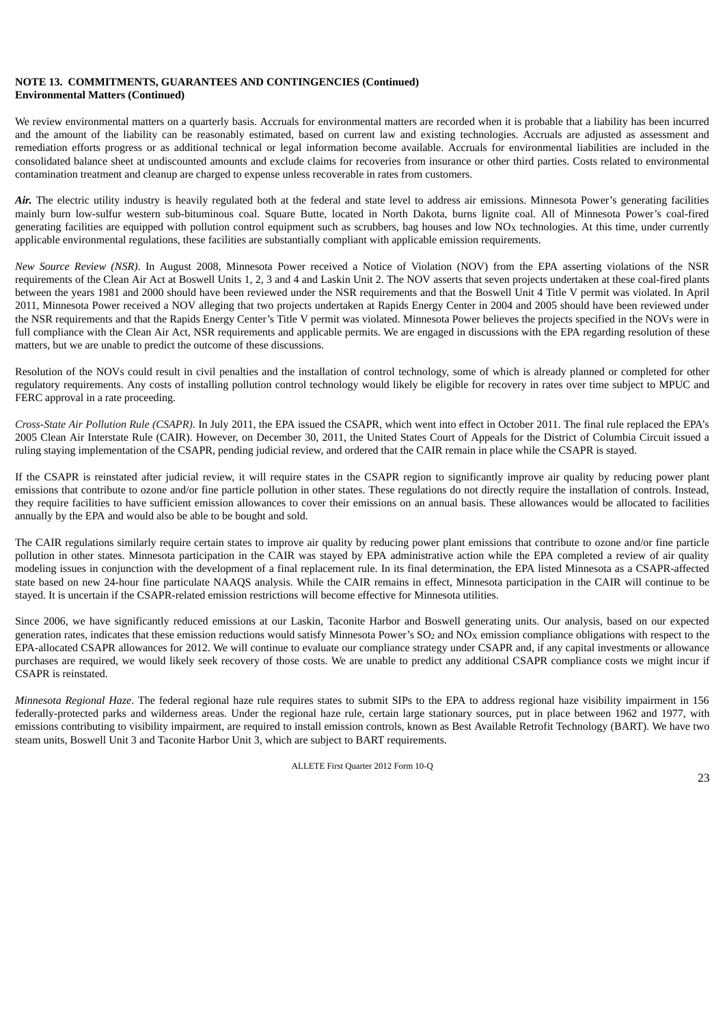We review environmental matters on a quarterly basis. Accruals for environmental matters are recorded when it is probable that a liability has been incurred and the amount of the liability can be reasonably estimated, based on current law and existing technologies. Accruals are adjusted as assessment and remediation efforts progress or as additional technical or legal information become available. Accruals for environmental liabilities are included in the consolidated balance sheet at undiscounted amounts and exclude claims for recoveries from insurance or other third parties. Costs related to environmental contamination treatment and cleanup are charged to expense unless recoverable in rates from customers.

Air. The electric utility industry is heavily regulated both at the federal and state level to address air emissions. Minnesota Power's generating facilities mainly burn low-sulfur western sub-bituminous coal. Square Butte, located in North Dakota, burns lignite coal. All of Minnesota Power's coal-fired generating facilities are equipped with pollution control equipment such as scrubbers, bag houses and low  $NO<sub>X</sub>$  technologies. At this time, under currently applicable environmental regulations, these facilities are substantially compliant with applicable emission requirements.

*New Source Review (NSR)*. In August 2008, Minnesota Power received a Notice of Violation (NOV) from the EPA asserting violations of the NSR requirements of the Clean Air Act at Boswell Units 1, 2, 3 and 4 and Laskin Unit 2. The NOV asserts that seven projects undertaken at these coal-fired plants between the years 1981 and 2000 should have been reviewed under the NSR requirements and that the Boswell Unit 4 Title V permit was violated. In April 2011, Minnesota Power received a NOV alleging that two projects undertaken at Rapids Energy Center in 2004 and 2005 should have been reviewed under the NSR requirements and that the Rapids Energy Center's Title V permit was violated. Minnesota Power believes the projects specified in the NOVs were in full compliance with the Clean Air Act, NSR requirements and applicable permits. We are engaged in discussions with the EPA regarding resolution of these matters, but we are unable to predict the outcome of these discussions.

Resolution of the NOVs could result in civil penalties and the installation of control technology, some of which is already planned or completed for other regulatory requirements. Any costs of installing pollution control technology would likely be eligible for recovery in rates over time subject to MPUC and FERC approval in a rate proceeding.

*Cross-State Air Pollution Rule (CSAPR)*. In July 2011, the EPA issued the CSAPR, which went into effect in October 2011. The final rule replaced the EPA's 2005 Clean Air Interstate Rule (CAIR). However, on December 30, 2011, the United States Court of Appeals for the District of Columbia Circuit issued a ruling staying implementation of the CSAPR, pending judicial review, and ordered that the CAIR remain in place while the CSAPR is stayed.

If the CSAPR is reinstated after judicial review, it will require states in the CSAPR region to significantly improve air quality by reducing power plant emissions that contribute to ozone and/or fine particle pollution in other states. These regulations do not directly require the installation of controls. Instead, they require facilities to have sufficient emission allowances to cover their emissions on an annual basis. These allowances would be allocated to facilities annually by the EPA and would also be able to be bought and sold.

The CAIR regulations similarly require certain states to improve air quality by reducing power plant emissions that contribute to ozone and/or fine particle pollution in other states. Minnesota participation in the CAIR was stayed by EPA administrative action while the EPA completed a review of air quality modeling issues in conjunction with the development of a final replacement rule. In its final determination, the EPA listed Minnesota as a CSAPR-affected state based on new 24-hour fine particulate NAAQS analysis. While the CAIR remains in effect, Minnesota participation in the CAIR will continue to be stayed. It is uncertain if the CSAPR-related emission restrictions will become effective for Minnesota utilities.

Since 2006, we have significantly reduced emissions at our Laskin, Taconite Harbor and Boswell generating units. Our analysis, based on our expected generation rates, indicates that these emission reductions would satisfy Minnesota Power's SO<sup>2</sup> and NO<sup>X</sup> emission compliance obligations with respect to the EPA-allocated CSAPR allowances for 2012. We will continue to evaluate our compliance strategy under CSAPR and, if any capital investments or allowance purchases are required, we would likely seek recovery of those costs. We are unable to predict any additional CSAPR compliance costs we might incur if CSAPR is reinstated.

*Minnesota Regional Haze*. The federal regional haze rule requires states to submit SIPs to the EPA to address regional haze visibility impairment in 156 federally-protected parks and wilderness areas. Under the regional haze rule, certain large stationary sources, put in place between 1962 and 1977, with emissions contributing to visibility impairment, are required to install emission controls, known as Best Available Retrofit Technology (BART). We have two steam units, Boswell Unit 3 and Taconite Harbor Unit 3, which are subject to BART requirements.

ALLETE First Quarter 2012 Form 10-Q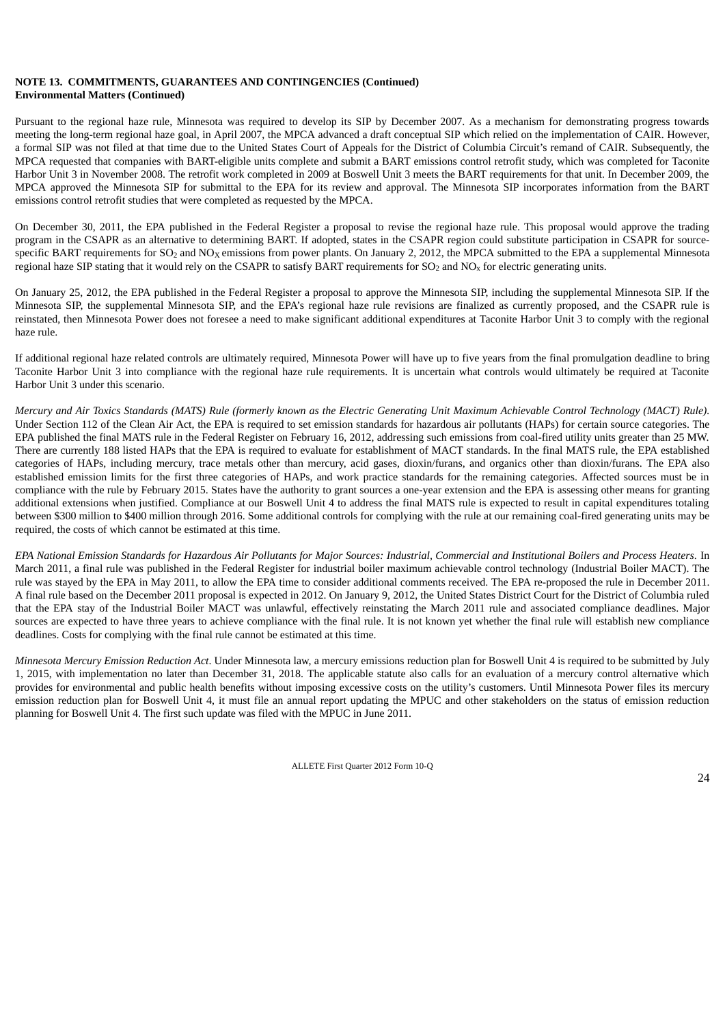Pursuant to the regional haze rule, Minnesota was required to develop its SIP by December 2007. As a mechanism for demonstrating progress towards meeting the long-term regional haze goal, in April 2007, the MPCA advanced a draft conceptual SIP which relied on the implementation of CAIR. However, a formal SIP was not filed at that time due to the United States Court of Appeals for the District of Columbia Circuit's remand of CAIR. Subsequently, the MPCA requested that companies with BART-eligible units complete and submit a BART emissions control retrofit study, which was completed for Taconite Harbor Unit 3 in November 2008. The retrofit work completed in 2009 at Boswell Unit 3 meets the BART requirements for that unit. In December 2009, the MPCA approved the Minnesota SIP for submittal to the EPA for its review and approval. The Minnesota SIP incorporates information from the BART emissions control retrofit studies that were completed as requested by the MPCA.

On December 30, 2011, the EPA published in the Federal Register a proposal to revise the regional haze rule. This proposal would approve the trading program in the CSAPR as an alternative to determining BART. If adopted, states in the CSAPR region could substitute participation in CSAPR for sourcespecific BART requirements for SO<sub>2</sub> and NO<sub>X</sub> emissions from power plants. On January 2, 2012, the MPCA submitted to the EPA a supplemental Minnesota regional haze SIP stating that it would rely on the CSAPR to satisfy BART requirements for  $SO_2$  and  $NO_x$  for electric generating units.

On January 25, 2012, the EPA published in the Federal Register a proposal to approve the Minnesota SIP, including the supplemental Minnesota SIP. If the Minnesota SIP, the supplemental Minnesota SIP, and the EPA's regional haze rule revisions are finalized as currently proposed, and the CSAPR rule is reinstated, then Minnesota Power does not foresee a need to make significant additional expenditures at Taconite Harbor Unit 3 to comply with the regional haze rule.

If additional regional haze related controls are ultimately required, Minnesota Power will have up to five years from the final promulgation deadline to bring Taconite Harbor Unit 3 into compliance with the regional haze rule requirements. It is uncertain what controls would ultimately be required at Taconite Harbor Unit 3 under this scenario.

Mercury and Air Toxics Standards (MATS) Rule (formerly known as the Electric Generatina Unit Maximum Achievable Control Technoloay (MACT) Rule). Under Section 112 of the Clean Air Act, the EPA is required to set emission standards for hazardous air pollutants (HAPs) for certain source categories. The EPA published the final MATS rule in the Federal Register on February 16, 2012, addressing such emissions from coal-fired utility units greater than 25 MW. There are currently 188 listed HAPs that the EPA is required to evaluate for establishment of MACT standards. In the final MATS rule, the EPA established categories of HAPs, including mercury, trace metals other than mercury, acid gases, dioxin/furans, and organics other than dioxin/furans. The EPA also established emission limits for the first three categories of HAPs, and work practice standards for the remaining categories. Affected sources must be in compliance with the rule by February 2015. States have the authority to grant sources a one-year extension and the EPA is assessing other means for granting additional extensions when justified. Compliance at our Boswell Unit 4 to address the final MATS rule is expected to result in capital expenditures totaling between \$300 million to \$400 million through 2016. Some additional controls for complying with the rule at our remaining coal-fired generating units may be required, the costs of which cannot be estimated at this time.

EPA National Emission Standards for Hazardous Air Pollutants for Major Sources: Industrial, Commercial and Institutional Boilers and Process Heaters. In March 2011, a final rule was published in the Federal Register for industrial boiler maximum achievable control technology (Industrial Boiler MACT). The rule was stayed by the EPA in May 2011, to allow the EPA time to consider additional comments received. The EPA re-proposed the rule in December 2011. A final rule based on the December 2011 proposal is expected in 2012. On January 9, 2012, the United States District Court for the District of Columbia ruled that the EPA stay of the Industrial Boiler MACT was unlawful, effectively reinstating the March 2011 rule and associated compliance deadlines. Major sources are expected to have three years to achieve compliance with the final rule. It is not known yet whether the final rule will establish new compliance deadlines. Costs for complying with the final rule cannot be estimated at this time.

*Minnesota Mercury Emission Reduction Act*. Under Minnesota law, a mercury emissions reduction plan for Boswell Unit 4 is required to be submitted by July 1, 2015, with implementation no later than December 31, 2018. The applicable statute also calls for an evaluation of a mercury control alternative which provides for environmental and public health benefits without imposing excessive costs on the utility's customers. Until Minnesota Power files its mercury emission reduction plan for Boswell Unit 4, it must file an annual report updating the MPUC and other stakeholders on the status of emission reduction planning for Boswell Unit 4. The first such update was filed with the MPUC in June 2011.

ALLETE First Quarter 2012 Form 10-Q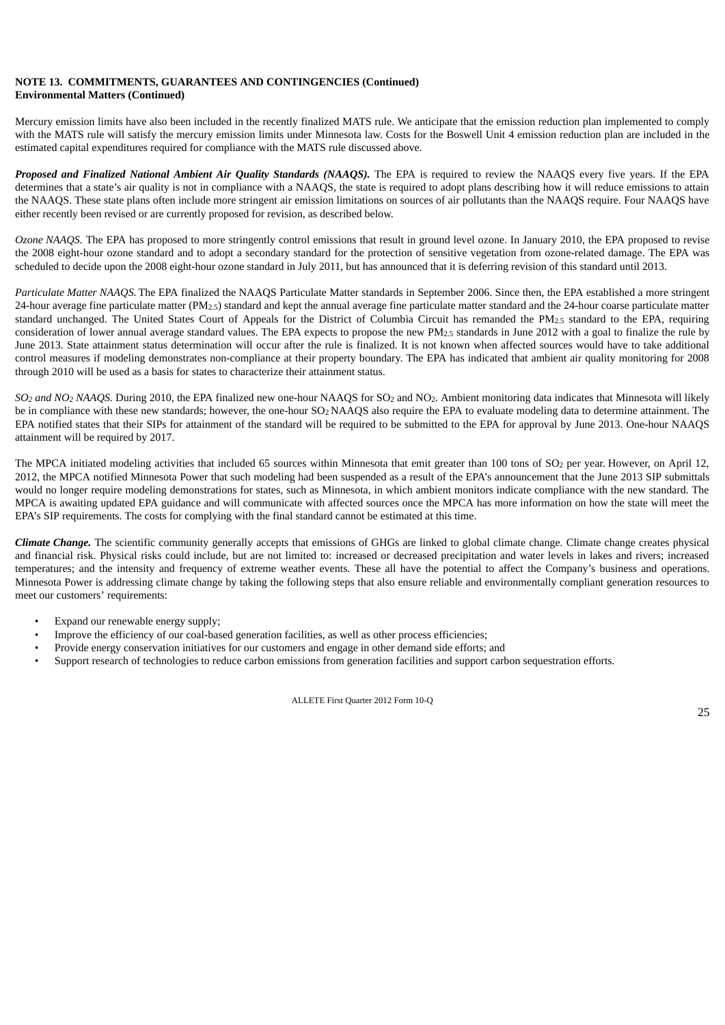Mercury emission limits have also been included in the recently finalized MATS rule. We anticipate that the emission reduction plan implemented to comply with the MATS rule will satisfy the mercury emission limits under Minnesota law. Costs for the Boswell Unit 4 emission reduction plan are included in the estimated capital expenditures required for compliance with the MATS rule discussed above.

*Proposed and Finalized National Ambient Air Quality Standards (NAAQS).* The EPA is required to review the NAAQS every five years. If the EPA determines that a state's air quality is not in compliance with a NAAQS, the state is required to adopt plans describing how it will reduce emissions to attain the NAAQS. These state plans often include more stringent air emission limitations on sources of air pollutants than the NAAQS require. Four NAAQS have either recently been revised or are currently proposed for revision, as described below.

*Ozone NAAQS.* The EPA has proposed to more stringently control emissions that result in ground level ozone. In January 2010, the EPA proposed to revise the 2008 eight-hour ozone standard and to adopt a secondary standard for the protection of sensitive vegetation from ozone-related damage. The EPA was scheduled to decide upon the 2008 eight-hour ozone standard in July 2011, but has announced that it is deferring revision of this standard until 2013.

*Particulate Matter NAAQS.* The EPA finalized the NAAQS Particulate Matter standards in September 2006. Since then, the EPA established a more stringent 24-hour average fine particulate matter ( $PM_{2.5}$ ) standard and kept the annual average fine particulate matter standard and the 24-hour coarse particulate matter standard unchanged. The United States Court of Appeals for the District of Columbia Circuit has remanded the PM $_{2.5}$  standard to the EPA, requiring consideration of lower annual average standard values. The EPA expects to propose the new PM2.5 standards in June 2012 with a goal to finalize the rule by June 2013. State attainment status determination will occur after the rule is finalized. It is not known when affected sources would have to take additional control measures if modeling demonstrates non-compliance at their property boundary. The EPA has indicated that ambient air quality monitoring for 2008 through 2010 will be used as a basis for states to characterize their attainment status.

*SO<sup>2</sup> and NO<sup>2</sup> NAAQS.* During 2010, the EPA finalized new one-hour NAAQS for SO<sup>2</sup> and NO2. Ambient monitoring data indicates that Minnesota will likely be in compliance with these new standards; however, the one-hour SO<sub>2</sub> NAAQS also require the EPA to evaluate modeling data to determine attainment. The EPA notified states that their SIPs for attainment of the standard will be required to be submitted to the EPA for approval by June 2013. One-hour NAAQS attainment will be required by 2017.

The MPCA initiated modeling activities that included 65 sources within Minnesota that emit greater than 100 tons of SO<sub>2</sub> per year. However, on April 12, 2012, the MPCA notified Minnesota Power that such modeling had been suspended as a result of the EPA's announcement that the June 2013 SIP submittals would no longer require modeling demonstrations for states, such as Minnesota, in which ambient monitors indicate compliance with the new standard. The MPCA is awaiting updated EPA guidance and will communicate with affected sources once the MPCA has more information on how the state will meet the EPA's SIP requirements. The costs for complying with the final standard cannot be estimated at this time.

*Climate Change.* The scientific community generally accepts that emissions of GHGs are linked to global climate change. Climate change creates physical and financial risk. Physical risks could include, but are not limited to: increased or decreased precipitation and water levels in lakes and rivers; increased temperatures; and the intensity and frequency of extreme weather events. These all have the potential to affect the Company's business and operations. Minnesota Power is addressing climate change by taking the following steps that also ensure reliable and environmentally compliant generation resources to meet our customers' requirements:

- Expand our renewable energy supply;
- Improve the efficiency of our coal-based generation facilities, as well as other process efficiencies;
- Provide energy conservation initiatives for our customers and engage in other demand side efforts; and
- Support research of technologies to reduce carbon emissions from generation facilities and support carbon sequestration efforts.

ALLETE First Quarter 2012 Form 10-Q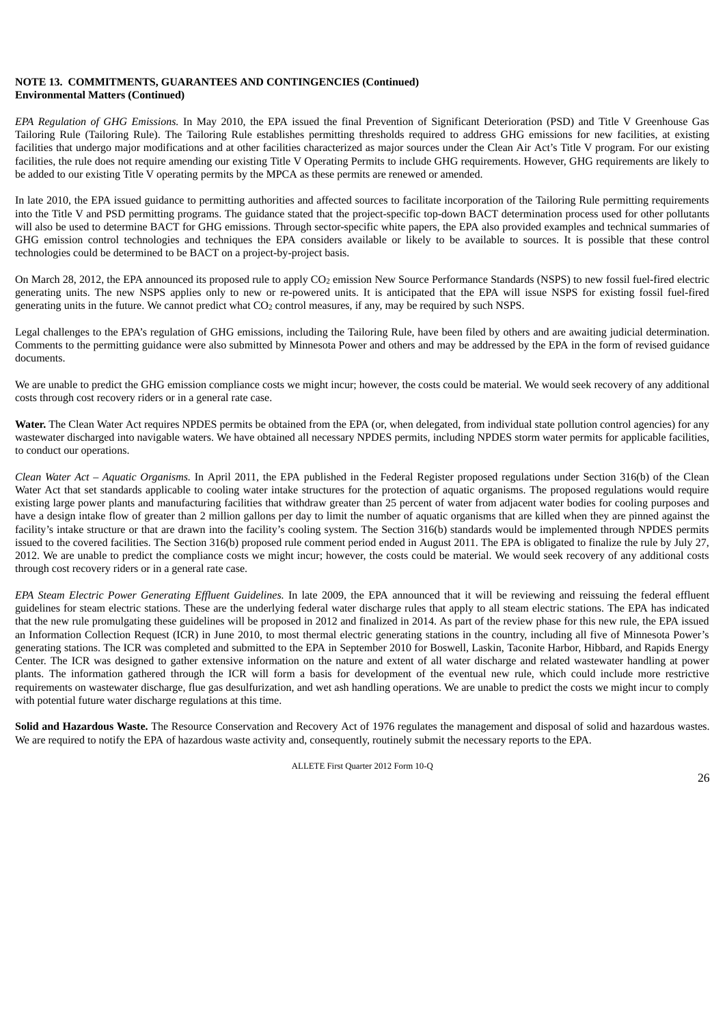*EPA Regulation of GHG Emissions.* In May 2010, the EPA issued the final Prevention of Significant Deterioration (PSD) and Title V Greenhouse Gas Tailoring Rule (Tailoring Rule). The Tailoring Rule establishes permitting thresholds required to address GHG emissions for new facilities, at existing facilities that undergo major modifications and at other facilities characterized as major sources under the Clean Air Act's Title V program. For our existing facilities, the rule does not require amending our existing Title V Operating Permits to include GHG requirements. However, GHG requirements are likely to be added to our existing Title V operating permits by the MPCA as these permits are renewed or amended.

In late 2010, the EPA issued guidance to permitting authorities and affected sources to facilitate incorporation of the Tailoring Rule permitting requirements into the Title V and PSD permitting programs. The guidance stated that the project-specific top-down BACT determination process used for other pollutants will also be used to determine BACT for GHG emissions. Through sector-specific white papers, the EPA also provided examples and technical summaries of GHG emission control technologies and techniques the EPA considers available or likely to be available to sources. It is possible that these control technologies could be determined to be BACT on a project-by-project basis.

On March 28, 2012, the EPA announced its proposed rule to apply CO<sub>2</sub> emission New Source Performance Standards (NSPS) to new fossil fuel-fired electric generating units. The new NSPS applies only to new or re-powered units. It is anticipated that the EPA will issue NSPS for existing fossil fuel-fired generating units in the future. We cannot predict what CO<sub>2</sub> control measures, if any, may be required by such NSPS.

Legal challenges to the EPA's regulation of GHG emissions, including the Tailoring Rule, have been filed by others and are awaiting judicial determination. Comments to the permitting guidance were also submitted by Minnesota Power and others and may be addressed by the EPA in the form of revised guidance documents.

We are unable to predict the GHG emission compliance costs we might incur; however, the costs could be material. We would seek recovery of any additional costs through cost recovery riders or in a general rate case.

**Water.** The Clean Water Act requires NPDES permits be obtained from the EPA (or, when delegated, from individual state pollution control agencies) for any wastewater discharged into navigable waters. We have obtained all necessary NPDES permits, including NPDES storm water permits for applicable facilities, to conduct our operations.

*Clean Water Act – Aquatic Organisms.* In April 2011, the EPA published in the Federal Register proposed regulations under Section 316(b) of the Clean Water Act that set standards applicable to cooling water intake structures for the protection of aquatic organisms. The proposed regulations would require existing large power plants and manufacturing facilities that withdraw greater than 25 percent of water from adjacent water bodies for cooling purposes and have a design intake flow of greater than 2 million gallons per day to limit the number of aquatic organisms that are killed when they are pinned against the facility's intake structure or that are drawn into the facility's cooling system. The Section 316(b) standards would be implemented through NPDES permits issued to the covered facilities. The Section 316(b) proposed rule comment period ended in August 2011. The EPA is obligated to finalize the rule by July 27, 2012. We are unable to predict the compliance costs we might incur; however, the costs could be material. We would seek recovery of any additional costs through cost recovery riders or in a general rate case.

*EPA Steam Electric Power Generating Effluent Guidelines.* In late 2009, the EPA announced that it will be reviewing and reissuing the federal effluent guidelines for steam electric stations. These are the underlying federal water discharge rules that apply to all steam electric stations. The EPA has indicated that the new rule promulgating these guidelines will be proposed in 2012 and finalized in 2014. As part of the review phase for this new rule, the EPA issued an Information Collection Request (ICR) in June 2010, to most thermal electric generating stations in the country, including all five of Minnesota Power's generating stations. The ICR was completed and submitted to the EPA in September 2010 for Boswell, Laskin, Taconite Harbor, Hibbard, and Rapids Energy Center. The ICR was designed to gather extensive information on the nature and extent of all water discharge and related wastewater handling at power plants. The information gathered through the ICR will form a basis for development of the eventual new rule, which could include more restrictive requirements on wastewater discharge, flue gas desulfurization, and wet ash handling operations. We are unable to predict the costs we might incur to comply with potential future water discharge regulations at this time.

**Solid and Hazardous Waste.** The Resource Conservation and Recovery Act of 1976 regulates the management and disposal of solid and hazardous wastes. We are required to notify the EPA of hazardous waste activity and, consequently, routinely submit the necessary reports to the EPA.

ALLETE First Quarter 2012 Form 10-Q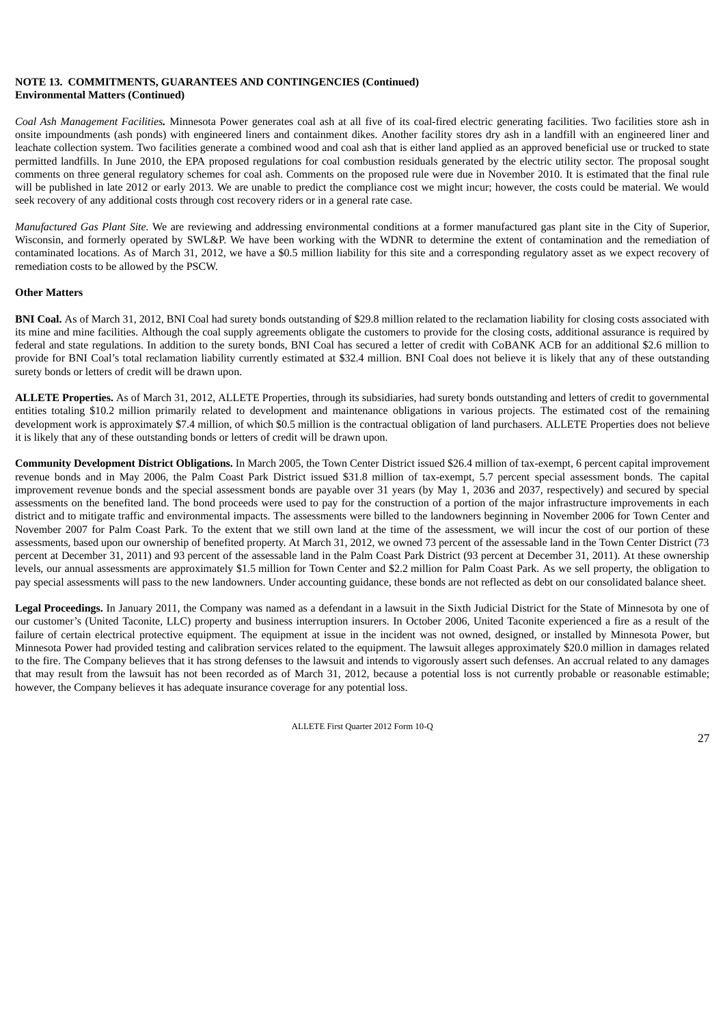*Coal Ash Management Facilities.* Minnesota Power generates coal ash at all five of its coal-fired electric generating facilities. Two facilities store ash in onsite impoundments (ash ponds) with engineered liners and containment dikes. Another facility stores dry ash in a landfill with an engineered liner and leachate collection system. Two facilities generate a combined wood and coal ash that is either land applied as an approved beneficial use or trucked to state permitted landfills. In June 2010, the EPA proposed regulations for coal combustion residuals generated by the electric utility sector. The proposal sought comments on three general regulatory schemes for coal ash. Comments on the proposed rule were due in November 2010. It is estimated that the final rule will be published in late 2012 or early 2013. We are unable to predict the compliance cost we might incur; however, the costs could be material. We would seek recovery of any additional costs through cost recovery riders or in a general rate case.

*Manufactured Gas Plant Site.* We are reviewing and addressing environmental conditions at a former manufactured gas plant site in the City of Superior, Wisconsin, and formerly operated by SWL&P. We have been working with the WDNR to determine the extent of contamination and the remediation of contaminated locations. As of March 31, 2012, we have a \$0.5 million liability for this site and a corresponding regulatory asset as we expect recovery of remediation costs to be allowed by the PSCW.

## **Other Matters**

**BNI Coal.** As of March 31, 2012, BNI Coal had surety bonds outstanding of \$29.8 million related to the reclamation liability for closing costs associated with its mine and mine facilities. Although the coal supply agreements obligate the customers to provide for the closing costs, additional assurance is required by federal and state regulations. In addition to the surety bonds, BNI Coal has secured a letter of credit with CoBANK ACB for an additional \$2.6 million to provide for BNI Coal's total reclamation liability currently estimated at \$32.4 million. BNI Coal does not believe it is likely that any of these outstanding surety bonds or letters of credit will be drawn upon.

**ALLETE Properties.** As of March 31, 2012, ALLETE Properties, through its subsidiaries, had surety bonds outstanding and letters of credit to governmental entities totaling \$10.2 million primarily related to development and maintenance obligations in various projects. The estimated cost of the remaining development work is approximately \$7.4 million, of which \$0.5 million is the contractual obligation of land purchasers. ALLETE Properties does not believe it is likely that any of these outstanding bonds or letters of credit will be drawn upon.

**Community Development District Obligations.** In March 2005, the Town Center District issued \$26.4 million of tax-exempt, 6 percent capital improvement revenue bonds and in May 2006, the Palm Coast Park District issued \$31.8 million of tax-exempt, 5.7 percent special assessment bonds. The capital improvement revenue bonds and the special assessment bonds are payable over 31 years (by May 1, 2036 and 2037, respectively) and secured by special assessments on the benefited land. The bond proceeds were used to pay for the construction of a portion of the major infrastructure improvements in each district and to mitigate traffic and environmental impacts. The assessments were billed to the landowners beginning in November 2006 for Town Center and November 2007 for Palm Coast Park. To the extent that we still own land at the time of the assessment, we will incur the cost of our portion of these assessments, based upon our ownership of benefited property. At March 31, 2012, we owned 73 percent of the assessable land in the Town Center District (73 percent at December 31, 2011) and 93 percent of the assessable land in the Palm Coast Park District (93 percent at December 31, 2011). At these ownership levels, our annual assessments are approximately \$1.5 million for Town Center and \$2.2 million for Palm Coast Park. As we sell property, the obligation to pay special assessments will pass to the new landowners. Under accounting guidance, these bonds are not reflected as debt on our consolidated balance sheet.

**Legal Proceedings.** In January 2011, the Company was named as a defendant in a lawsuit in the Sixth Judicial District for the State of Minnesota by one of our customer's (United Taconite, LLC) property and business interruption insurers. In October 2006, United Taconite experienced a fire as a result of the failure of certain electrical protective equipment. The equipment at issue in the incident was not owned, designed, or installed by Minnesota Power, but Minnesota Power had provided testing and calibration services related to the equipment. The lawsuit alleges approximately \$20.0 million in damages related to the fire. The Company believes that it has strong defenses to the lawsuit and intends to vigorously assert such defenses. An accrual related to any damages that may result from the lawsuit has not been recorded as of March 31, 2012, because a potential loss is not currently probable or reasonable estimable; however, the Company believes it has adequate insurance coverage for any potential loss.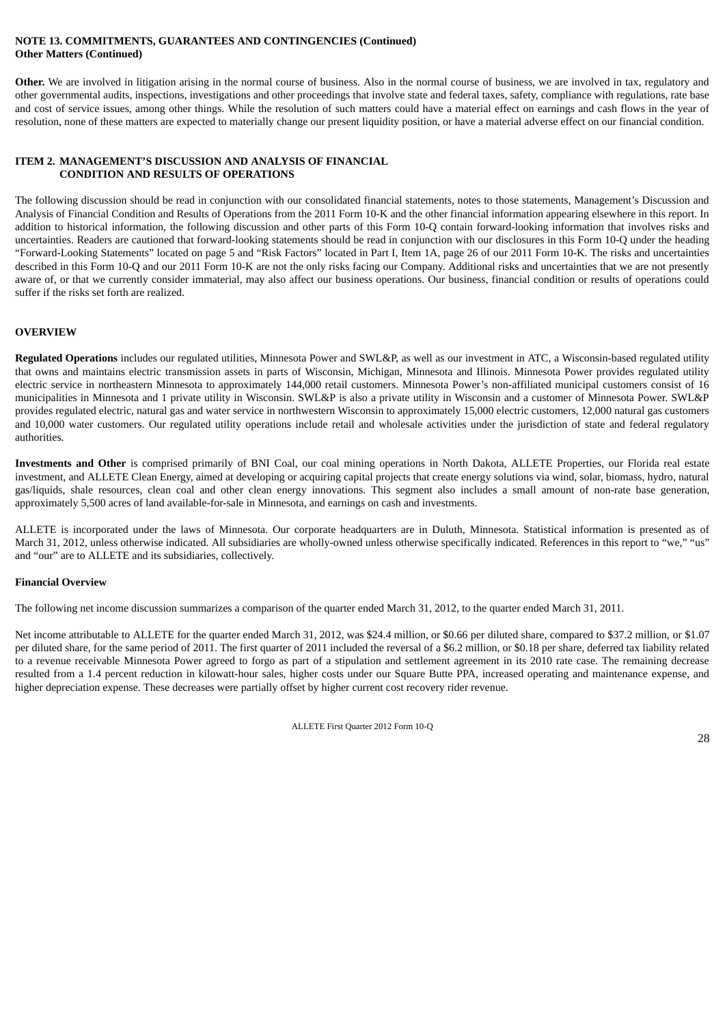**Other.** We are involved in litigation arising in the normal course of business. Also in the normal course of business, we are involved in tax, regulatory and other governmental audits, inspections, investigations and other proceedings that involve state and federal taxes, safety, compliance with regulations, rate base and cost of service issues, among other things. While the resolution of such matters could have a material effect on earnings and cash flows in the year of resolution, none of these matters are expected to materially change our present liquidity position, or have a material adverse effect on our financial condition.

## <span id="page-27-0"></span>**ITEM 2. MANAGEMENT'S DISCUSSION AND ANALYSIS OF FINANCIAL CONDITION AND RESULTS OF OPERATIONS**

The following discussion should be read in conjunction with our consolidated financial statements, notes to those statements, Management's Discussion and Analysis of Financial Condition and Results of Operations from the 2011 Form 10-K and the other financial information appearing elsewhere in this report. In addition to historical information, the following discussion and other parts of this Form 10-Q contain forward-looking information that involves risks and uncertainties. Readers are cautioned that forward-looking statements should be read in conjunction with our disclosures in this Form 10-Q under the heading "Forward-Looking Statements" located on page 5 and "Risk Factors" located in Part I, Item 1A, page 26 of our 2011 Form 10-K. The risks and uncertainties described in this Form 10-Q and our 2011 Form 10-K are not the only risks facing our Company. Additional risks and uncertainties that we are not presently aware of, or that we currently consider immaterial, may also affect our business operations. Our business, financial condition or results of operations could suffer if the risks set forth are realized.

## **OVERVIEW**

**Regulated Operations** includes our regulated utilities, Minnesota Power and SWL&P, as well as our investment in ATC, a Wisconsin-based regulated utility that owns and maintains electric transmission assets in parts of Wisconsin, Michigan, Minnesota and Illinois. Minnesota Power provides regulated utility electric service in northeastern Minnesota to approximately 144,000 retail customers. Minnesota Power's non-affiliated municipal customers consist of 16 municipalities in Minnesota and 1 private utility in Wisconsin. SWL&P is also a private utility in Wisconsin and a customer of Minnesota Power. SWL&P provides regulated electric, natural gas and water service in northwestern Wisconsin to approximately 15,000 electric customers, 12,000 natural gas customers and 10,000 water customers. Our regulated utility operations include retail and wholesale activities under the jurisdiction of state and federal regulatory authorities*.*

**Investments and Other** is comprised primarily of BNI Coal, our coal mining operations in North Dakota, ALLETE Properties, our Florida real estate investment, and ALLETE Clean Energy, aimed at developing or acquiring capital projects that create energy solutions via wind, solar, biomass, hydro, natural gas/liquids, shale resources, clean coal and other clean energy innovations. This segment also includes a small amount of non-rate base generation, approximately 5,500 acres of land available-for-sale in Minnesota, and earnings on cash and investments.

ALLETE is incorporated under the laws of Minnesota. Our corporate headquarters are in Duluth, Minnesota. Statistical information is presented as of March 31, 2012, unless otherwise indicated. All subsidiaries are wholly-owned unless otherwise specifically indicated. References in this report to "we," "us" and "our" are to ALLETE and its subsidiaries, collectively.

## **Financial Overview**

The following net income discussion summarizes a comparison of the quarter ended March 31, 2012, to the quarter ended March 31, 2011.

Net income attributable to ALLETE for the quarter ended March 31, 2012, was \$24.4 million, or \$0.66 per diluted share, compared to \$37.2 million, or \$1.07 per diluted share, for the same period of 2011. The first quarter of 2011 included the reversal of a \$6.2 million, or \$0.18 per share, deferred tax liability related to a revenue receivable Minnesota Power agreed to forgo as part of a stipulation and settlement agreement in its 2010 rate case. The remaining decrease resulted from a 1.4 percent reduction in kilowatt-hour sales, higher costs under our Square Butte PPA, increased operating and maintenance expense, and higher depreciation expense. These decreases were partially offset by higher current cost recovery rider revenue.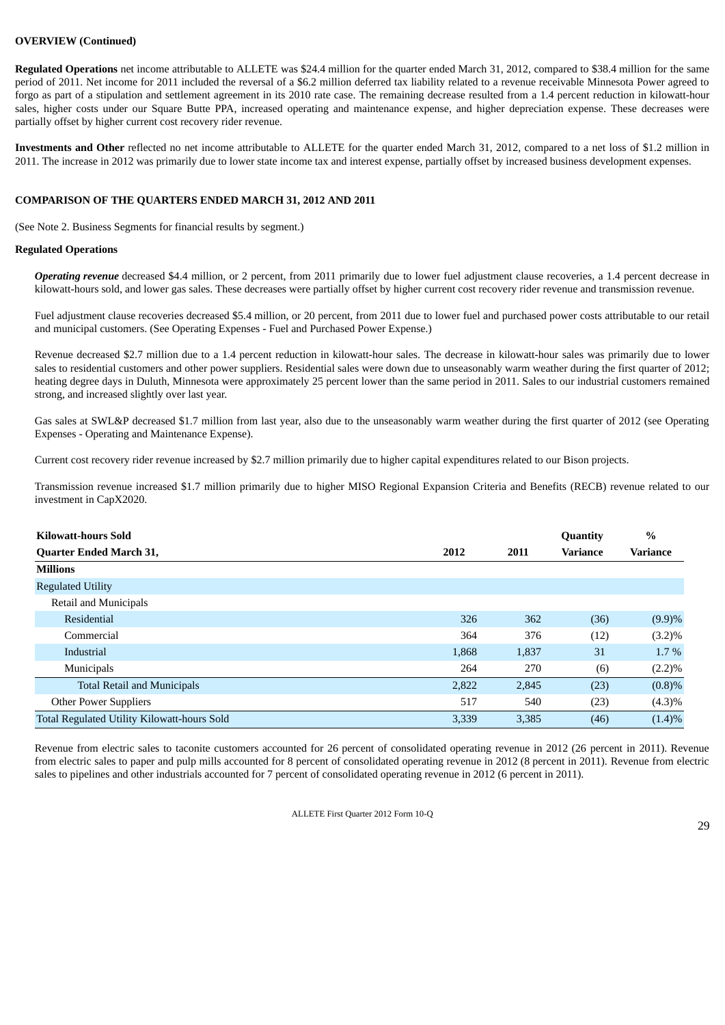## **OVERVIEW (Continued)**

**Regulated Operations** net income attributable to ALLETE was \$24.4 million for the quarter ended March 31, 2012, compared to \$38.4 million for the same period of 2011. Net income for 2011 included the reversal of a \$6.2 million deferred tax liability related to a revenue receivable Minnesota Power agreed to forgo as part of a stipulation and settlement agreement in its 2010 rate case. The remaining decrease resulted from a 1.4 percent reduction in kilowatt-hour sales, higher costs under our Square Butte PPA, increased operating and maintenance expense, and higher depreciation expense. These decreases were partially offset by higher current cost recovery rider revenue.

**Investments and Other** reflected no net income attributable to ALLETE for the quarter ended March 31, 2012, compared to a net loss of \$1.2 million in 2011. The increase in 2012 was primarily due to lower state income tax and interest expense, partially offset by increased business development expenses.

#### **COMPARISON OF THE QUARTERS ENDED MARCH 31, 2012 AND 2011**

(See Note 2. Business Segments for financial results by segment.)

#### **Regulated Operations**

*Operating revenue* decreased \$4.4 million, or 2 percent, from 2011 primarily due to lower fuel adjustment clause recoveries, a 1.4 percent decrease in kilowatt-hours sold, and lower gas sales. These decreases were partially offset by higher current cost recovery rider revenue and transmission revenue.

Fuel adjustment clause recoveries decreased \$5.4 million, or 20 percent, from 2011 due to lower fuel and purchased power costs attributable to our retail and municipal customers. (See Operating Expenses - Fuel and Purchased Power Expense.)

Revenue decreased \$2.7 million due to a 1.4 percent reduction in kilowatt-hour sales. The decrease in kilowatt-hour sales was primarily due to lower sales to residential customers and other power suppliers. Residential sales were down due to unseasonably warm weather during the first quarter of 2012; heating degree days in Duluth, Minnesota were approximately 25 percent lower than the same period in 2011. Sales to our industrial customers remained strong, and increased slightly over last year.

Gas sales at SWL&P decreased \$1.7 million from last year, also due to the unseasonably warm weather during the first quarter of 2012 (see Operating Expenses - Operating and Maintenance Expense).

Current cost recovery rider revenue increased by \$2.7 million primarily due to higher capital expenditures related to our Bison projects.

Transmission revenue increased \$1.7 million primarily due to higher MISO Regional Expansion Criteria and Benefits (RECB) revenue related to our investment in CapX2020.

| <b>Kilowatt-hours Sold</b>                  |       |       | Quantity | $\%$      |
|---------------------------------------------|-------|-------|----------|-----------|
| <b>Quarter Ended March 31,</b>              | 2012  | 2011  | Variance | Variance  |
| <b>Millions</b>                             |       |       |          |           |
| <b>Regulated Utility</b>                    |       |       |          |           |
| Retail and Municipals                       |       |       |          |           |
| Residential                                 | 326   | 362   | (36)     | (9.9)%    |
| Commercial                                  | 364   | 376   | (12)     | $(3.2)\%$ |
| Industrial                                  | 1,868 | 1,837 | 31       | $1.7\%$   |
| Municipals                                  | 264   | 270   | (6)      | $(2.2)\%$ |
| <b>Total Retail and Municipals</b>          | 2,822 | 2,845 | (23)     | (0.8)%    |
| <b>Other Power Suppliers</b>                | 517   | 540   | (23)     | $(4.3)\%$ |
| Total Regulated Utility Kilowatt-hours Sold | 3,339 | 3,385 | (46)     | $(1.4)\%$ |

Revenue from electric sales to taconite customers accounted for 26 percent of consolidated operating revenue in 2012 (26 percent in 2011). Revenue from electric sales to paper and pulp mills accounted for 8 percent of consolidated operating revenue in 2012 (8 percent in 2011). Revenue from electric sales to pipelines and other industrials accounted for 7 percent of consolidated operating revenue in 2012 (6 percent in 2011).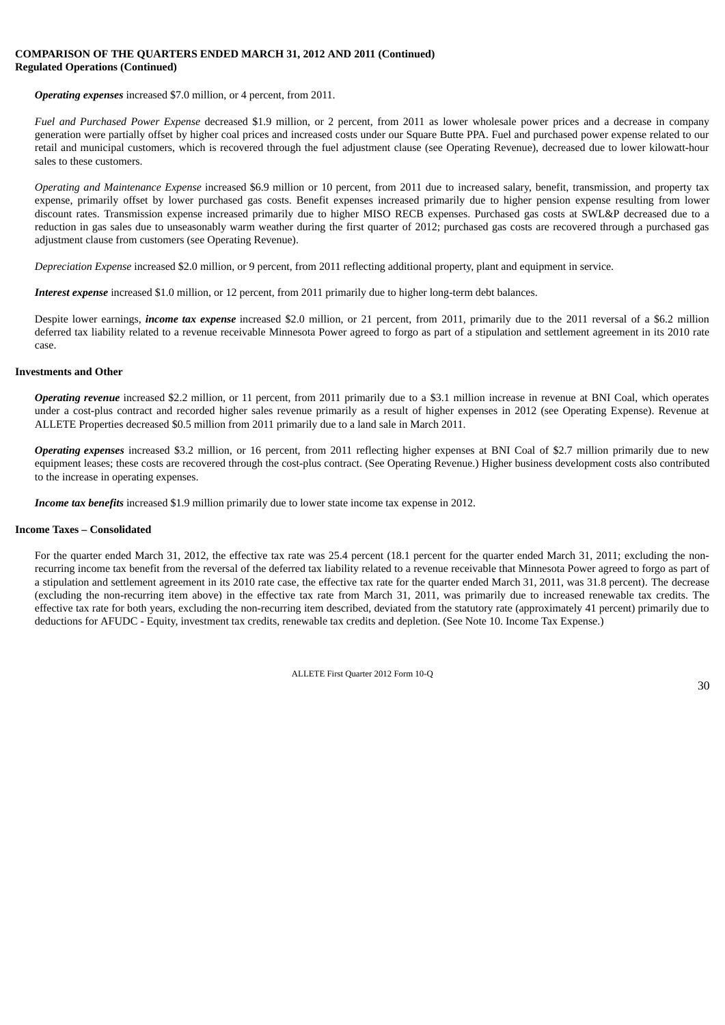## **COMPARISON OF THE QUARTERS ENDED MARCH 31, 2012 AND 2011 (Continued) Regulated Operations (Continued)**

*Operating expenses* increased \$7.0 million, or 4 percent, from 2011.

*Fuel and Purchased Power Expense* decreased \$1.9 million, or 2 percent, from 2011 as lower wholesale power prices and a decrease in company generation were partially offset by higher coal prices and increased costs under our Square Butte PPA. Fuel and purchased power expense related to our retail and municipal customers, which is recovered through the fuel adjustment clause (see Operating Revenue), decreased due to lower kilowatt-hour sales to these customers.

*Operating and Maintenance Expense* increased \$6.9 million or 10 percent, from 2011 due to increased salary, benefit, transmission, and property tax expense, primarily offset by lower purchased gas costs. Benefit expenses increased primarily due to higher pension expense resulting from lower discount rates. Transmission expense increased primarily due to higher MISO RECB expenses. Purchased gas costs at SWL&P decreased due to a reduction in gas sales due to unseasonably warm weather during the first quarter of 2012; purchased gas costs are recovered through a purchased gas adjustment clause from customers (see Operating Revenue).

*Depreciation Expense* increased \$2.0 million, or 9 percent, from 2011 reflecting additional property, plant and equipment in service.

*Interest expense* increased \$1.0 million, or 12 percent, from 2011 primarily due to higher long-term debt balances.

Despite lower earnings, *income tax expense* increased \$2.0 million, or 21 percent, from 2011, primarily due to the 2011 reversal of a \$6.2 million deferred tax liability related to a revenue receivable Minnesota Power agreed to forgo as part of a stipulation and settlement agreement in its 2010 rate case.

#### **Investments and Other**

*Operating revenue* increased \$2.2 million, or 11 percent, from 2011 primarily due to a \$3.1 million increase in revenue at BNI Coal, which operates under a cost-plus contract and recorded higher sales revenue primarily as a result of higher expenses in 2012 (see Operating Expense). Revenue at ALLETE Properties decreased \$0.5 million from 2011 primarily due to a land sale in March 2011.

*Operating expenses* increased \$3.2 million, or 16 percent, from 2011 reflecting higher expenses at BNI Coal of \$2.7 million primarily due to new equipment leases; these costs are recovered through the cost-plus contract. (See Operating Revenue.) Higher business development costs also contributed to the increase in operating expenses.

*Income tax benefits* increased \$1.9 million primarily due to lower state income tax expense in 2012.

#### **Income Taxes – Consolidated**

For the quarter ended March 31, 2012, the effective tax rate was 25.4 percent (18.1 percent for the quarter ended March 31, 2011; excluding the nonrecurring income tax benefit from the reversal of the deferred tax liability related to a revenue receivable that Minnesota Power agreed to forgo as part of a stipulation and settlement agreement in its 2010 rate case, the effective tax rate for the quarter ended March 31, 2011, was 31.8 percent). The decrease (excluding the non-recurring item above) in the effective tax rate from March 31, 2011, was primarily due to increased renewable tax credits. The effective tax rate for both years, excluding the non-recurring item described, deviated from the statutory rate (approximately 41 percent) primarily due to deductions for AFUDC - Equity, investment tax credits, renewable tax credits and depletion. (See Note 10. Income Tax Expense.)

ALLETE First Quarter 2012 Form 10-Q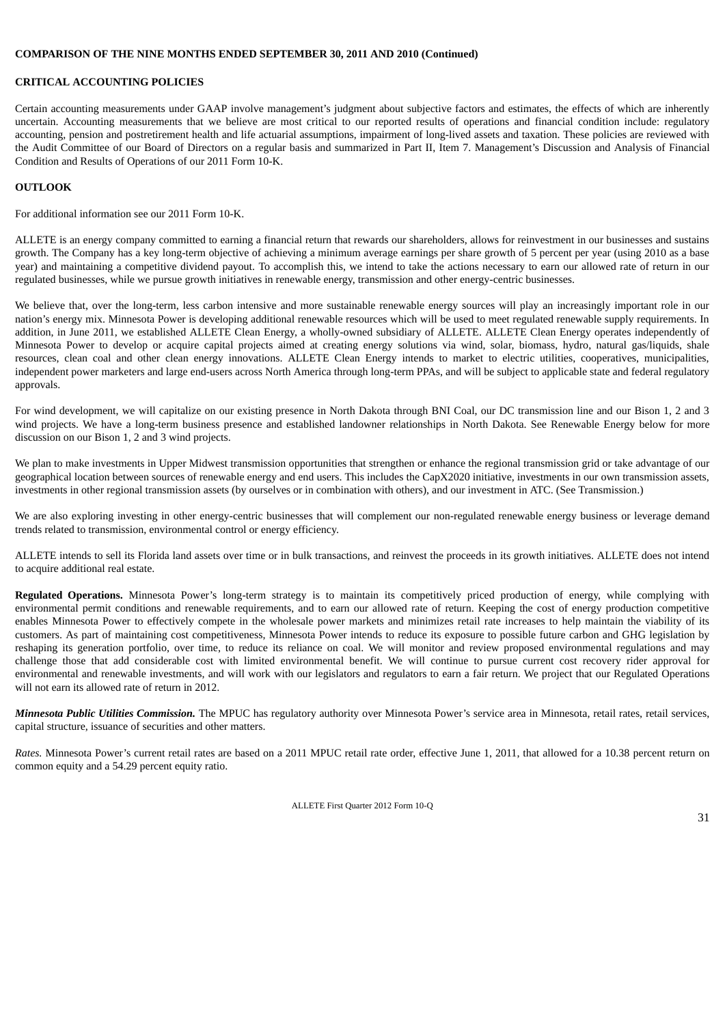#### **COMPARISON OF THE NINE MONTHS ENDED SEPTEMBER 30, 2011 AND 2010 (Continued)**

#### **CRITICAL ACCOUNTING POLICIES**

Certain accounting measurements under GAAP involve management's judgment about subjective factors and estimates, the effects of which are inherently uncertain. Accounting measurements that we believe are most critical to our reported results of operations and financial condition include: regulatory accounting, pension and postretirement health and life actuarial assumptions, impairment of long-lived assets and taxation. These policies are reviewed with the Audit Committee of our Board of Directors on a regular basis and summarized in Part II, Item 7. Management's Discussion and Analysis of Financial Condition and Results of Operations of our 2011 Form 10-K.

#### **OUTLOOK**

For additional information see our 2011 Form 10-K.

ALLETE is an energy company committed to earning a financial return that rewards our shareholders, allows for reinvestment in our businesses and sustains growth. The Company has a key long-term objective of achieving a minimum average earnings per share growth of 5 percent per year (using 2010 as a base year) and maintaining a competitive dividend payout. To accomplish this, we intend to take the actions necessary to earn our allowed rate of return in our regulated businesses, while we pursue growth initiatives in renewable energy, transmission and other energy-centric businesses.

We believe that, over the long-term, less carbon intensive and more sustainable renewable energy sources will play an increasingly important role in our nation's energy mix. Minnesota Power is developing additional renewable resources which will be used to meet regulated renewable supply requirements. In addition, in June 2011, we established ALLETE Clean Energy, a wholly-owned subsidiary of ALLETE. ALLETE Clean Energy operates independently of Minnesota Power to develop or acquire capital projects aimed at creating energy solutions via wind, solar, biomass, hydro, natural gas/liquids, shale resources, clean coal and other clean energy innovations. ALLETE Clean Energy intends to market to electric utilities, cooperatives, municipalities, independent power marketers and large end-users across North America through long-term PPAs, and will be subject to applicable state and federal regulatory approvals.

For wind development, we will capitalize on our existing presence in North Dakota through BNI Coal, our DC transmission line and our Bison 1, 2 and 3 wind projects. We have a long-term business presence and established landowner relationships in North Dakota. See Renewable Energy below for more discussion on our Bison 1, 2 and 3 wind projects.

We plan to make investments in Upper Midwest transmission opportunities that strengthen or enhance the regional transmission grid or take advantage of our geographical location between sources of renewable energy and end users. This includes the CapX2020 initiative, investments in our own transmission assets, investments in other regional transmission assets (by ourselves or in combination with others), and our investment in ATC. (See Transmission.)

We are also exploring investing in other energy-centric businesses that will complement our non-regulated renewable energy business or leverage demand trends related to transmission, environmental control or energy efficiency.

ALLETE intends to sell its Florida land assets over time or in bulk transactions, and reinvest the proceeds in its growth initiatives. ALLETE does not intend to acquire additional real estate.

**Regulated Operations.** Minnesota Power's long-term strategy is to maintain its competitively priced production of energy, while complying with environmental permit conditions and renewable requirements, and to earn our allowed rate of return. Keeping the cost of energy production competitive enables Minnesota Power to effectively compete in the wholesale power markets and minimizes retail rate increases to help maintain the viability of its customers. As part of maintaining cost competitiveness, Minnesota Power intends to reduce its exposure to possible future carbon and GHG legislation by reshaping its generation portfolio, over time, to reduce its reliance on coal. We will monitor and review proposed environmental regulations and may challenge those that add considerable cost with limited environmental benefit. We will continue to pursue current cost recovery rider approval for environmental and renewable investments, and will work with our legislators and regulators to earn a fair return. We project that our Regulated Operations will not earn its allowed rate of return in 2012.

*Minnesota Public Utilities Commission.* The MPUC has regulatory authority over Minnesota Power's service area in Minnesota, retail rates, retail services, capital structure, issuance of securities and other matters.

*Rates.* Minnesota Power's current retail rates are based on a 2011 MPUC retail rate order, effective June 1, 2011, that allowed for a 10.38 percent return on common equity and a 54.29 percent equity ratio.

ALLETE First Quarter 2012 Form 10-Q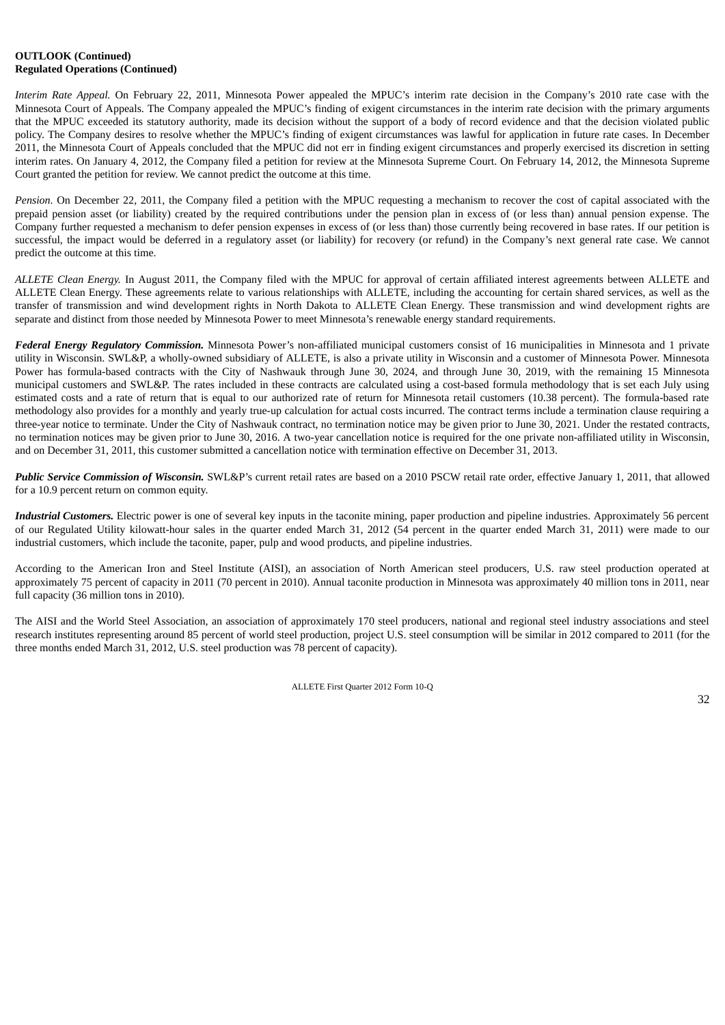## **OUTLOOK (Continued) Regulated Operations (Continued)**

*Interim Rate Appeal.* On February 22, 2011, Minnesota Power appealed the MPUC's interim rate decision in the Company's 2010 rate case with the Minnesota Court of Appeals. The Company appealed the MPUC's finding of exigent circumstances in the interim rate decision with the primary arguments that the MPUC exceeded its statutory authority, made its decision without the support of a body of record evidence and that the decision violated public policy. The Company desires to resolve whether the MPUC's finding of exigent circumstances was lawful for application in future rate cases. In December 2011, the Minnesota Court of Appeals concluded that the MPUC did not err in finding exigent circumstances and properly exercised its discretion in setting interim rates. On January 4, 2012, the Company filed a petition for review at the Minnesota Supreme Court. On February 14, 2012, the Minnesota Supreme Court granted the petition for review. We cannot predict the outcome at this time.

*Pension.* On December 22, 2011, the Company filed a petition with the MPUC requesting a mechanism to recover the cost of capital associated with the prepaid pension asset (or liability) created by the required contributions under the pension plan in excess of (or less than) annual pension expense. The Company further requested a mechanism to defer pension expenses in excess of (or less than) those currently being recovered in base rates. If our petition is successful, the impact would be deferred in a regulatory asset (or liability) for recovery (or refund) in the Company's next general rate case. We cannot predict the outcome at this time.

*ALLETE Clean Energy.* In August 2011, the Company filed with the MPUC for approval of certain affiliated interest agreements between ALLETE and ALLETE Clean Energy. These agreements relate to various relationships with ALLETE, including the accounting for certain shared services, as well as the transfer of transmission and wind development rights in North Dakota to ALLETE Clean Energy. These transmission and wind development rights are separate and distinct from those needed by Minnesota Power to meet Minnesota's renewable energy standard requirements.

*Federal Energy Regulatory Commission.* Minnesota Power's non-affiliated municipal customers consist of 16 municipalities in Minnesota and 1 private utility in Wisconsin. SWL&P, a wholly-owned subsidiary of ALLETE, is also a private utility in Wisconsin and a customer of Minnesota Power. Minnesota Power has formula-based contracts with the City of Nashwauk through June 30, 2024, and through June 30, 2019, with the remaining 15 Minnesota municipal customers and SWL&P. The rates included in these contracts are calculated using a cost-based formula methodology that is set each July using estimated costs and a rate of return that is equal to our authorized rate of return for Minnesota retail customers (10.38 percent). The formula-based rate methodology also provides for a monthly and yearly true-up calculation for actual costs incurred. The contract terms include a termination clause requiring a three-year notice to terminate. Under the City of Nashwauk contract, no termination notice may be given prior to June 30, 2021. Under the restated contracts, no termination notices may be given prior to June 30, 2016. A two-year cancellation notice is required for the one private non-affiliated utility in Wisconsin, and on December 31, 2011, this customer submitted a cancellation notice with termination effective on December 31, 2013.

*Public Service Commission of Wisconsin.* SWL&P's current retail rates are based on a 2010 PSCW retail rate order, effective January 1, 2011, that allowed for a 10.9 percent return on common equity.

*Industrial Customers.* Electric power is one of several key inputs in the taconite mining, paper production and pipeline industries. Approximately 56 percent of our Regulated Utility kilowatt-hour sales in the quarter ended March 31, 2012 (54 percent in the quarter ended March 31, 2011) were made to our industrial customers, which include the taconite, paper, pulp and wood products, and pipeline industries.

According to the American Iron and Steel Institute (AISI), an association of North American steel producers, U.S. raw steel production operated at approximately 75 percent of capacity in 2011 (70 percent in 2010). Annual taconite production in Minnesota was approximately 40 million tons in 2011, near full capacity (36 million tons in 2010).

The AISI and the World Steel Association, an association of approximately 170 steel producers, national and regional steel industry associations and steel research institutes representing around 85 percent of world steel production, project U.S. steel consumption will be similar in 2012 compared to 2011 (for the three months ended March 31, 2012, U.S. steel production was 78 percent of capacity).

ALLETE First Quarter 2012 Form 10-Q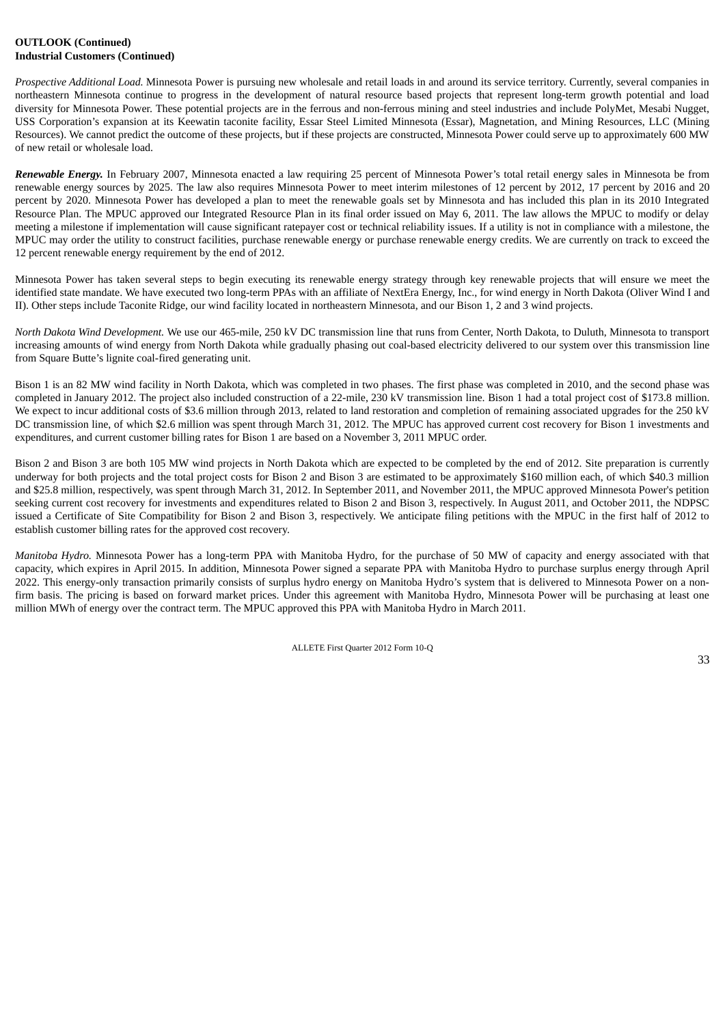## **OUTLOOK (Continued) Industrial Customers (Continued)**

*Prospective Additional Load.* Minnesota Power is pursuing new wholesale and retail loads in and around its service territory. Currently, several companies in northeastern Minnesota continue to progress in the development of natural resource based projects that represent long-term growth potential and load diversity for Minnesota Power. These potential projects are in the ferrous and non-ferrous mining and steel industries and include PolyMet, Mesabi Nugget, USS Corporation's expansion at its Keewatin taconite facility, Essar Steel Limited Minnesota (Essar), Magnetation, and Mining Resources, LLC (Mining Resources). We cannot predict the outcome of these projects, but if these projects are constructed, Minnesota Power could serve up to approximately 600 MW of new retail or wholesale load.

*Renewable Energy.* In February 2007, Minnesota enacted a law requiring 25 percent of Minnesota Power's total retail energy sales in Minnesota be from renewable energy sources by 2025. The law also requires Minnesota Power to meet interim milestones of 12 percent by 2012, 17 percent by 2016 and 20 percent by 2020. Minnesota Power has developed a plan to meet the renewable goals set by Minnesota and has included this plan in its 2010 Integrated Resource Plan. The MPUC approved our Integrated Resource Plan in its final order issued on May 6, 2011. The law allows the MPUC to modify or delay meeting a milestone if implementation will cause significant ratepayer cost or technical reliability issues. If a utility is not in compliance with a milestone, the MPUC may order the utility to construct facilities, purchase renewable energy or purchase renewable energy credits. We are currently on track to exceed the 12 percent renewable energy requirement by the end of 2012.

Minnesota Power has taken several steps to begin executing its renewable energy strategy through key renewable projects that will ensure we meet the identified state mandate. We have executed two long-term PPAs with an affiliate of NextEra Energy, Inc., for wind energy in North Dakota (Oliver Wind I and II). Other steps include Taconite Ridge, our wind facility located in northeastern Minnesota, and our Bison 1, 2 and 3 wind projects.

*North Dakota Wind Development.* We use our 465-mile, 250 kV DC transmission line that runs from Center, North Dakota, to Duluth, Minnesota to transport increasing amounts of wind energy from North Dakota while gradually phasing out coal-based electricity delivered to our system over this transmission line from Square Butte's lignite coal-fired generating unit.

Bison 1 is an 82 MW wind facility in North Dakota, which was completed in two phases. The first phase was completed in 2010, and the second phase was completed in January 2012. The project also included construction of a 22-mile, 230 kV transmission line. Bison 1 had a total project cost of \$173.8 million. We expect to incur additional costs of \$3.6 million through 2013, related to land restoration and completion of remaining associated upgrades for the 250 kV DC transmission line, of which \$2.6 million was spent through March 31, 2012. The MPUC has approved current cost recovery for Bison 1 investments and expenditures, and current customer billing rates for Bison 1 are based on a November 3, 2011 MPUC order.

Bison 2 and Bison 3 are both 105 MW wind projects in North Dakota which are expected to be completed by the end of 2012. Site preparation is currently underway for both projects and the total project costs for Bison 2 and Bison 3 are estimated to be approximately \$160 million each, of which \$40.3 million and \$25.8 million, respectively, was spent through March 31, 2012. In September 2011, and November 2011, the MPUC approved Minnesota Power's petition seeking current cost recovery for investments and expenditures related to Bison 2 and Bison 3, respectively. In August 2011, and October 2011, the NDPSC issued a Certificate of Site Compatibility for Bison 2 and Bison 3, respectively. We anticipate filing petitions with the MPUC in the first half of 2012 to establish customer billing rates for the approved cost recovery.

*Manitoba Hydro.* Minnesota Power has a long-term PPA with Manitoba Hydro, for the purchase of 50 MW of capacity and energy associated with that capacity, which expires in April 2015. In addition, Minnesota Power signed a separate PPA with Manitoba Hydro to purchase surplus energy through April 2022. This energy-only transaction primarily consists of surplus hydro energy on Manitoba Hydro's system that is delivered to Minnesota Power on a nonfirm basis. The pricing is based on forward market prices. Under this agreement with Manitoba Hydro, Minnesota Power will be purchasing at least one million MWh of energy over the contract term. The MPUC approved this PPA with Manitoba Hydro in March 2011.

ALLETE First Quarter 2012 Form 10-Q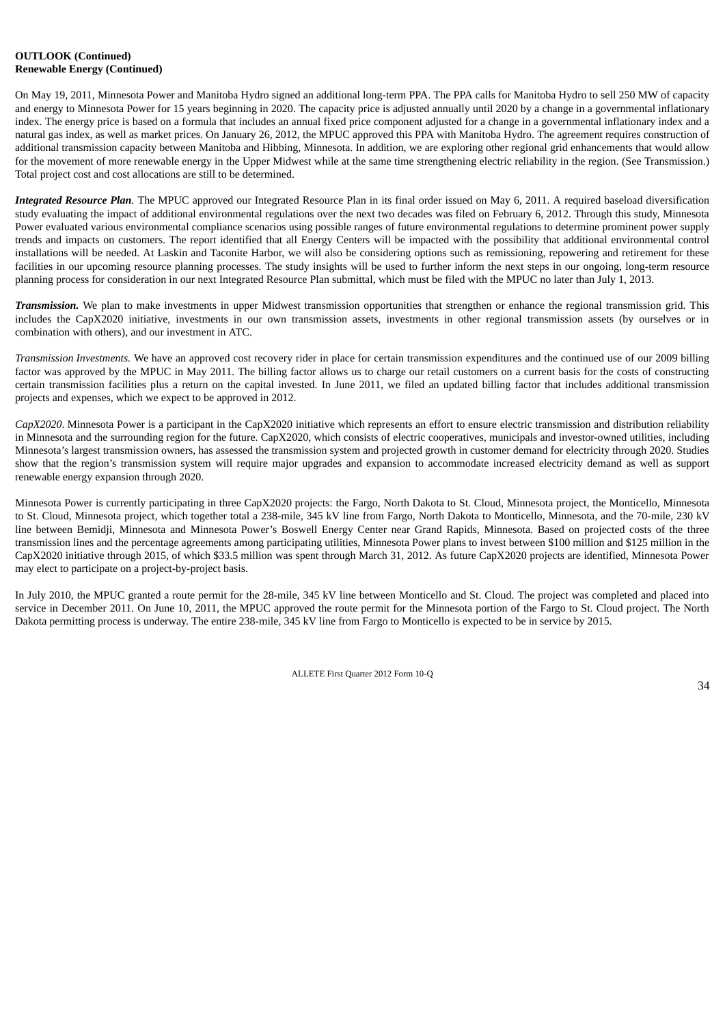## **OUTLOOK (Continued) Renewable Energy (Continued)**

On May 19, 2011, Minnesota Power and Manitoba Hydro signed an additional long-term PPA. The PPA calls for Manitoba Hydro to sell 250 MW of capacity and energy to Minnesota Power for 15 years beginning in 2020. The capacity price is adjusted annually until 2020 by a change in a governmental inflationary index. The energy price is based on a formula that includes an annual fixed price component adjusted for a change in a governmental inflationary index and a natural gas index, as well as market prices. On January 26, 2012, the MPUC approved this PPA with Manitoba Hydro. The agreement requires construction of additional transmission capacity between Manitoba and Hibbing, Minnesota. In addition, we are exploring other regional grid enhancements that would allow for the movement of more renewable energy in the Upper Midwest while at the same time strengthening electric reliability in the region. (See Transmission.) Total project cost and cost allocations are still to be determined.

*Integrated Resource Plan.* The MPUC approved our Integrated Resource Plan in its final order issued on May 6, 2011. A required baseload diversification study evaluating the impact of additional environmental regulations over the next two decades was filed on February 6, 2012. Through this study, Minnesota Power evaluated various environmental compliance scenarios using possible ranges of future environmental regulations to determine prominent power supply trends and impacts on customers. The report identified that all Energy Centers will be impacted with the possibility that additional environmental control installations will be needed. At Laskin and Taconite Harbor, we will also be considering options such as remissioning, repowering and retirement for these facilities in our upcoming resource planning processes. The study insights will be used to further inform the next steps in our ongoing, long-term resource planning process for consideration in our next Integrated Resource Plan submittal, which must be filed with the MPUC no later than July 1, 2013.

*Transmission.* We plan to make investments in upper Midwest transmission opportunities that strengthen or enhance the regional transmission grid. This includes the CapX2020 initiative, investments in our own transmission assets, investments in other regional transmission assets (by ourselves or in combination with others), and our investment in ATC.

*Transmission Investments.* We have an approved cost recovery rider in place for certain transmission expenditures and the continued use of our 2009 billing factor was approved by the MPUC in May 2011. The billing factor allows us to charge our retail customers on a current basis for the costs of constructing certain transmission facilities plus a return on the capital invested. In June 2011, we filed an updated billing factor that includes additional transmission projects and expenses, which we expect to be approved in 2012.

*CapX2020*. Minnesota Power is a participant in the CapX2020 initiative which represents an effort to ensure electric transmission and distribution reliability in Minnesota and the surrounding region for the future. CapX2020, which consists of electric cooperatives, municipals and investor-owned utilities, including Minnesota's largest transmission owners, has assessed the transmission system and projected growth in customer demand for electricity through 2020. Studies show that the region's transmission system will require major upgrades and expansion to accommodate increased electricity demand as well as support renewable energy expansion through 2020.

Minnesota Power is currently participating in three CapX2020 projects: the Fargo, North Dakota to St. Cloud, Minnesota project, the Monticello, Minnesota to St. Cloud, Minnesota project, which together total a 238-mile, 345 kV line from Fargo, North Dakota to Monticello, Minnesota, and the 70-mile, 230 kV line between Bemidji, Minnesota and Minnesota Power's Boswell Energy Center near Grand Rapids, Minnesota. Based on projected costs of the three transmission lines and the percentage agreements among participating utilities, Minnesota Power plans to invest between \$100 million and \$125 million in the CapX2020 initiative through 2015, of which \$33.5 million was spent through March 31, 2012. As future CapX2020 projects are identified, Minnesota Power may elect to participate on a project-by-project basis.

In July 2010, the MPUC granted a route permit for the 28-mile, 345 kV line between Monticello and St. Cloud. The project was completed and placed into service in December 2011. On June 10, 2011, the MPUC approved the route permit for the Minnesota portion of the Fargo to St. Cloud project. The North Dakota permitting process is underway. The entire 238-mile, 345 kV line from Fargo to Monticello is expected to be in service by 2015.

ALLETE First Quarter 2012 Form 10-Q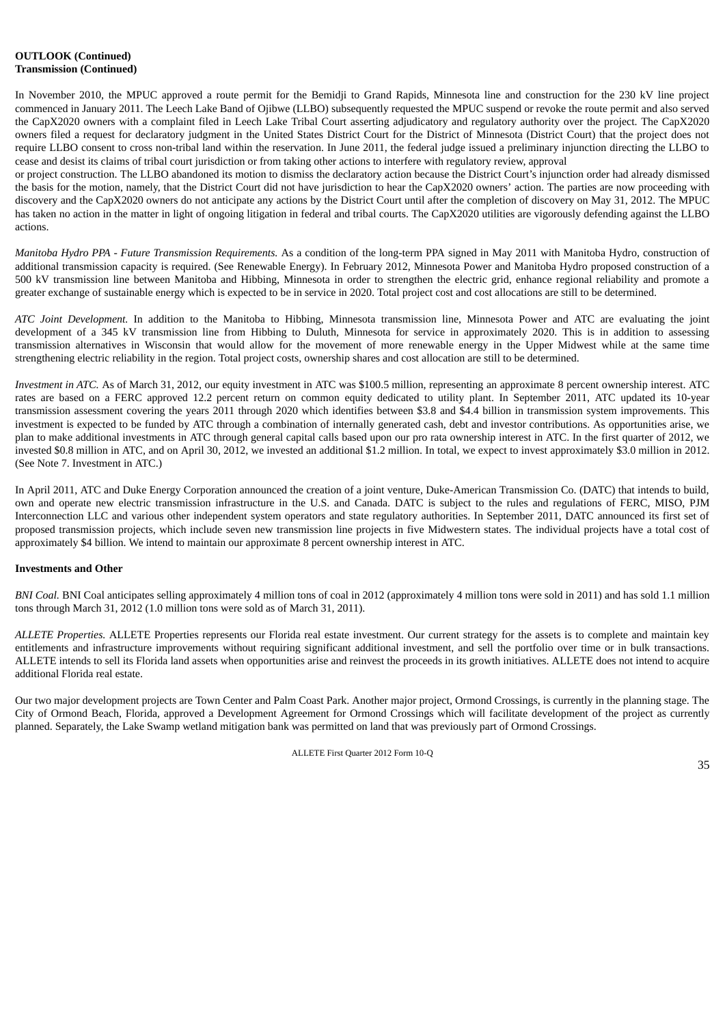## **OUTLOOK (Continued) Transmission (Continued)**

In November 2010, the MPUC approved a route permit for the Bemidji to Grand Rapids, Minnesota line and construction for the 230 kV line project commenced in January 2011. The Leech Lake Band of Ojibwe (LLBO) subsequently requested the MPUC suspend or revoke the route permit and also served the CapX2020 owners with a complaint filed in Leech Lake Tribal Court asserting adjudicatory and regulatory authority over the project. The CapX2020 owners filed a request for declaratory judgment in the United States District Court for the District of Minnesota (District Court) that the project does not require LLBO consent to cross non-tribal land within the reservation. In June 2011, the federal judge issued a preliminary injunction directing the LLBO to cease and desist its claims of tribal court jurisdiction or from taking other actions to interfere with regulatory review, approval

or project construction. The LLBO abandoned its motion to dismiss the declaratory action because the District Court's injunction order had already dismissed the basis for the motion, namely, that the District Court did not have jurisdiction to hear the CapX2020 owners' action. The parties are now proceeding with discovery and the CapX2020 owners do not anticipate any actions by the District Court until after the completion of discovery on May 31, 2012. The MPUC has taken no action in the matter in light of ongoing litigation in federal and tribal courts. The CapX2020 utilities are vigorously defending against the LLBO actions.

*Manitoba Hydro PPA - Future Transmission Requirements.* As a condition of the long-term PPA signed in May 2011 with Manitoba Hydro, construction of additional transmission capacity is required. (See Renewable Energy). In February 2012, Minnesota Power and Manitoba Hydro proposed construction of a 500 kV transmission line between Manitoba and Hibbing, Minnesota in order to strengthen the electric grid, enhance regional reliability and promote a greater exchange of sustainable energy which is expected to be in service in 2020. Total project cost and cost allocations are still to be determined.

*ATC Joint Development.* In addition to the Manitoba to Hibbing, Minnesota transmission line, Minnesota Power and ATC are evaluating the joint development of a 345 kV transmission line from Hibbing to Duluth, Minnesota for service in approximately 2020. This is in addition to assessing transmission alternatives in Wisconsin that would allow for the movement of more renewable energy in the Upper Midwest while at the same time strengthening electric reliability in the region. Total project costs, ownership shares and cost allocation are still to be determined.

*Investment in ATC.* As of March 31, 2012, our equity investment in ATC was \$100.5 million, representing an approximate 8 percent ownership interest. ATC rates are based on a FERC approved 12.2 percent return on common equity dedicated to utility plant. In September 2011, ATC updated its 10-year transmission assessment covering the years 2011 through 2020 which identifies between \$3.8 and \$4.4 billion in transmission system improvements. This investment is expected to be funded by ATC through a combination of internally generated cash, debt and investor contributions. As opportunities arise, we plan to make additional investments in ATC through general capital calls based upon our pro rata ownership interest in ATC. In the first quarter of 2012, we invested \$0.8 million in ATC, and on April 30, 2012, we invested an additional \$1.2 million. In total, we expect to invest approximately \$3.0 million in 2012. (See Note 7. Investment in ATC.)

In April 2011, ATC and Duke Energy Corporation announced the creation of a joint venture, Duke-American Transmission Co. (DATC) that intends to build, own and operate new electric transmission infrastructure in the U.S. and Canada. DATC is subject to the rules and regulations of FERC, MISO, PJM Interconnection LLC and various other independent system operators and state regulatory authorities. In September 2011, DATC announced its first set of proposed transmission projects, which include seven new transmission line projects in five Midwestern states. The individual projects have a total cost of approximately \$4 billion. We intend to maintain our approximate 8 percent ownership interest in ATC.

## **Investments and Other**

*BNI Coal.* BNI Coal anticipates selling approximately 4 million tons of coal in 2012 (approximately 4 million tons were sold in 2011) and has sold 1.1 million tons through March 31, 2012 (1.0 million tons were sold as of March 31, 2011).

*ALLETE Properties.* ALLETE Properties represents our Florida real estate investment. Our current strategy for the assets is to complete and maintain key entitlements and infrastructure improvements without requiring significant additional investment, and sell the portfolio over time or in bulk transactions. ALLETE intends to sell its Florida land assets when opportunities arise and reinvest the proceeds in its growth initiatives. ALLETE does not intend to acquire additional Florida real estate.

Our two major development projects are Town Center and Palm Coast Park. Another major project, Ormond Crossings, is currently in the planning stage. The City of Ormond Beach, Florida, approved a Development Agreement for Ormond Crossings which will facilitate development of the project as currently planned. Separately, the Lake Swamp wetland mitigation bank was permitted on land that was previously part of Ormond Crossings.

ALLETE First Quarter 2012 Form 10-Q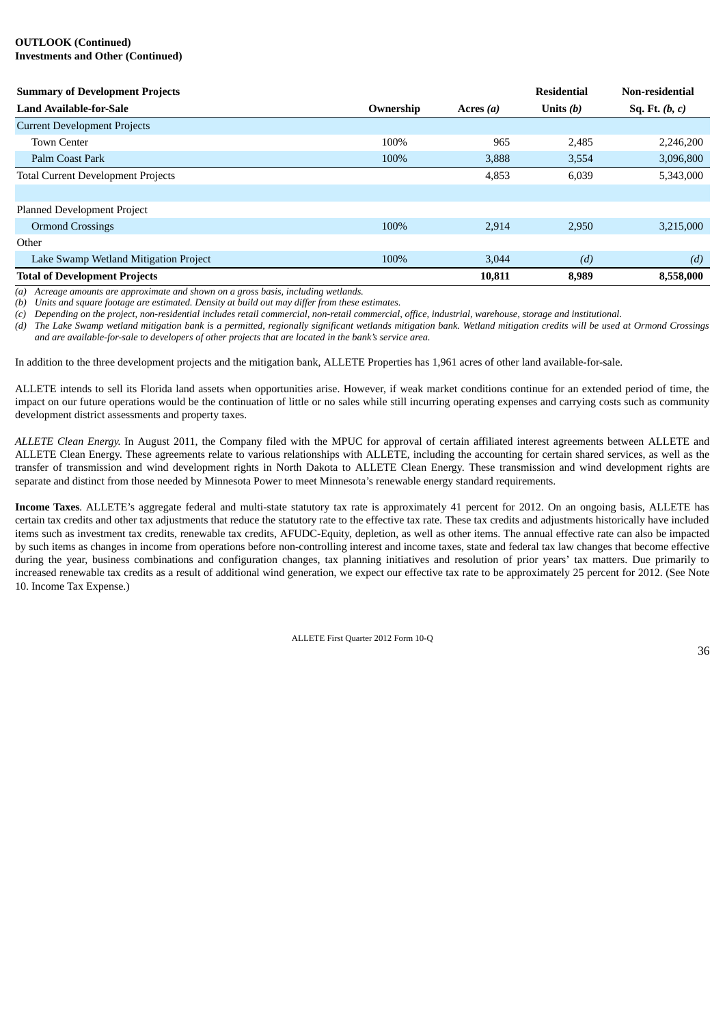## **OUTLOOK (Continued) Investments and Other (Continued)**

| <b>Summary of Development Projects</b>    |           |           | <b>Residential</b> | Non-residential  |
|-------------------------------------------|-----------|-----------|--------------------|------------------|
| <b>Land Available-for-Sale</b>            | Ownership | Acres (a) | Units $(b)$        | Sq. Ft. $(b, c)$ |
| <b>Current Development Projects</b>       |           |           |                    |                  |
| <b>Town Center</b>                        | 100%      | 965       | 2,485              | 2,246,200        |
| Palm Coast Park                           | 100%      | 3,888     | 3,554              | 3,096,800        |
| <b>Total Current Development Projects</b> |           | 4,853     | 6,039              | 5,343,000        |
|                                           |           |           |                    |                  |
| <b>Planned Development Project</b>        |           |           |                    |                  |
| <b>Ormond Crossings</b>                   | 100%      | 2,914     | 2,950              | 3,215,000        |
| Other                                     |           |           |                    |                  |
| Lake Swamp Wetland Mitigation Project     | 100%      | 3,044     | (d)                | (d)              |
| <b>Total of Development Projects</b>      |           | 10,811    | 8,989              | 8,558,000        |

*(a) Acreage amounts are approximate and shown on a gross basis, including wetlands.*

*(b) Units and square footage are estimated. Density at build out may differ from these estimates.*

*(c) Depending on the project, non-residential includes retail commercial, non-retail commercial, office, industrial, warehouse, storage and institutional.*

*(d) The Lake Swamp wetland mitigation bank is a permitted, regionally significant wetlands mitigation bank. Wetland mitigation credits will be used at Ormond Crossings and are available-for-sale to developers of other projects that are located in the bank's service area.*

In addition to the three development projects and the mitigation bank, ALLETE Properties has 1,961 acres of other land available-for-sale.

ALLETE intends to sell its Florida land assets when opportunities arise. However, if weak market conditions continue for an extended period of time, the impact on our future operations would be the continuation of little or no sales while still incurring operating expenses and carrying costs such as community development district assessments and property taxes.

*ALLETE Clean Energy.* In August 2011, the Company filed with the MPUC for approval of certain affiliated interest agreements between ALLETE and ALLETE Clean Energy. These agreements relate to various relationships with ALLETE, including the accounting for certain shared services, as well as the transfer of transmission and wind development rights in North Dakota to ALLETE Clean Energy. These transmission and wind development rights are separate and distinct from those needed by Minnesota Power to meet Minnesota's renewable energy standard requirements.

**Income Taxes***.* ALLETE's aggregate federal and multi-state statutory tax rate is approximately 41 percent for 2012. On an ongoing basis, ALLETE has certain tax credits and other tax adjustments that reduce the statutory rate to the effective tax rate. These tax credits and adjustments historically have included items such as investment tax credits, renewable tax credits, AFUDC-Equity, depletion, as well as other items. The annual effective rate can also be impacted by such items as changes in income from operations before non-controlling interest and income taxes, state and federal tax law changes that become effective during the year, business combinations and configuration changes, tax planning initiatives and resolution of prior years' tax matters. Due primarily to increased renewable tax credits as a result of additional wind generation, we expect our effective tax rate to be approximately 25 percent for 2012. (See Note 10. Income Tax Expense.)

ALLETE First Quarter 2012 Form 10-Q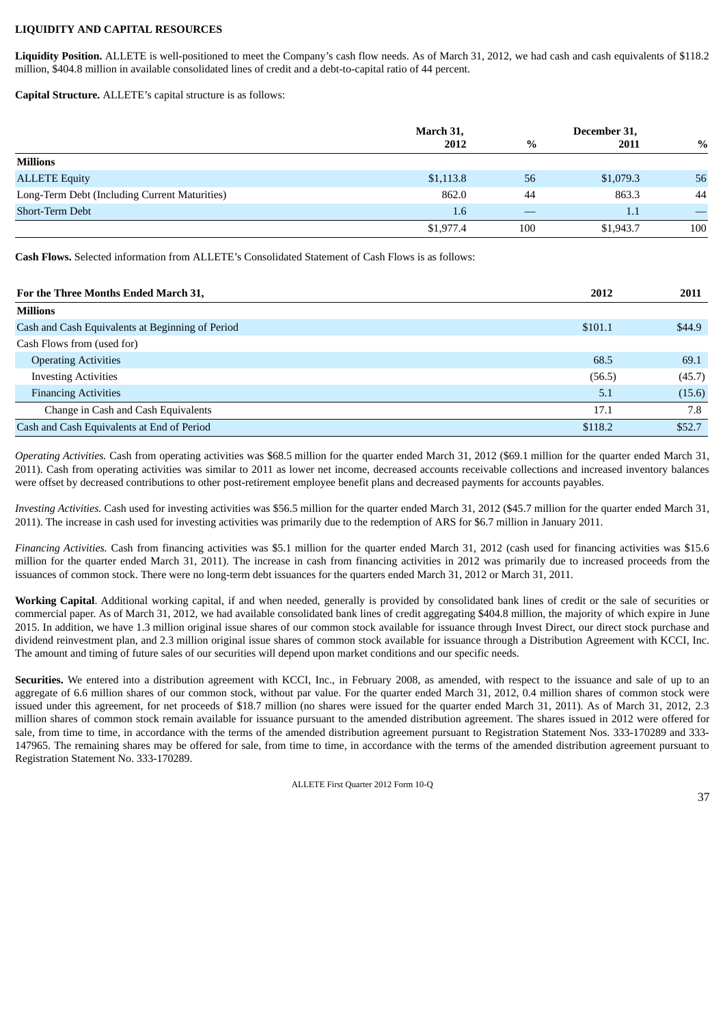## **LIQUIDITY AND CAPITAL RESOURCES**

**Liquidity Position.** ALLETE is well-positioned to meet the Company's cash flow needs. As of March 31, 2012, we had cash and cash equivalents of \$118.2 million, \$404.8 million in available consolidated lines of credit and a debt-to-capital ratio of 44 percent.

**Capital Structure.** ALLETE's capital structure is as follows:

|                                               | March 31, |      | December 31, |               |  |
|-----------------------------------------------|-----------|------|--------------|---------------|--|
|                                               | 2012      | $\%$ | 2011         | $\frac{0}{0}$ |  |
| <b>Millions</b>                               |           |      |              |               |  |
| <b>ALLETE Equity</b>                          | \$1,113.8 | 56   | \$1,079.3    | 56            |  |
| Long-Term Debt (Including Current Maturities) | 862.0     | 44   | 863.3        | 44            |  |
| Short-Term Debt                               | 1.6       |      | 1.1          |               |  |
|                                               | \$1,977.4 | 100  | \$1,943.7    | 100           |  |

**Cash Flows.** Selected information from ALLETE's Consolidated Statement of Cash Flows is as follows:

| For the Three Months Ended March 31,             | 2012    | 2011   |
|--------------------------------------------------|---------|--------|
| <b>Millions</b>                                  |         |        |
| Cash and Cash Equivalents at Beginning of Period | \$101.1 | \$44.9 |
| Cash Flows from (used for)                       |         |        |
| <b>Operating Activities</b>                      | 68.5    | 69.1   |
| <b>Investing Activities</b>                      | (56.5)  | (45.7) |
| <b>Financing Activities</b>                      | 5.1     | (15.6) |
| Change in Cash and Cash Equivalents              | 17.1    | 7.8    |
| Cash and Cash Equivalents at End of Period       | \$118.2 | \$52.7 |

*Operating Activities.* Cash from operating activities was \$68.5 million for the quarter ended March 31, 2012 (\$69.1 million for the quarter ended March 31, 2011). Cash from operating activities was similar to 2011 as lower net income, decreased accounts receivable collections and increased inventory balances were offset by decreased contributions to other post-retirement employee benefit plans and decreased payments for accounts payables.

*Investing Activities.* Cash used for investing activities was \$56.5 million for the quarter ended March 31, 2012 (\$45.7 million for the quarter ended March 31, 2011). The increase in cash used for investing activities was primarily due to the redemption of ARS for \$6.7 million in January 2011.

*Financing Activities.* Cash from financing activities was \$5.1 million for the quarter ended March 31, 2012 (cash used for financing activities was \$15.6 million for the quarter ended March 31, 2011). The increase in cash from financing activities in 2012 was primarily due to increased proceeds from the issuances of common stock. There were no long-term debt issuances for the quarters ended March 31, 2012 or March 31, 2011.

**Working Capital**. Additional working capital, if and when needed, generally is provided by consolidated bank lines of credit or the sale of securities or commercial paper. As of March 31, 2012, we had available consolidated bank lines of credit aggregating \$404.8 million, the majority of which expire in June 2015. In addition, we have 1.3 million original issue shares of our common stock available for issuance through Invest Direct, our direct stock purchase and dividend reinvestment plan, and 2.3 million original issue shares of common stock available for issuance through a Distribution Agreement with KCCI, Inc. The amount and timing of future sales of our securities will depend upon market conditions and our specific needs.

**Securities.** We entered into a distribution agreement with KCCI, Inc., in February 2008, as amended, with respect to the issuance and sale of up to an aggregate of 6.6 million shares of our common stock, without par value. For the quarter ended March 31, 2012, 0.4 million shares of common stock were issued under this agreement, for net proceeds of \$18.7 million (no shares were issued for the quarter ended March 31, 2011). As of March 31, 2012, 2.3 million shares of common stock remain available for issuance pursuant to the amended distribution agreement. The shares issued in 2012 were offered for sale, from time to time, in accordance with the terms of the amended distribution agreement pursuant to Registration Statement Nos. 333-170289 and 333- 147965. The remaining shares may be offered for sale, from time to time, in accordance with the terms of the amended distribution agreement pursuant to Registration Statement No. 333-170289.

ALLETE First Quarter 2012 Form 10-Q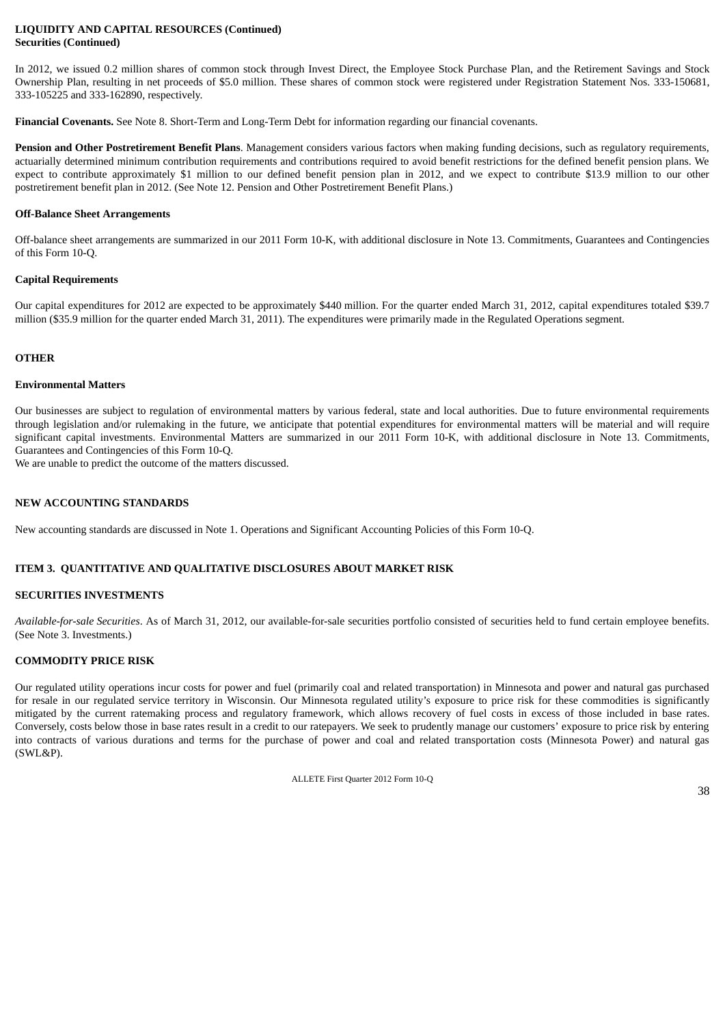## **LIQUIDITY AND CAPITAL RESOURCES (Continued) Securities (Continued)**

In 2012, we issued 0.2 million shares of common stock through Invest Direct, the Employee Stock Purchase Plan, and the Retirement Savings and Stock Ownership Plan, resulting in net proceeds of \$5.0 million. These shares of common stock were registered under Registration Statement Nos. 333-150681, 333-105225 and 333-162890, respectively.

**Financial Covenants.** See Note 8. Short-Term and Long-Term Debt for information regarding our financial covenants.

**Pension and Other Postretirement Benefit Plans**. Management considers various factors when making funding decisions, such as regulatory requirements, actuarially determined minimum contribution requirements and contributions required to avoid benefit restrictions for the defined benefit pension plans. We expect to contribute approximately \$1 million to our defined benefit pension plan in 2012, and we expect to contribute \$13.9 million to our other postretirement benefit plan in 2012. (See Note 12. Pension and Other Postretirement Benefit Plans.)

## **Off-Balance Sheet Arrangements**

Off-balance sheet arrangements are summarized in our 2011 Form 10-K, with additional disclosure in Note 13. Commitments, Guarantees and Contingencies of this Form 10-Q.

## **Capital Requirements**

Our capital expenditures for 2012 are expected to be approximately \$440 million. For the quarter ended March 31, 2012, capital expenditures totaled \$39.7 million (\$35.9 million for the quarter ended March 31, 2011). The expenditures were primarily made in the Regulated Operations segment.

## **OTHER**

## **Environmental Matters**

Our businesses are subject to regulation of environmental matters by various federal, state and local authorities. Due to future environmental requirements through legislation and/or rulemaking in the future, we anticipate that potential expenditures for environmental matters will be material and will require significant capital investments. Environmental Matters are summarized in our 2011 Form 10-K, with additional disclosure in Note 13. Commitments, Guarantees and Contingencies of this Form 10-Q.

We are unable to predict the outcome of the matters discussed.

## **NEW ACCOUNTING STANDARDS**

New accounting standards are discussed in Note 1. Operations and Significant Accounting Policies of this Form 10-Q.

## <span id="page-37-0"></span>**ITEM 3. QUANTITATIVE AND QUALITATIVE DISCLOSURES ABOUT MARKET RISK**

## **SECURITIES INVESTMENTS**

*Available-for-sale Securities*. As of March 31, 2012, our available-for-sale securities portfolio consisted of securities held to fund certain employee benefits. (See Note 3. Investments.)

## **COMMODITY PRICE RISK**

Our regulated utility operations incur costs for power and fuel (primarily coal and related transportation) in Minnesota and power and natural gas purchased for resale in our regulated service territory in Wisconsin. Our Minnesota regulated utility's exposure to price risk for these commodities is significantly mitigated by the current ratemaking process and regulatory framework, which allows recovery of fuel costs in excess of those included in base rates. Conversely, costs below those in base rates result in a credit to our ratepayers. We seek to prudently manage our customers' exposure to price risk by entering into contracts of various durations and terms for the purchase of power and coal and related transportation costs (Minnesota Power) and natural gas (SWL&P).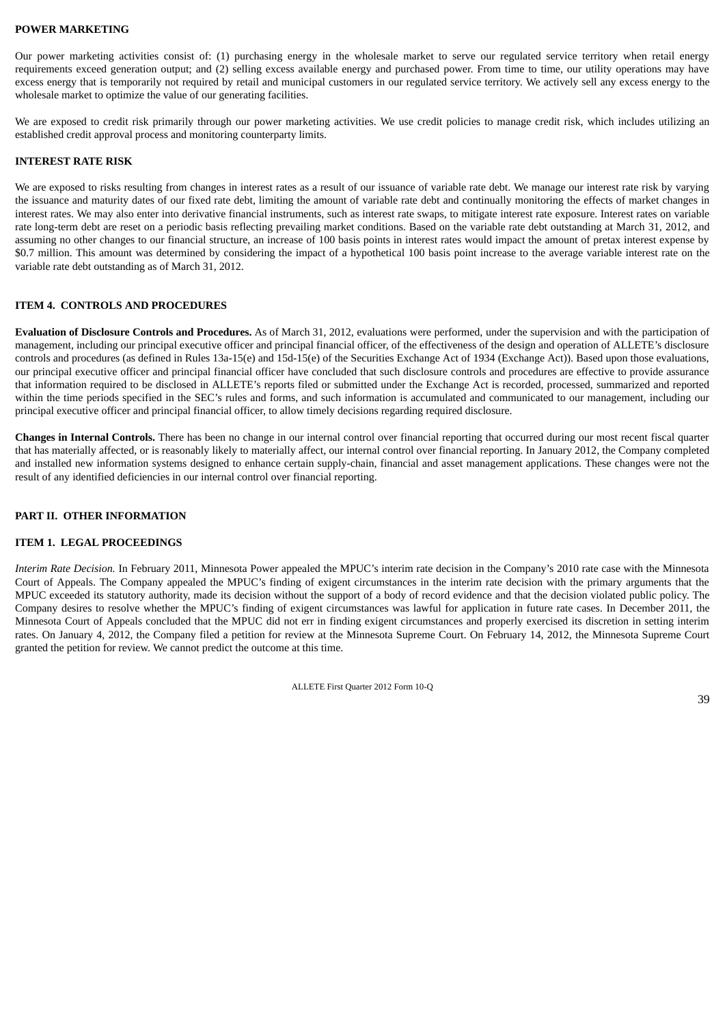#### **POWER MARKETING**

Our power marketing activities consist of: (1) purchasing energy in the wholesale market to serve our regulated service territory when retail energy requirements exceed generation output; and (2) selling excess available energy and purchased power. From time to time, our utility operations may have excess energy that is temporarily not required by retail and municipal customers in our regulated service territory. We actively sell any excess energy to the wholesale market to optimize the value of our generating facilities.

We are exposed to credit risk primarily through our power marketing activities. We use credit policies to manage credit risk, which includes utilizing an established credit approval process and monitoring counterparty limits.

#### **INTEREST RATE RISK**

We are exposed to risks resulting from changes in interest rates as a result of our issuance of variable rate debt. We manage our interest rate risk by varying the issuance and maturity dates of our fixed rate debt, limiting the amount of variable rate debt and continually monitoring the effects of market changes in interest rates. We may also enter into derivative financial instruments, such as interest rate swaps, to mitigate interest rate exposure. Interest rates on variable rate long-term debt are reset on a periodic basis reflecting prevailing market conditions. Based on the variable rate debt outstanding at March 31, 2012, and assuming no other changes to our financial structure, an increase of 100 basis points in interest rates would impact the amount of pretax interest expense by \$0.7 million. This amount was determined by considering the impact of a hypothetical 100 basis point increase to the average variable interest rate on the variable rate debt outstanding as of March 31, 2012.

#### <span id="page-38-0"></span>**ITEM 4. CONTROLS AND PROCEDURES**

**Evaluation of Disclosure Controls and Procedures.** As of March 31, 2012, evaluations were performed, under the supervision and with the participation of management, including our principal executive officer and principal financial officer, of the effectiveness of the design and operation of ALLETE's disclosure controls and procedures (as defined in Rules 13a-15(e) and 15d-15(e) of the Securities Exchange Act of 1934 (Exchange Act)). Based upon those evaluations, our principal executive officer and principal financial officer have concluded that such disclosure controls and procedures are effective to provide assurance that information required to be disclosed in ALLETE's reports filed or submitted under the Exchange Act is recorded, processed, summarized and reported within the time periods specified in the SEC's rules and forms, and such information is accumulated and communicated to our management, including our principal executive officer and principal financial officer, to allow timely decisions regarding required disclosure.

**Changes in Internal Controls.** There has been no change in our internal control over financial reporting that occurred during our most recent fiscal quarter that has materially affected, or is reasonably likely to materially affect, our internal control over financial reporting. In January 2012, the Company completed and installed new information systems designed to enhance certain supply-chain, financial and asset management applications. These changes were not the result of any identified deficiencies in our internal control over financial reporting.

## <span id="page-38-1"></span>**PART II. OTHER INFORMATION**

#### <span id="page-38-2"></span>**ITEM 1. LEGAL PROCEEDINGS**

*Interim Rate Decision.* In February 2011, Minnesota Power appealed the MPUC's interim rate decision in the Company's 2010 rate case with the Minnesota Court of Appeals. The Company appealed the MPUC's finding of exigent circumstances in the interim rate decision with the primary arguments that the MPUC exceeded its statutory authority, made its decision without the support of a body of record evidence and that the decision violated public policy. The Company desires to resolve whether the MPUC's finding of exigent circumstances was lawful for application in future rate cases. In December 2011, the Minnesota Court of Appeals concluded that the MPUC did not err in finding exigent circumstances and properly exercised its discretion in setting interim rates. On January 4, 2012, the Company filed a petition for review at the Minnesota Supreme Court. On February 14, 2012, the Minnesota Supreme Court granted the petition for review. We cannot predict the outcome at this time.

ALLETE First Quarter 2012 Form 10-Q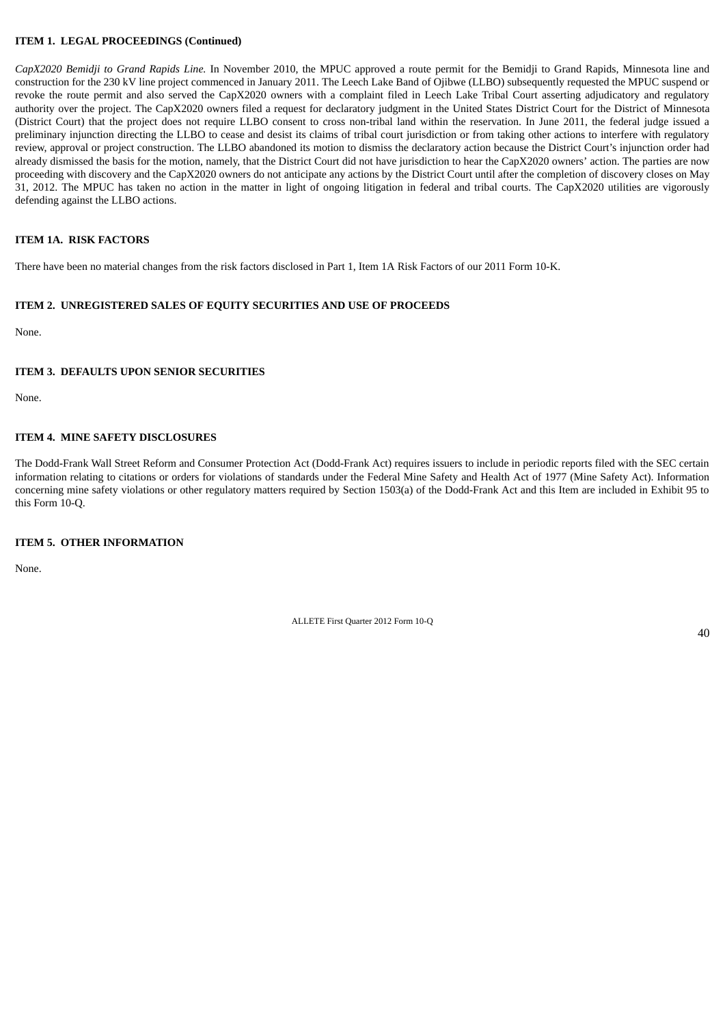## **ITEM 1. LEGAL PROCEEDINGS (Continued)**

*CapX2020 Bemidji to Grand Rapids Line.* In November 2010, the MPUC approved a route permit for the Bemidji to Grand Rapids, Minnesota line and construction for the 230 kV line project commenced in January 2011. The Leech Lake Band of Ojibwe (LLBO) subsequently requested the MPUC suspend or revoke the route permit and also served the CapX2020 owners with a complaint filed in Leech Lake Tribal Court asserting adjudicatory and regulatory authority over the project. The CapX2020 owners filed a request for declaratory judgment in the United States District Court for the District of Minnesota (District Court) that the project does not require LLBO consent to cross non-tribal land within the reservation. In June 2011, the federal judge issued a preliminary injunction directing the LLBO to cease and desist its claims of tribal court jurisdiction or from taking other actions to interfere with regulatory review, approval or project construction. The LLBO abandoned its motion to dismiss the declaratory action because the District Court's injunction order had already dismissed the basis for the motion, namely, that the District Court did not have jurisdiction to hear the CapX2020 owners' action. The parties are now proceeding with discovery and the CapX2020 owners do not anticipate any actions by the District Court until after the completion of discovery closes on May 31, 2012. The MPUC has taken no action in the matter in light of ongoing litigation in federal and tribal courts. The CapX2020 utilities are vigorously defending against the LLBO actions.

### <span id="page-39-0"></span>**ITEM 1A. RISK FACTORS**

There have been no material changes from the risk factors disclosed in Part 1, Item 1A Risk Factors of our 2011 Form 10-K.

#### <span id="page-39-1"></span>**ITEM 2. UNREGISTERED SALES OF EQUITY SECURITIES AND USE OF PROCEEDS**

None.

#### <span id="page-39-2"></span>**ITEM 3. DEFAULTS UPON SENIOR SECURITIES**

None.

#### <span id="page-39-3"></span>**ITEM 4. MINE SAFETY DISCLOSURES**

The Dodd-Frank Wall Street Reform and Consumer Protection Act (Dodd-Frank Act) requires issuers to include in periodic reports filed with the SEC certain information relating to citations or orders for violations of standards under the Federal Mine Safety and Health Act of 1977 (Mine Safety Act). Information concerning mine safety violations or other regulatory matters required by Section 1503(a) of the Dodd-Frank Act and this Item are included in Exhibit 95 to this Form 10-Q.

#### <span id="page-39-4"></span>**ITEM 5. OTHER INFORMATION**

<span id="page-39-5"></span>None.

ALLETE First Quarter 2012 Form 10-Q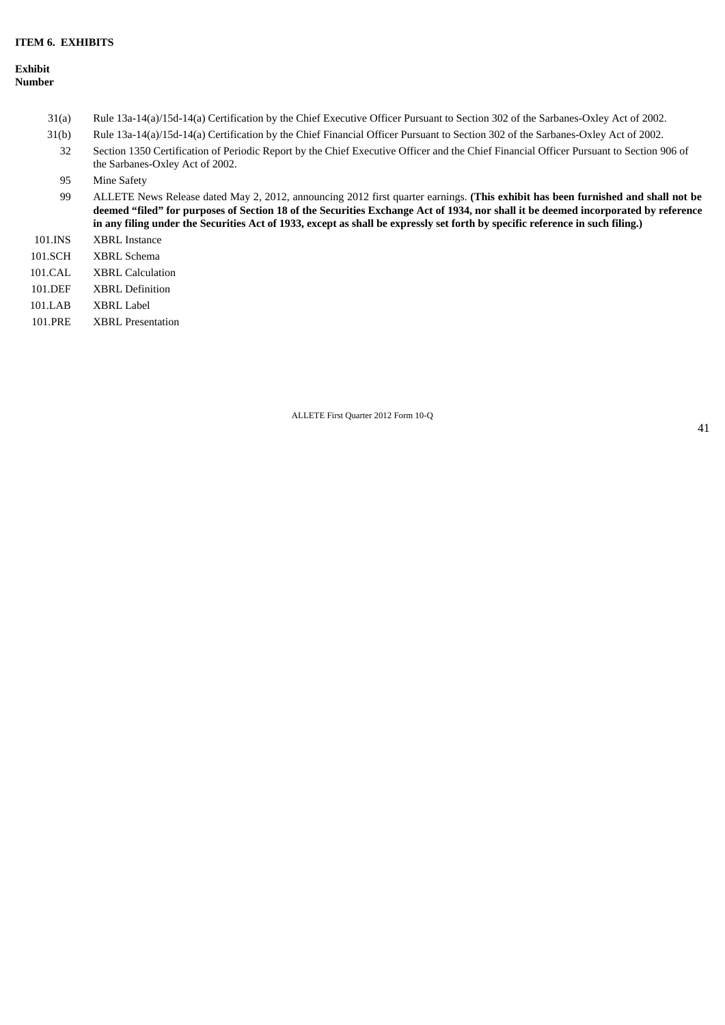### **ITEM 6. EXHIBITS**

## **Exhibit**

## **Number**

- 31(a) Rule 13a-14(a)/15d-14(a) Certification by the Chief Executive Officer Pursuant to Section 302 of the Sarbanes-Oxley Act of 2002.
- 31(b) Rule 13a-14(a)/15d-14(a) Certification by the Chief Financial Officer Pursuant to Section 302 of the Sarbanes-Oxley Act of 2002.
	- 32 Section 1350 Certification of Periodic Report by the Chief Executive Officer and the Chief Financial Officer Pursuant to Section 906 of the Sarbanes-Oxley Act of 2002.
	- 95 Mine Safety
	- 99 ALLETE News Release dated May 2, 2012, announcing 2012 first quarter earnings. **(This exhibit has been furnished and shall not be** deemed "filed" for purposes of Section 18 of the Securities Exchange Act of 1934, nor shall it be deemed incorporated by reference in any filing under the Securities Act of 1933, except as shall be expressly set forth by specific reference in such filing.)
- 101.INS XBRL Instance
- 101.SCH XBRL Schema
- 101.CAL XBRL Calculation
- 101.DEF XBRL Definition
- 101.LAB XBRL Label
- <span id="page-40-0"></span>101.PRE XBRL Presentation

ALLETE First Quarter 2012 Form 10-Q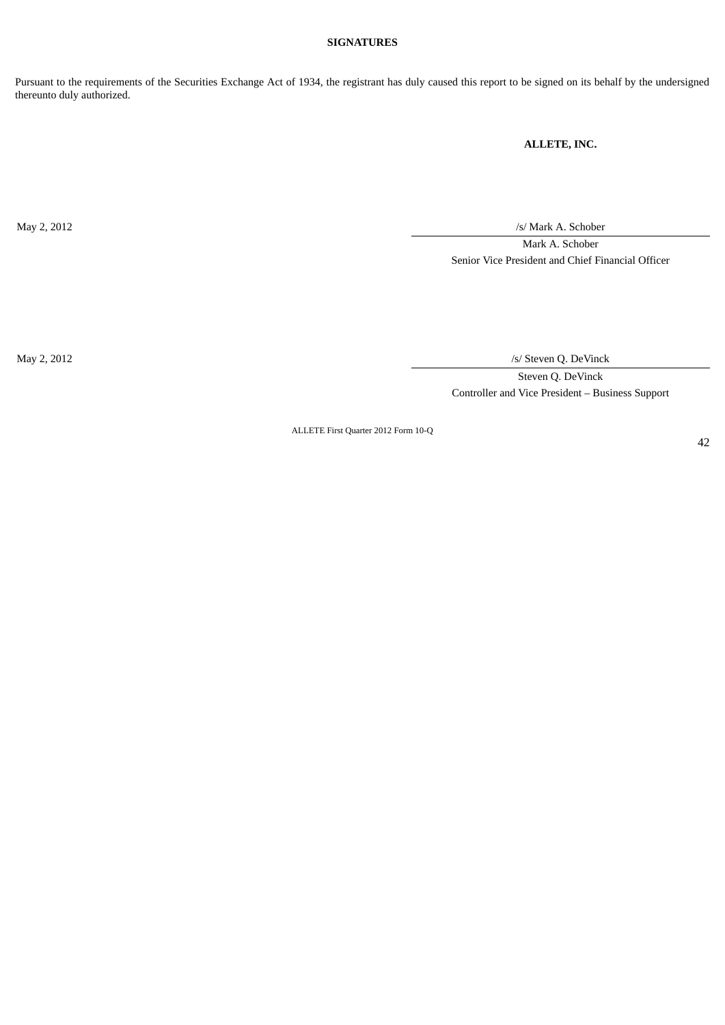## **SIGNATURES**

Pursuant to the requirements of the Securities Exchange Act of 1934, the registrant has duly caused this report to be signed on its behalf by the undersigned thereunto duly authorized.

**ALLETE, INC.**

May 2, 2012 /s/ Mark A. Schober

Mark A. Schober Senior Vice President and Chief Financial Officer

May 2, 2012 /s/ Steven Q. DeVinck

Steven Q. DeVinck Controller and Vice President – Business Support

ALLETE First Quarter 2012 Form 10-Q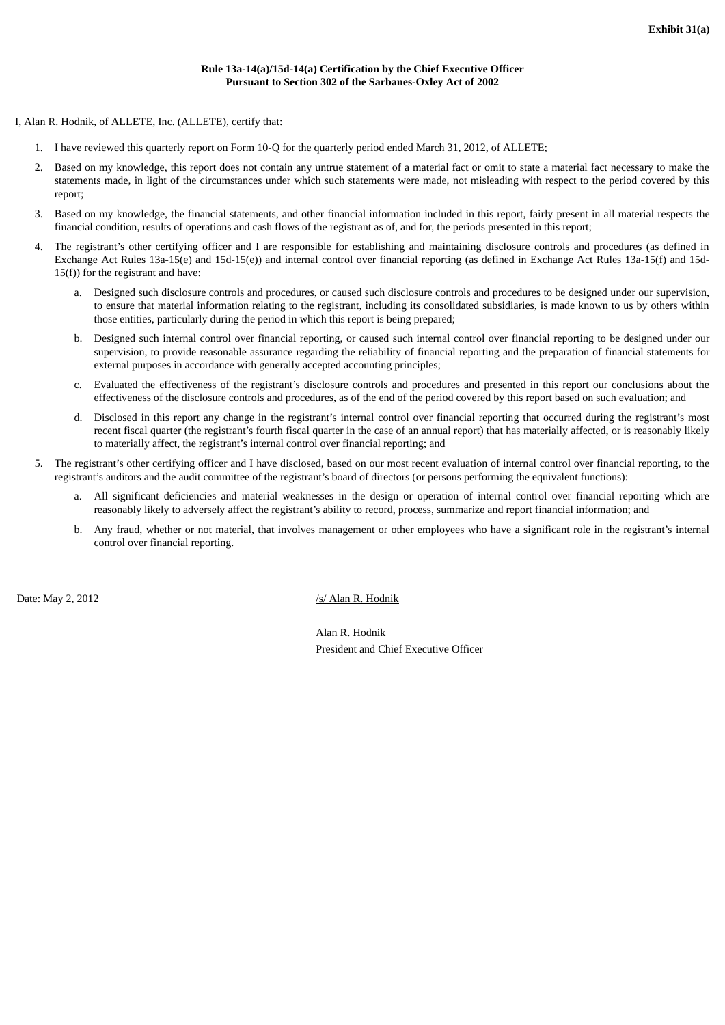## **Rule 13a-14(a)/15d-14(a) Certification by the Chief Executive Officer Pursuant to Section 302 of the Sarbanes-Oxley Act of 2002**

I, Alan R. Hodnik, of ALLETE, Inc. (ALLETE), certify that:

- 1. I have reviewed this quarterly report on Form 10-Q for the quarterly period ended March 31, 2012, of ALLETE;
- 2. Based on my knowledge, this report does not contain any untrue statement of a material fact or omit to state a material fact necessary to make the statements made, in light of the circumstances under which such statements were made, not misleading with respect to the period covered by this report;
- 3. Based on my knowledge, the financial statements, and other financial information included in this report, fairly present in all material respects the financial condition, results of operations and cash flows of the registrant as of, and for, the periods presented in this report;
- 4. The registrant's other certifying officer and I are responsible for establishing and maintaining disclosure controls and procedures (as defined in Exchange Act Rules 13a-15(e) and 15d-15(e)) and internal control over financial reporting (as defined in Exchange Act Rules 13a-15(f) and 15d-15(f)) for the registrant and have:
	- a. Designed such disclosure controls and procedures, or caused such disclosure controls and procedures to be designed under our supervision, to ensure that material information relating to the registrant, including its consolidated subsidiaries, is made known to us by others within those entities, particularly during the period in which this report is being prepared;
	- b. Designed such internal control over financial reporting, or caused such internal control over financial reporting to be designed under our supervision, to provide reasonable assurance regarding the reliability of financial reporting and the preparation of financial statements for external purposes in accordance with generally accepted accounting principles;
	- c. Evaluated the effectiveness of the registrant's disclosure controls and procedures and presented in this report our conclusions about the effectiveness of the disclosure controls and procedures, as of the end of the period covered by this report based on such evaluation; and
	- d. Disclosed in this report any change in the registrant's internal control over financial reporting that occurred during the registrant's most recent fiscal quarter (the registrant's fourth fiscal quarter in the case of an annual report) that has materially affected, or is reasonably likely to materially affect, the registrant's internal control over financial reporting; and
- 5. The registrant's other certifying officer and I have disclosed, based on our most recent evaluation of internal control over financial reporting, to the registrant's auditors and the audit committee of the registrant's board of directors (or persons performing the equivalent functions):
	- a. All significant deficiencies and material weaknesses in the design or operation of internal control over financial reporting which are reasonably likely to adversely affect the registrant's ability to record, process, summarize and report financial information; and
	- b. Any fraud, whether or not material, that involves management or other employees who have a significant role in the registrant's internal control over financial reporting.

Date: May 2, 2012 /s/ Alan R. Hodnik

Alan R. Hodnik President and Chief Executive Officer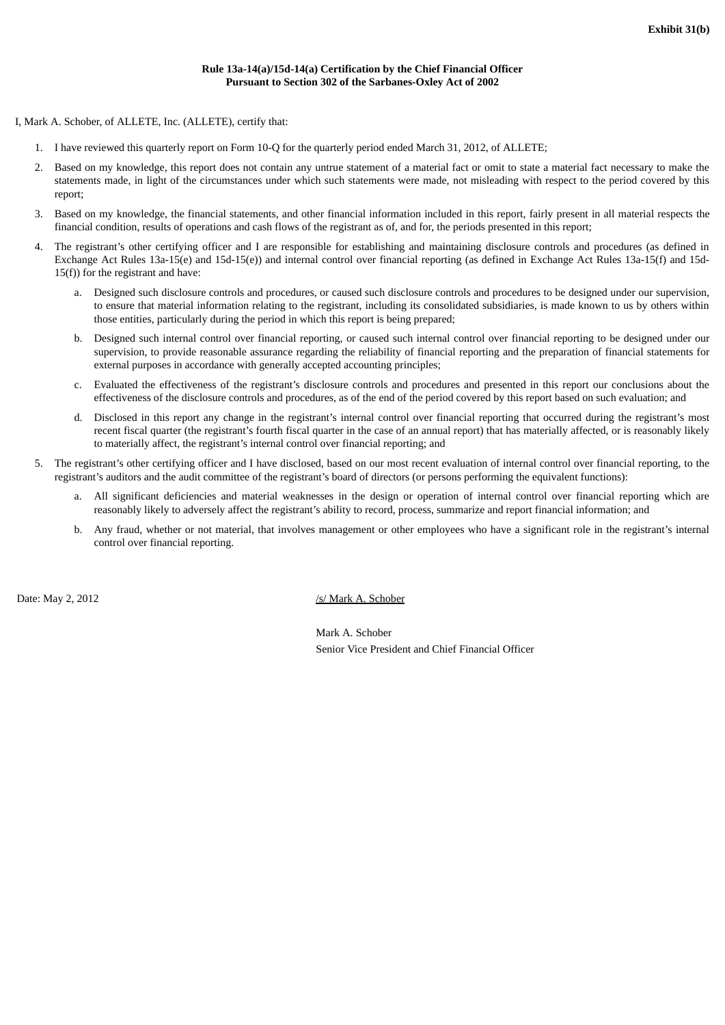## **Rule 13a-14(a)/15d-14(a) Certification by the Chief Financial Officer Pursuant to Section 302 of the Sarbanes-Oxley Act of 2002**

I, Mark A. Schober, of ALLETE, Inc. (ALLETE), certify that:

- 1. I have reviewed this quarterly report on Form 10-Q for the quarterly period ended March 31, 2012, of ALLETE;
- 2. Based on my knowledge, this report does not contain any untrue statement of a material fact or omit to state a material fact necessary to make the statements made, in light of the circumstances under which such statements were made, not misleading with respect to the period covered by this report;
- 3. Based on my knowledge, the financial statements, and other financial information included in this report, fairly present in all material respects the financial condition, results of operations and cash flows of the registrant as of, and for, the periods presented in this report;
- 4. The registrant's other certifying officer and I are responsible for establishing and maintaining disclosure controls and procedures (as defined in Exchange Act Rules 13a-15(e) and 15d-15(e)) and internal control over financial reporting (as defined in Exchange Act Rules 13a-15(f) and 15d-15(f)) for the registrant and have:
	- a. Designed such disclosure controls and procedures, or caused such disclosure controls and procedures to be designed under our supervision, to ensure that material information relating to the registrant, including its consolidated subsidiaries, is made known to us by others within those entities, particularly during the period in which this report is being prepared;
	- b. Designed such internal control over financial reporting, or caused such internal control over financial reporting to be designed under our supervision, to provide reasonable assurance regarding the reliability of financial reporting and the preparation of financial statements for external purposes in accordance with generally accepted accounting principles;
	- c. Evaluated the effectiveness of the registrant's disclosure controls and procedures and presented in this report our conclusions about the effectiveness of the disclosure controls and procedures, as of the end of the period covered by this report based on such evaluation; and
	- d. Disclosed in this report any change in the registrant's internal control over financial reporting that occurred during the registrant's most recent fiscal quarter (the registrant's fourth fiscal quarter in the case of an annual report) that has materially affected, or is reasonably likely to materially affect, the registrant's internal control over financial reporting; and
- 5. The registrant's other certifying officer and I have disclosed, based on our most recent evaluation of internal control over financial reporting, to the registrant's auditors and the audit committee of the registrant's board of directors (or persons performing the equivalent functions):
	- a. All significant deficiencies and material weaknesses in the design or operation of internal control over financial reporting which are reasonably likely to adversely affect the registrant's ability to record, process, summarize and report financial information; and
	- b. Any fraud, whether or not material, that involves management or other employees who have a significant role in the registrant's internal control over financial reporting.

Date: May 2, 2012 /s/ Mark A. Schober

Mark A. Schober Senior Vice President and Chief Financial Officer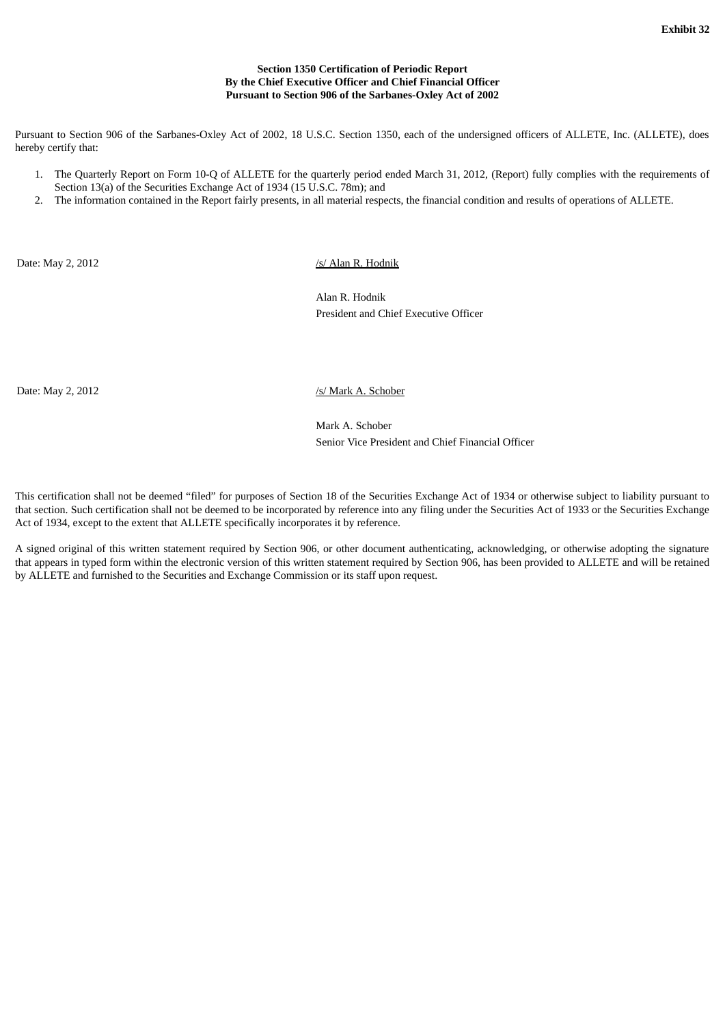#### **Section 1350 Certification of Periodic Report By the Chief Executive Officer and Chief Financial Officer Pursuant to Section 906 of the Sarbanes-Oxley Act of 2002**

Pursuant to Section 906 of the Sarbanes-Oxley Act of 2002, 18 U.S.C. Section 1350, each of the undersigned officers of ALLETE, Inc. (ALLETE), does hereby certify that:

- 1. The Quarterly Report on Form 10-Q of ALLETE for the quarterly period ended March 31, 2012, (Report) fully complies with the requirements of Section 13(a) of the Securities Exchange Act of 1934 (15 U.S.C. 78m); and
- 2. The information contained in the Report fairly presents, in all material respects, the financial condition and results of operations of ALLETE.

Date: May 2, 2012 /s/ Alan R. Hodnik

Alan R. Hodnik President and Chief Executive Officer

Date: May 2, 2012 /s/ Mark A. Schober

Mark A. Schober Senior Vice President and Chief Financial Officer

This certification shall not be deemed "filed" for purposes of Section 18 of the Securities Exchange Act of 1934 or otherwise subject to liability pursuant to that section. Such certification shall not be deemed to be incorporated by reference into any filing under the Securities Act of 1933 or the Securities Exchange Act of 1934, except to the extent that ALLETE specifically incorporates it by reference.

A signed original of this written statement required by Section 906, or other document authenticating, acknowledging, or otherwise adopting the signature that appears in typed form within the electronic version of this written statement required by Section 906, has been provided to ALLETE and will be retained by ALLETE and furnished to the Securities and Exchange Commission or its staff upon request.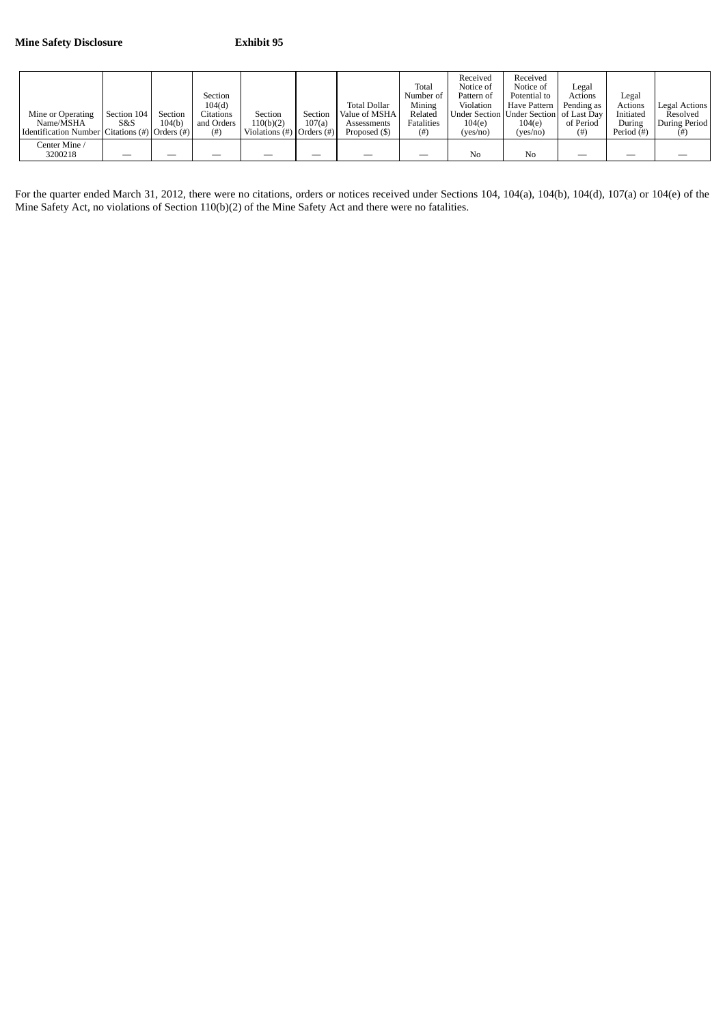| Mine or Operating<br>Name/MSHA<br>Identification Number   Citations (#)   Orders (#) | Section 104<br>S&S | Section<br>104(b) | Section<br>104(d)<br>Citations<br>and Orders<br>(# ) | Section<br>110(b)(2)<br>Violations $(\#)$ Orders $(\#)$ | Section<br>107(a) | <b>Total Dollar</b><br>Value of MSHA<br>Assessments<br>Proposed (\$) | Total<br>Number of<br>Mining<br>Related<br>Fatalities<br>(# ) | Received<br>Notice of<br>Pattern of<br>Violation<br>Under Section Under Section of Last Day<br>104(e)<br>(yes/no) | Received<br>Notice of<br>Potential to<br>Have Pattern<br>104(e)<br>(yes/no) | Legal<br>Actions<br>Pending as<br>of Period<br>(#) | Legal<br>Actions<br>Initiated<br>During<br>Period (#) | Legal Actions<br>Resolved<br>During Period |
|--------------------------------------------------------------------------------------|--------------------|-------------------|------------------------------------------------------|---------------------------------------------------------|-------------------|----------------------------------------------------------------------|---------------------------------------------------------------|-------------------------------------------------------------------------------------------------------------------|-----------------------------------------------------------------------------|----------------------------------------------------|-------------------------------------------------------|--------------------------------------------|
| Center Mine /<br>3200218                                                             |                    |                   |                                                      |                                                         |                   |                                                                      |                                                               | No                                                                                                                | No                                                                          |                                                    |                                                       |                                            |

For the quarter ended March 31, 2012, there were no citations, orders or notices received under Sections 104, 104(a), 104(b), 104(d), 107(a) or 104(e) of the Mine Safety Act, no violations of Section 110(b)(2) of the Mine Safety Act and there were no fatalities.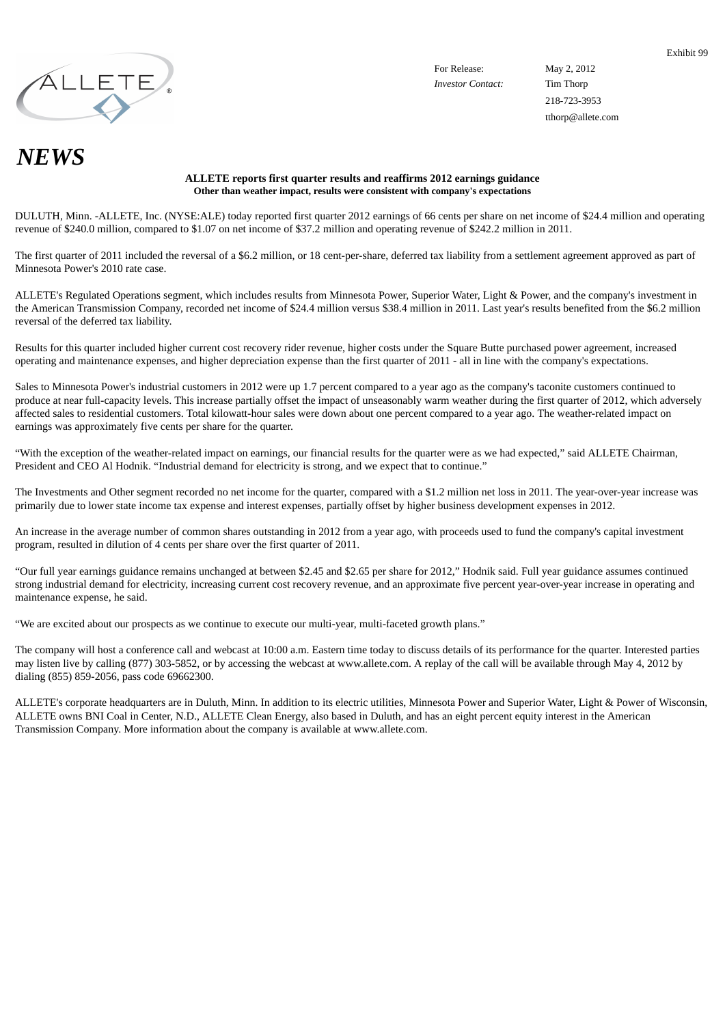

For Release: May 2, 2012 *Investor Contact:* Tim Thorp

218-723-3953 tthorp@allete.com

# *NEWS*

## **ALLETE reports first quarter results and reaffirms 2012 earnings guidance Other than weather impact, results were consistent with company's expectations**

DULUTH, Minn. -ALLETE, Inc. (NYSE:ALE) today reported first quarter 2012 earnings of 66 cents per share on net income of \$24.4 million and operating revenue of \$240.0 million, compared to \$1.07 on net income of \$37.2 million and operating revenue of \$242.2 million in 2011.

The first quarter of 2011 included the reversal of a \$6.2 million, or 18 cent-per-share, deferred tax liability from a settlement agreement approved as part of Minnesota Power's 2010 rate case.

ALLETE's Regulated Operations segment, which includes results from Minnesota Power, Superior Water, Light & Power, and the company's investment in the American Transmission Company, recorded net income of \$24.4 million versus \$38.4 million in 2011. Last year's results benefited from the \$6.2 million reversal of the deferred tax liability.

Results for this quarter included higher current cost recovery rider revenue, higher costs under the Square Butte purchased power agreement, increased operating and maintenance expenses, and higher depreciation expense than the first quarter of 2011 - all in line with the company's expectations.

Sales to Minnesota Power's industrial customers in 2012 were up 1.7 percent compared to a year ago as the company's taconite customers continued to produce at near full-capacity levels. This increase partially offset the impact of unseasonably warm weather during the first quarter of 2012, which adversely affected sales to residential customers. Total kilowatt-hour sales were down about one percent compared to a year ago. The weather-related impact on earnings was approximately five cents per share for the quarter.

"With the exception of the weather-related impact on earnings, our financial results for the quarter were as we had expected," said ALLETE Chairman, President and CEO Al Hodnik. "Industrial demand for electricity is strong, and we expect that to continue."

The Investments and Other segment recorded no net income for the quarter, compared with a \$1.2 million net loss in 2011. The year-over-year increase was primarily due to lower state income tax expense and interest expenses, partially offset by higher business development expenses in 2012.

An increase in the average number of common shares outstanding in 2012 from a year ago, with proceeds used to fund the company's capital investment program, resulted in dilution of 4 cents per share over the first quarter of 2011.

"Our full year earnings guidance remains unchanged at between \$2.45 and \$2.65 per share for 2012," Hodnik said. Full year guidance assumes continued strong industrial demand for electricity, increasing current cost recovery revenue, and an approximate five percent year-over-year increase in operating and maintenance expense, he said.

"We are excited about our prospects as we continue to execute our multi-year, multi-faceted growth plans."

The company will host a conference call and webcast at 10:00 a.m. Eastern time today to discuss details of its performance for the quarter. Interested parties may listen live by calling (877) 303-5852, or by accessing the webcast at www.allete.com. A replay of the call will be available through May 4, 2012 by dialing (855) 859-2056, pass code 69662300.

ALLETE's corporate headquarters are in Duluth, Minn. In addition to its electric utilities, Minnesota Power and Superior Water, Light & Power of Wisconsin, ALLETE owns BNI Coal in Center, N.D., ALLETE Clean Energy, also based in Duluth, and has an eight percent equity interest in the American Transmission Company. More information about the company is available at www.allete.com.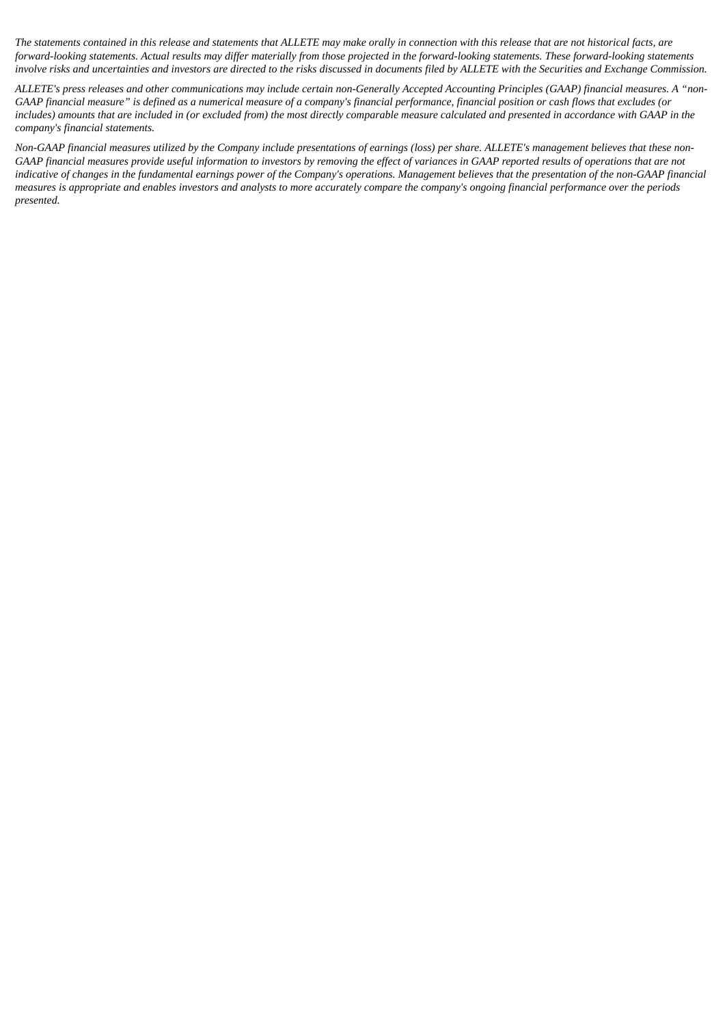The statements contained in this release and statements that ALLETE may make orally in connection with this release that are not historical facts, are forward-looking statements. Actual results may differ materially from those projected in the forward-looking statements. These forward-looking statements involve risks and uncertainties and investors are directed to the risks discussed in documents filed by ALLETE with the Securities and Exchange Commission.

ALLETE's press releases and other communications may include certain non-Generally Accepted Accounting Principles (GAAP) financial measures. A "non-GAAP financial measure" is defined as a numerical measure of a company's financial performance, financial position or cash flows that excludes (or includes) amounts that are included in (or excluded from) the most directly comparable measure calculated and presented in accordance with GAAP in the *company's financial statements.*

Non-GAAP financial measures utilized by the Company include presentations of earnings (loss) per share. ALLETE's management believes that these non-GAAP financial measures provide useful information to investors by removing the effect of variances in GAAP reported results of operations that are not indicative of changes in the fundamental earnings power of the Company's operations. Management believes that the presentation of the non-GAAP financial measures is appropriate and enables investors and analysts to more accurately compare the company's ongoing financial performance over the periods *presented.*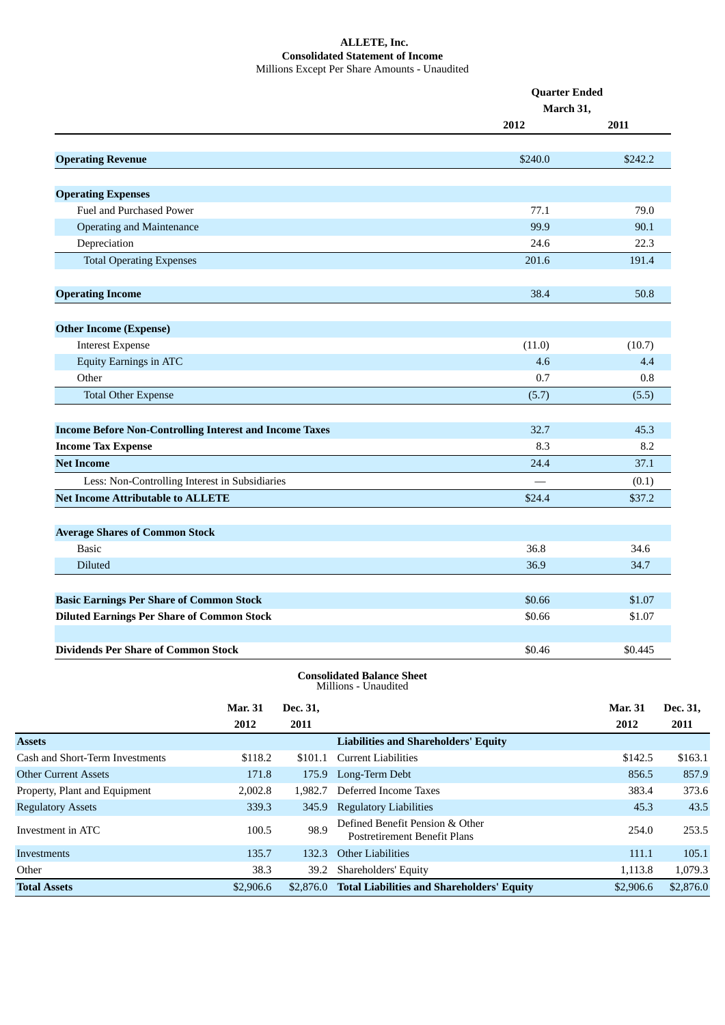## **ALLETE, Inc. Consolidated Statement of Income** Millions Except Per Share Amounts - Unaudited

|                                                                                             |             | <b>Quarter Ended</b> |          |  |
|---------------------------------------------------------------------------------------------|-------------|----------------------|----------|--|
|                                                                                             | March 31,   |                      |          |  |
|                                                                                             | 2012        | 2011                 |          |  |
| <b>Operating Revenue</b>                                                                    | \$240.0     | \$242.2              |          |  |
| <b>Operating Expenses</b>                                                                   |             |                      |          |  |
| Fuel and Purchased Power                                                                    | 77.1        | 79.0                 |          |  |
| <b>Operating and Maintenance</b>                                                            | 99.9        | 90.1                 |          |  |
| Depreciation                                                                                | 24.6        | 22.3                 |          |  |
| <b>Total Operating Expenses</b>                                                             | 201.6       | 191.4                |          |  |
| <b>Operating Income</b>                                                                     | 38.4        | 50.8                 |          |  |
| <b>Other Income (Expense)</b>                                                               |             |                      |          |  |
| <b>Interest Expense</b>                                                                     | (11.0)      | (10.7)               |          |  |
| <b>Equity Earnings in ATC</b>                                                               | 4.6         | 4.4                  |          |  |
| Other                                                                                       | 0.7         | 0.8                  |          |  |
| <b>Total Other Expense</b>                                                                  | (5.7)       | (5.5)                |          |  |
| <b>Income Before Non-Controlling Interest and Income Taxes</b><br><b>Income Tax Expense</b> | 32.7<br>8.3 | 45.3<br>8.2          |          |  |
| <b>Net Income</b>                                                                           | 24.4        | 37.1                 |          |  |
| Less: Non-Controlling Interest in Subsidiaries                                              |             | (0.1)                |          |  |
| <b>Net Income Attributable to ALLETE</b>                                                    | \$24.4      | \$37.2               |          |  |
| <b>Average Shares of Common Stock</b>                                                       |             |                      |          |  |
| <b>Basic</b>                                                                                | 36.8        | 34.6                 |          |  |
| Diluted                                                                                     | 36.9        | 34.7                 |          |  |
|                                                                                             |             |                      |          |  |
| <b>Basic Earnings Per Share of Common Stock</b>                                             | \$0.66      | \$1.07               |          |  |
| <b>Diluted Earnings Per Share of Common Stock</b>                                           | \$0.66      | \$1.07               |          |  |
| <b>Dividends Per Share of Common Stock</b>                                                  | \$0.46      | \$0.445              |          |  |
| <b>Consolidated Balance Sheet</b><br>Millions - Unaudited                                   |             |                      |          |  |
| <b>Mar. 31</b><br>Dec. 31,                                                                  |             | <b>Mar. 31</b>       | Dec. 31, |  |
| 2012<br>2011                                                                                |             | 2012                 | 2011     |  |

|                                 | $-0.1 -$  | $\sim$  |                                                                 | $-0.14$   | $\sim$    |
|---------------------------------|-----------|---------|-----------------------------------------------------------------|-----------|-----------|
| <b>Assets</b>                   |           |         | <b>Liabilities and Shareholders' Equity</b>                     |           |           |
| Cash and Short-Term Investments | \$118.2   |         | \$101.1 Current Liabilities                                     | \$142.5   | \$163.1   |
| <b>Other Current Assets</b>     | 171.8     |         | 175.9 Long-Term Debt                                            | 856.5     | 857.9     |
| Property, Plant and Equipment   | 2,002.8   | 1.982.7 | Deferred Income Taxes                                           | 383.4     | 373.6     |
| <b>Regulatory Assets</b>        | 339.3     |         | 345.9 Regulatory Liabilities                                    | 45.3      | 43.5      |
| Investment in ATC               | 100.5     | 98.9    | Defined Benefit Pension & Other<br>Postretirement Benefit Plans | 254.0     | 253.5     |
| Investments                     | 135.7     | 132.3   | <b>Other Liabilities</b>                                        | 111.1     | 105.1     |
| Other                           | 38.3      | 39.2    | Shareholders' Equity                                            | 1,113.8   | 1,079.3   |
| <b>Total Assets</b>             | \$2,906.6 |         | \$2,876.0 Total Liabilities and Shareholders' Equity            | \$2,906.6 | \$2,876.0 |